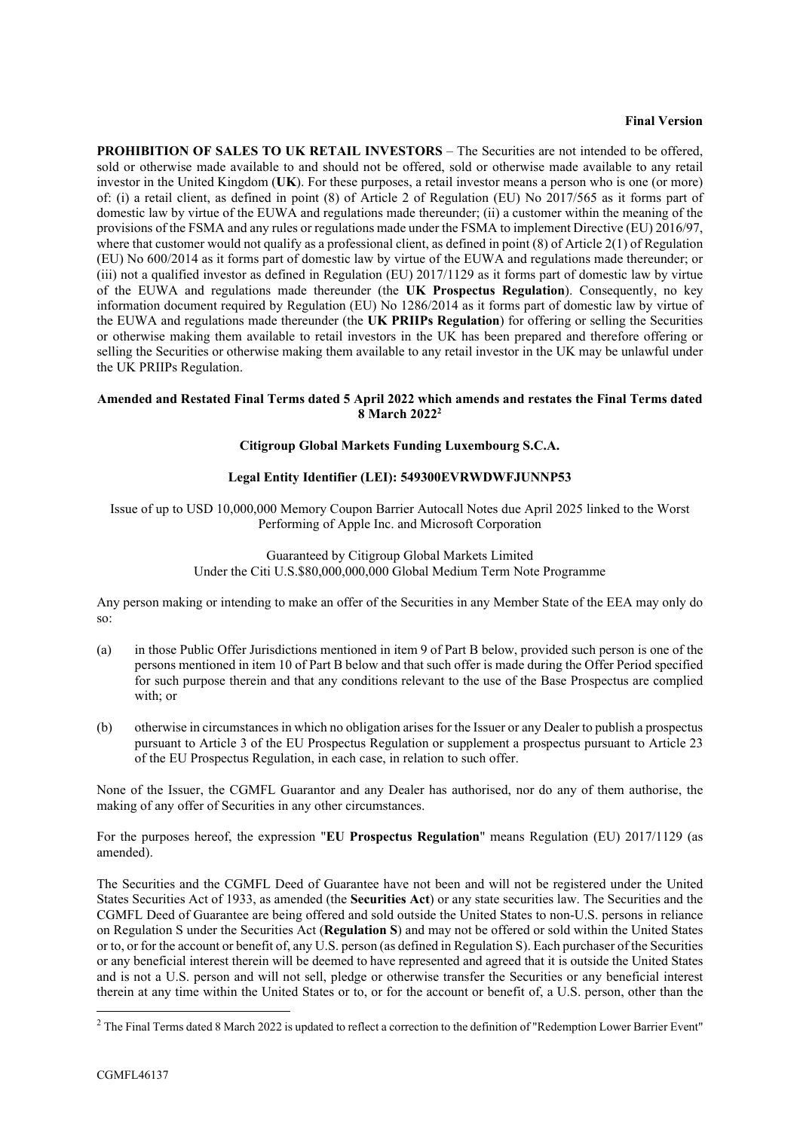## **Final Version**

**PROHIBITION OF SALES TO UK RETAIL INVESTORS** – The Securities are not intended to be offered, sold or otherwise made available to and should not be offered, sold or otherwise made available to any retail investor in the United Kingdom (**UK**). For these purposes, a retail investor means a person who is one (or more) of: (i) a retail client, as defined in point (8) of Article 2 of Regulation (EU) No 2017/565 as it forms part of domestic law by virtue of the EUWA and regulations made thereunder; (ii) a customer within the meaning of the provisions of the FSMA and any rules or regulations made under the FSMA to implement Directive (EU) 2016/97, where that customer would not qualify as a professional client, as defined in point  $(8)$  of Article 2(1) of Regulation (EU) No 600/2014 as it forms part of domestic law by virtue of the EUWA and regulations made thereunder; or (iii) not a qualified investor as defined in Regulation (EU) 2017/1129 as it forms part of domestic law by virtue of the EUWA and regulations made thereunder (the **UK Prospectus Regulation**). Consequently, no key information document required by Regulation (EU) No 1286/2014 as it forms part of domestic law by virtue of the EUWA and regulations made thereunder (the **UK PRIIPs Regulation**) for offering or selling the Securities or otherwise making them available to retail investors in the UK has been prepared and therefore offering or selling the Securities or otherwise making them available to any retail investor in the UK may be unlawful under the UK PRIIPs Regulation.

## **Amended and Restated Final Terms dated 5 April 2022 which amends and restates the Final Terms dated 8 March 2022 2**

## **Citigroup Global Markets Funding Luxembourg S.C.A.**

## **Legal Entity Identifier (LEI): 549300EVRWDWFJUNNP53**

Issue of up to USD 10,000,000 Memory Coupon Barrier Autocall Notes due April 2025 linked to the Worst Performing of Apple Inc. and Microsoft Corporation

> Guaranteed by Citigroup Global Markets Limited Under the Citi U.S.\$80,000,000,000 Global Medium Term Note Programme

Any person making or intending to make an offer of the Securities in any Member State of the EEA may only do so:

- (a) in those Public Offer Jurisdictions mentioned in item 9 of Part B below, provided such person is one of the persons mentioned in item 10 of Part B below and that such offer is made during the Offer Period specified for such purpose therein and that any conditions relevant to the use of the Base Prospectus are complied with; or
- (b) otherwise in circumstances in which no obligation arises for the Issuer or any Dealer to publish a prospectus pursuant to Article 3 of the EU Prospectus Regulation or supplement a prospectus pursuant to Article 23 of the EU Prospectus Regulation, in each case, in relation to such offer.

None of the Issuer, the CGMFL Guarantor and any Dealer has authorised, nor do any of them authorise, the making of any offer of Securities in any other circumstances.

For the purposes hereof, the expression "**EU Prospectus Regulation**" means Regulation (EU) 2017/1129 (as amended).

The Securities and the CGMFL Deed of Guarantee have not been and will not be registered under the United States Securities Act of 1933, as amended (the **Securities Act**) or any state securities law. The Securities and the CGMFL Deed of Guarantee are being offered and sold outside the United States to non-U.S. persons in reliance on Regulation S under the Securities Act (**Regulation S**) and may not be offered or sold within the United States or to, or for the account or benefit of, any U.S. person (as defined in Regulation S). Each purchaser of the Securities or any beneficial interest therein will be deemed to have represented and agreed that it is outside the United States and is not a U.S. person and will not sell, pledge or otherwise transfer the Securities or any beneficial interest therein at any time within the United States or to, or for the account or benefit of, a U.S. person, other than the

<sup>&</sup>lt;sup>2</sup> The Final Terms dated 8 March 2022 is updated to reflect a correction to the definition of "Redemption Lower Barrier Event"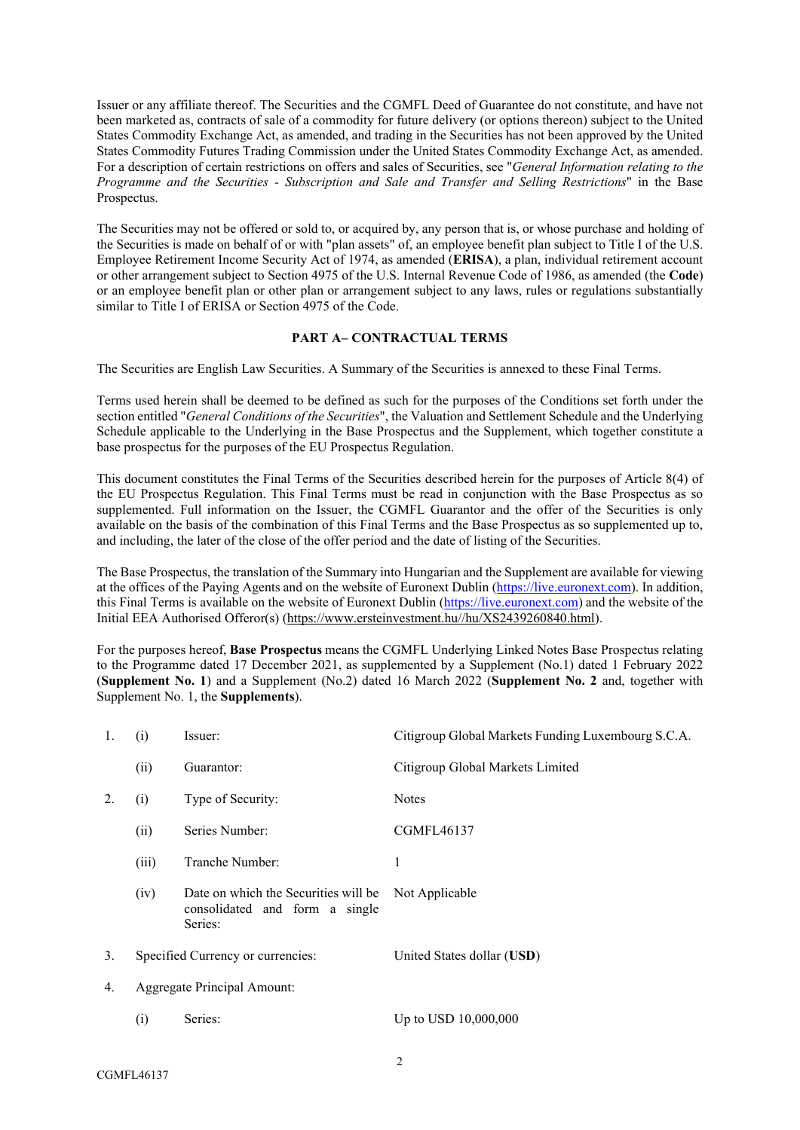Issuer or any affiliate thereof. The Securities and the CGMFL Deed of Guarantee do not constitute, and have not been marketed as, contracts of sale of a commodity for future delivery (or options thereon) subject to the United States Commodity Exchange Act, as amended, and trading in the Securities has not been approved by the United States Commodity Futures Trading Commission under the United States Commodity Exchange Act, as amended. For a description of certain restrictions on offers and sales of Securities, see "*General Information relating to the Programme and the Securities - Subscription and Sale and Transfer and Selling Restrictions*" in the Base Prospectus.

The Securities may not be offered or sold to, or acquired by, any person that is, or whose purchase and holding of the Securities is made on behalf of or with "plan assets" of, an employee benefit plan subject to Title I of the U.S. Employee Retirement Income Security Act of 1974, as amended (**ERISA**), a plan, individual retirement account or other arrangement subject to Section 4975 of the U.S. Internal Revenue Code of 1986, as amended (the **Code**) or an employee benefit plan or other plan or arrangement subject to any laws, rules or regulations substantially similar to Title I of ERISA or Section 4975 of the Code.

## **PART A– CONTRACTUAL TERMS**

The Securities are English Law Securities. A Summary of the Securities is annexed to these Final Terms.

Terms used herein shall be deemed to be defined as such for the purposes of the Conditions set forth under the section entitled "*General Conditions of the Securities*", the Valuation and Settlement Schedule and the Underlying Schedule applicable to the Underlying in the Base Prospectus and the Supplement, which together constitute a base prospectus for the purposes of the EU Prospectus Regulation.

This document constitutes the Final Terms of the Securities described herein for the purposes of Article 8(4) of the EU Prospectus Regulation. This Final Terms must be read in conjunction with the Base Prospectus as so supplemented. Full information on the Issuer, the CGMFL Guarantor and the offer of the Securities is only available on the basis of the combination of this Final Terms and the Base Prospectus as so supplemented up to, and including, the later of the close of the offer period and the date of listing of the Securities.

The Base Prospectus, the translation of the Summary into Hungarian and the Supplement are available for viewing at the offices of the Paying Agents and on the website of Euronext Dublin [\(https://live.euronext.com\)](https://live.euronext.com/). In addition, this Final Terms is available on the website of Euronext Dublin ([https://live.euronext.com](https://live.euronext.com/)) and the website of the Initial EEA Authorised Offeror(s) ([https://www.ersteinvestment.hu//hu/XS2439260840.html\)](https://protect-eu.mimecast.com/s/RaMVCxGnRInXzZMiv1yTk).

For the purposes hereof, **Base Prospectus** means the CGMFL Underlying Linked Notes Base Prospectus relating to the Programme dated 17 December 2021, as supplemented by a Supplement (No.1) dated 1 February 2022 (**Supplement No. 1**) and a Supplement (No.2) dated 16 March 2022 (**Supplement No. 2** and, together with Supplement No. 1, the **Supplements**).

| 1. | (i)                               | Issuer:                                                                           | Citigroup Global Markets Funding Luxembourg S.C.A. |
|----|-----------------------------------|-----------------------------------------------------------------------------------|----------------------------------------------------|
|    | (ii)                              | Guarantor:                                                                        | Citigroup Global Markets Limited                   |
| 2. | (i)                               | Type of Security:                                                                 | <b>Notes</b>                                       |
|    | (ii)                              | Series Number:                                                                    | <b>CGMFL46137</b>                                  |
|    | (iii)                             | Tranche Number:                                                                   | 1                                                  |
|    | (iv)                              | Date on which the Securities will be<br>consolidated and form a single<br>Series: | Not Applicable                                     |
| 3. | Specified Currency or currencies: |                                                                                   | United States dollar (USD)                         |
| 4. | Aggregate Principal Amount:       |                                                                                   |                                                    |
|    | (i)                               | Series:                                                                           | Up to USD 10,000,000                               |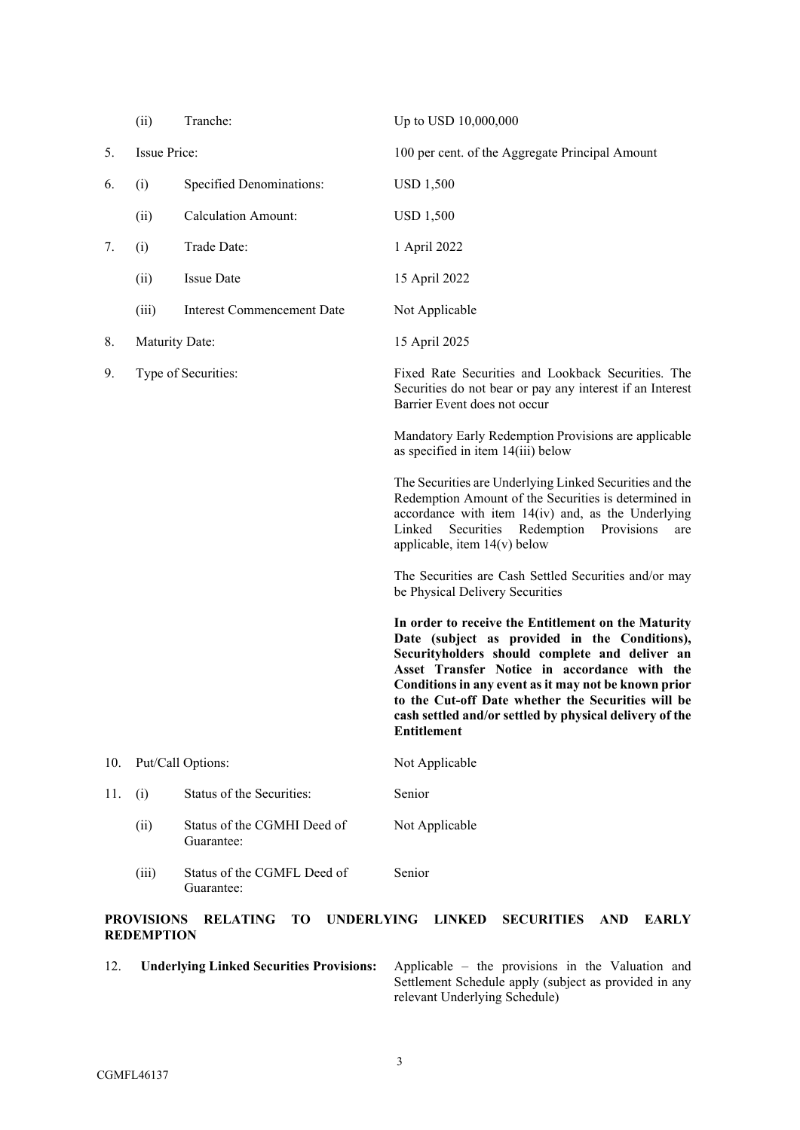|     | (ii)                                   | Tranche:                                          | Up to USD 10,000,000                                                                                                                                                                                                                                                                                                                                                                                  |  |
|-----|----------------------------------------|---------------------------------------------------|-------------------------------------------------------------------------------------------------------------------------------------------------------------------------------------------------------------------------------------------------------------------------------------------------------------------------------------------------------------------------------------------------------|--|
| 5.  | <b>Issue Price:</b>                    |                                                   | 100 per cent. of the Aggregate Principal Amount                                                                                                                                                                                                                                                                                                                                                       |  |
| 6.  | (i)                                    | <b>Specified Denominations:</b>                   | <b>USD 1,500</b>                                                                                                                                                                                                                                                                                                                                                                                      |  |
|     | (ii)                                   | <b>Calculation Amount:</b>                        | <b>USD 1,500</b>                                                                                                                                                                                                                                                                                                                                                                                      |  |
| 7.  | (i)                                    | Trade Date:                                       | 1 April 2022                                                                                                                                                                                                                                                                                                                                                                                          |  |
|     | (ii)                                   | <b>Issue Date</b>                                 | 15 April 2022                                                                                                                                                                                                                                                                                                                                                                                         |  |
|     | (iii)                                  | Interest Commencement Date                        | Not Applicable                                                                                                                                                                                                                                                                                                                                                                                        |  |
| 8.  | <b>Maturity Date:</b>                  |                                                   | 15 April 2025                                                                                                                                                                                                                                                                                                                                                                                         |  |
| 9.  | Type of Securities:                    |                                                   | Fixed Rate Securities and Lookback Securities. The<br>Securities do not bear or pay any interest if an Interest<br>Barrier Event does not occur                                                                                                                                                                                                                                                       |  |
|     |                                        |                                                   | Mandatory Early Redemption Provisions are applicable<br>as specified in item 14(iii) below                                                                                                                                                                                                                                                                                                            |  |
|     |                                        |                                                   | The Securities are Underlying Linked Securities and the<br>Redemption Amount of the Securities is determined in<br>accordance with item $14(iv)$ and, as the Underlying<br>Securities Redemption Provisions<br>Linked<br>are<br>applicable, item $14(v)$ below                                                                                                                                        |  |
|     |                                        |                                                   | The Securities are Cash Settled Securities and/or may<br>be Physical Delivery Securities                                                                                                                                                                                                                                                                                                              |  |
|     |                                        |                                                   | In order to receive the Entitlement on the Maturity<br>Date (subject as provided in the Conditions),<br>Securityholders should complete and deliver an<br>Asset Transfer Notice in accordance with the<br>Conditions in any event as it may not be known prior<br>to the Cut-off Date whether the Securities will be<br>cash settled and/or settled by physical delivery of the<br><b>Entitlement</b> |  |
| 10. | Put/Call Options:                      |                                                   | Not Applicable                                                                                                                                                                                                                                                                                                                                                                                        |  |
| 11. | (i)                                    | Status of the Securities:                         | Senior                                                                                                                                                                                                                                                                                                                                                                                                |  |
|     | (ii)                                   | Status of the CGMHI Deed of<br>Guarantee:         | Not Applicable                                                                                                                                                                                                                                                                                                                                                                                        |  |
|     | (iii)                                  | Status of the CGMFL Deed of<br>Guarantee:         | Senior                                                                                                                                                                                                                                                                                                                                                                                                |  |
|     | <b>PROVISIONS</b><br><b>REDEMPTION</b> | <b>RELATING</b><br><b>TO</b><br><b>UNDERLYING</b> | <b>LINKED</b><br><b>SECURITIES</b><br><b>AND</b><br><b>EARLY</b>                                                                                                                                                                                                                                                                                                                                      |  |

12. **Underlying Linked Securities Provisions:** Applicable – the provisions in the Valuation and Settlement Schedule apply (subject as provided in any relevant Underlying Schedule)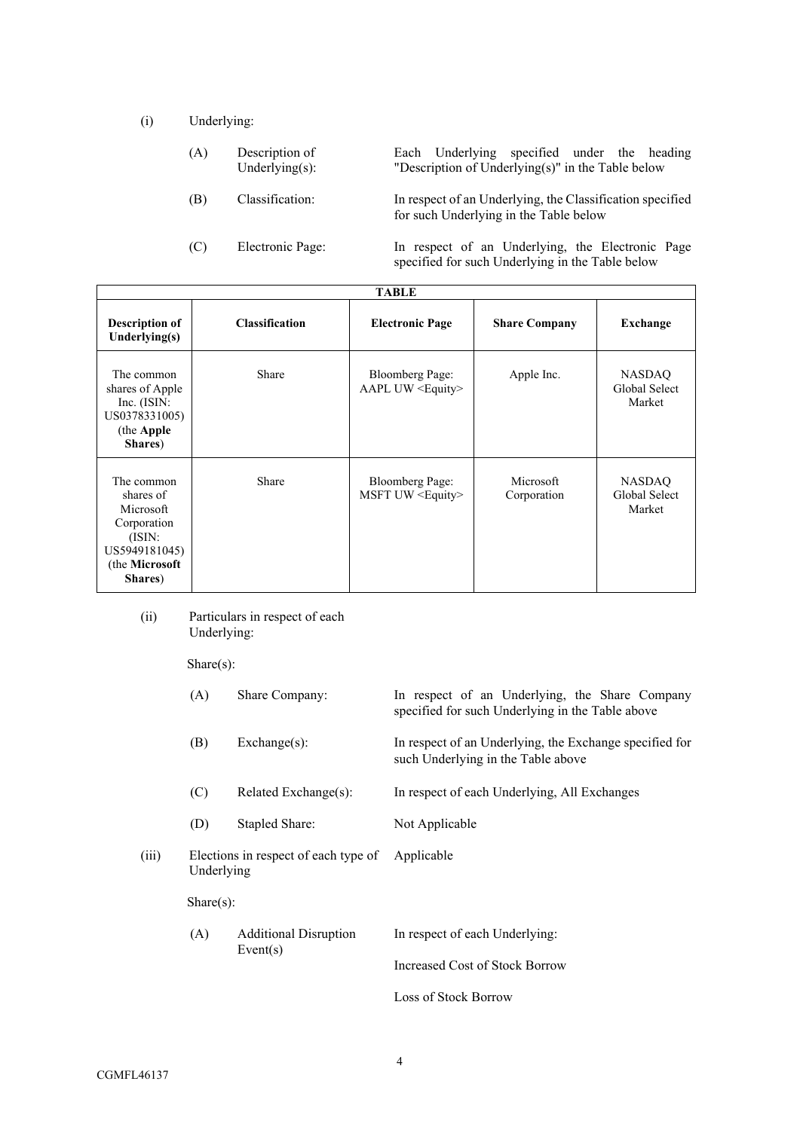(i) Underlying:

| (A) | Description of<br>Underlying $(s)$ : | Each Underlying specified under the heading<br>"Description of Underlying $(s)$ " in the Table below |
|-----|--------------------------------------|------------------------------------------------------------------------------------------------------|
| (B) | Classification:                      | In respect of an Underlying, the Classification specified<br>for such Underlying in the Table below  |
| (C) | Electronic Page:                     | In respect of an Underlying, the Electronic Page<br>specified for such Underlying in the Table below |

| <b>TABLE</b>                                                                                                |                       |                                                     |                          |                                   |  |
|-------------------------------------------------------------------------------------------------------------|-----------------------|-----------------------------------------------------|--------------------------|-----------------------------------|--|
| <b>Description of</b><br>Underlying $(s)$                                                                   | <b>Classification</b> | <b>Electronic Page</b>                              | <b>Share Company</b>     | <b>Exchange</b>                   |  |
| The common<br>shares of Apple<br>Inc. (ISIN:<br>US0378331005)<br>(the Apple<br>Shares)                      | Share                 | <b>Bloomberg Page:</b><br>AAPL UW <equity></equity> | Apple Inc.               | NASDAQ<br>Global Select<br>Market |  |
| The common<br>shares of<br>Microsoft<br>Corporation<br>(ISIN:<br>US5949181045)<br>(the Microsoft<br>Shares) | Share                 | <b>Bloomberg Page:</b><br>MSFT UW <equity></equity> | Microsoft<br>Corporation | NASDAQ<br>Global Select<br>Market |  |

# (ii) Particulars in respect of each Underlying:

Share(s):

|       | (A)                                                | Share Company:               | In respect of an Underlying, the Share Company<br>specified for such Underlying in the Table above |
|-------|----------------------------------------------------|------------------------------|----------------------------------------------------------------------------------------------------|
|       | (B)                                                | $Exchange(s)$ :              | In respect of an Underlying, the Exchange specified for<br>such Underlying in the Table above      |
|       | (C)                                                | Related Exchange(s):         | In respect of each Underlying, All Exchanges                                                       |
|       | (D)                                                | Stapled Share:               | Not Applicable                                                                                     |
| (iii) | Elections in respect of each type of<br>Underlying |                              | Applicable                                                                                         |
|       | Share(s):                                          |                              |                                                                                                    |
|       | (A)                                                | <b>Additional Disruption</b> | In respect of each Underlying:                                                                     |
|       |                                                    | Event(s)                     | Increased Cost of Stock Borrow                                                                     |
|       |                                                    |                              | Loss of Stock Borrow                                                                               |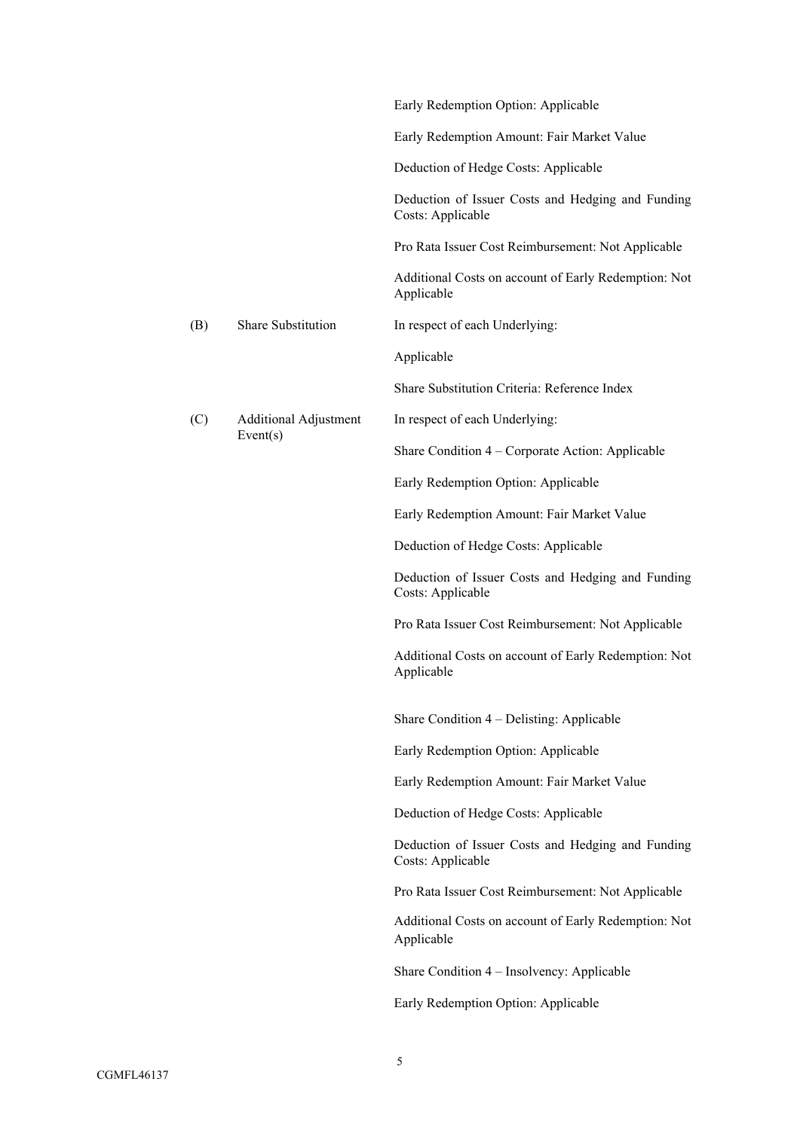|     |                                          | Early Redemption Option: Applicable                                    |  |
|-----|------------------------------------------|------------------------------------------------------------------------|--|
|     |                                          | Early Redemption Amount: Fair Market Value                             |  |
|     |                                          | Deduction of Hedge Costs: Applicable                                   |  |
|     |                                          | Deduction of Issuer Costs and Hedging and Funding<br>Costs: Applicable |  |
|     |                                          | Pro Rata Issuer Cost Reimbursement: Not Applicable                     |  |
|     |                                          | Additional Costs on account of Early Redemption: Not<br>Applicable     |  |
| (B) | Share Substitution                       | In respect of each Underlying:                                         |  |
|     |                                          | Applicable                                                             |  |
|     |                                          | Share Substitution Criteria: Reference Index                           |  |
| (C) | <b>Additional Adjustment</b><br>Event(s) | In respect of each Underlying:                                         |  |
|     |                                          | Share Condition 4 – Corporate Action: Applicable                       |  |
|     |                                          | Early Redemption Option: Applicable                                    |  |
|     |                                          | Early Redemption Amount: Fair Market Value                             |  |
|     |                                          | Deduction of Hedge Costs: Applicable                                   |  |
|     |                                          | Deduction of Issuer Costs and Hedging and Funding<br>Costs: Applicable |  |
|     |                                          | Pro Rata Issuer Cost Reimbursement: Not Applicable                     |  |
|     |                                          | Additional Costs on account of Early Redemption: Not<br>Applicable     |  |
|     |                                          | Share Condition 4 - Delisting: Applicable                              |  |
|     |                                          | Early Redemption Option: Applicable                                    |  |
|     |                                          | Early Redemption Amount: Fair Market Value                             |  |
|     |                                          | Deduction of Hedge Costs: Applicable                                   |  |
|     |                                          | Deduction of Issuer Costs and Hedging and Funding<br>Costs: Applicable |  |
|     |                                          | Pro Rata Issuer Cost Reimbursement: Not Applicable                     |  |
|     |                                          | Additional Costs on account of Early Redemption: Not<br>Applicable     |  |
|     |                                          | Share Condition 4 - Insolvency: Applicable                             |  |
|     |                                          | Early Redemption Option: Applicable                                    |  |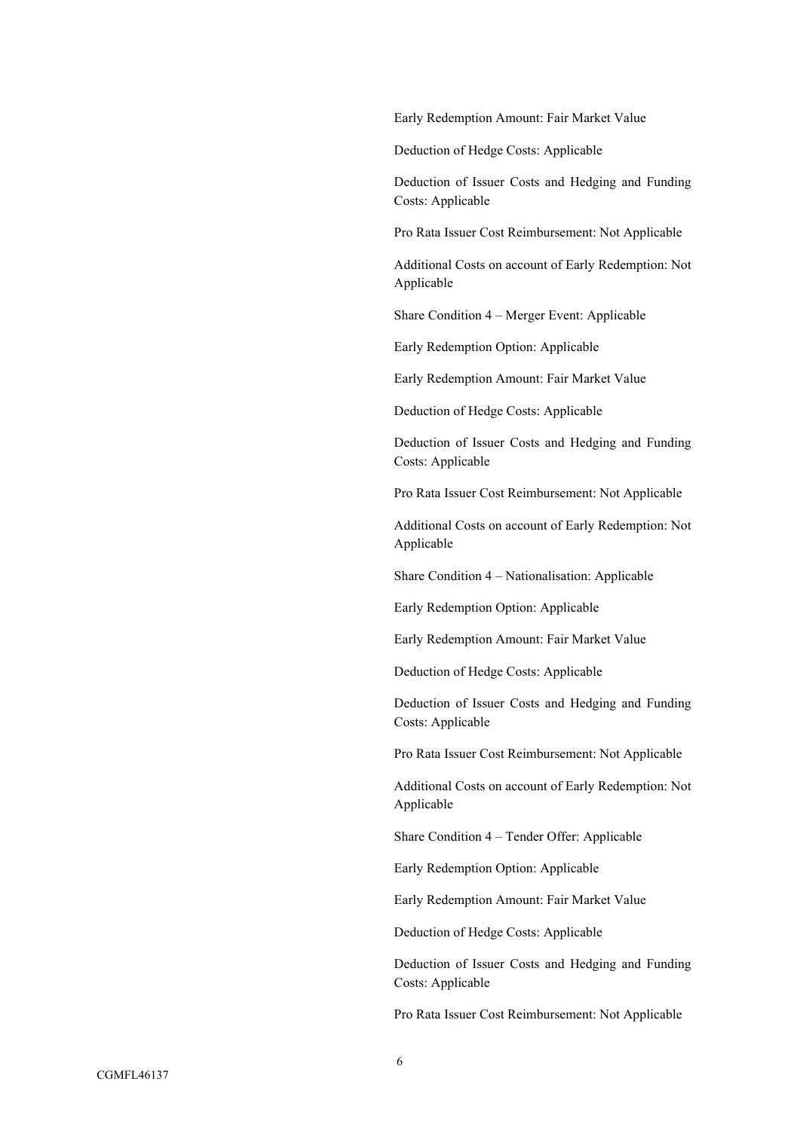Early Redemption Amount: Fair Market Value

Deduction of Hedge Costs: Applicable

Deduction of Issuer Costs and Hedging and Funding Costs: Applicable

Pro Rata Issuer Cost Reimbursement: Not Applicable

Additional Costs on account of Early Redemption: Not Applicable

Share Condition 4 – Merger Event: Applicable

Early Redemption Option: Applicable

Early Redemption Amount: Fair Market Value

Deduction of Hedge Costs: Applicable

Deduction of Issuer Costs and Hedging and Funding Costs: Applicable

Pro Rata Issuer Cost Reimbursement: Not Applicable

Additional Costs on account of Early Redemption: Not Applicable

Share Condition 4 – Nationalisation: Applicable

Early Redemption Option: Applicable

Early Redemption Amount: Fair Market Value

Deduction of Hedge Costs: Applicable

Deduction of Issuer Costs and Hedging and Funding Costs: Applicable

Pro Rata Issuer Cost Reimbursement: Not Applicable

Additional Costs on account of Early Redemption: Not Applicable

Share Condition 4 – Tender Offer: Applicable

Early Redemption Option: Applicable

Early Redemption Amount: Fair Market Value

Deduction of Hedge Costs: Applicable

Deduction of Issuer Costs and Hedging and Funding Costs: Applicable

Pro Rata Issuer Cost Reimbursement: Not Applicable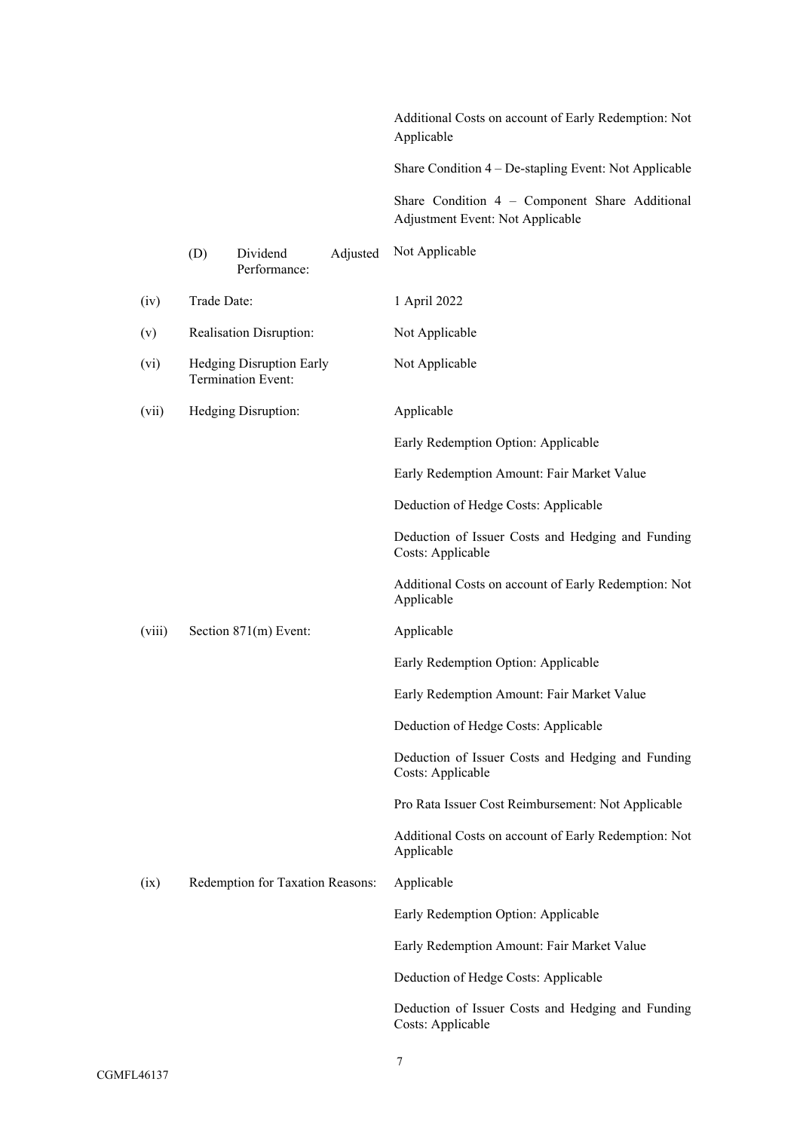Additional Costs on account of Early Redemption: Not Applicable

Share Condition 4 – De-stapling Event: Not Applicable

Share Condition 4 – Component Share Additional Adjustment Event: Not Applicable

|        | (D)                                                   | Dividend<br>Performance:         | Adjusted | Not Applicable                                                         |
|--------|-------------------------------------------------------|----------------------------------|----------|------------------------------------------------------------------------|
| (iv)   | Trade Date:                                           |                                  |          | 1 April 2022                                                           |
| (v)    | Realisation Disruption:                               |                                  |          | Not Applicable                                                         |
| (vi)   | <b>Hedging Disruption Early</b><br>Termination Event: |                                  |          | Not Applicable                                                         |
| (vii)  |                                                       | Hedging Disruption:              |          | Applicable                                                             |
|        |                                                       |                                  |          | Early Redemption Option: Applicable                                    |
|        |                                                       |                                  |          | Early Redemption Amount: Fair Market Value                             |
|        |                                                       |                                  |          | Deduction of Hedge Costs: Applicable                                   |
|        |                                                       |                                  |          | Deduction of Issuer Costs and Hedging and Funding<br>Costs: Applicable |
|        |                                                       |                                  |          | Additional Costs on account of Early Redemption: Not<br>Applicable     |
| (viii) |                                                       | Section 871(m) Event:            |          | Applicable                                                             |
|        |                                                       |                                  |          | Early Redemption Option: Applicable                                    |
|        |                                                       |                                  |          | Early Redemption Amount: Fair Market Value                             |
|        |                                                       |                                  |          | Deduction of Hedge Costs: Applicable                                   |
|        |                                                       |                                  |          | Deduction of Issuer Costs and Hedging and Funding<br>Costs: Applicable |
|        |                                                       |                                  |          | Pro Rata Issuer Cost Reimbursement: Not Applicable                     |
|        |                                                       |                                  |          | Additional Costs on account of Early Redemption: Not<br>Applicable     |
| (ix)   |                                                       | Redemption for Taxation Reasons: |          | Applicable                                                             |
|        |                                                       |                                  |          | Early Redemption Option: Applicable                                    |
|        |                                                       |                                  |          | Early Redemption Amount: Fair Market Value                             |
|        |                                                       |                                  |          | Deduction of Hedge Costs: Applicable                                   |
|        |                                                       |                                  |          | Deduction of Issuer Costs and Hedging and Funding<br>Costs: Applicable |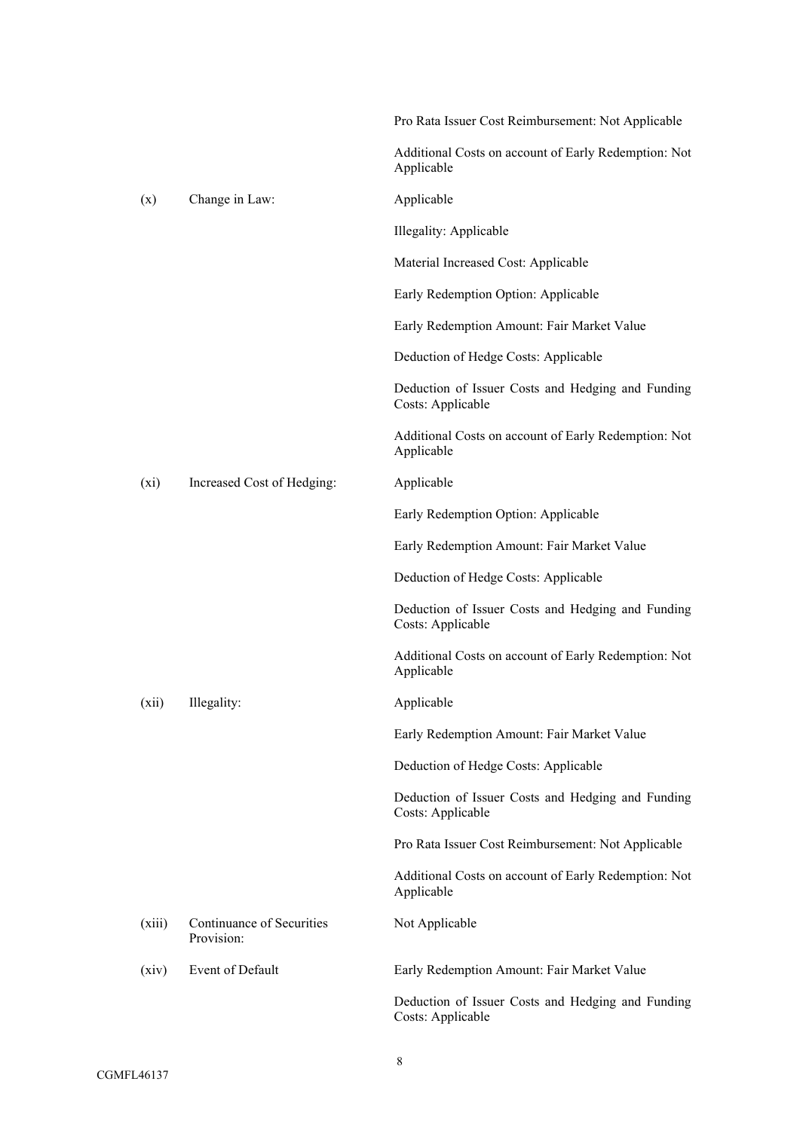|        |                                         | Pro Rata Issuer Cost Reimbursement: Not Applicable                     |
|--------|-----------------------------------------|------------------------------------------------------------------------|
|        |                                         | Additional Costs on account of Early Redemption: Not<br>Applicable     |
| (x)    | Change in Law:                          | Applicable                                                             |
|        |                                         | Illegality: Applicable                                                 |
|        |                                         | Material Increased Cost: Applicable                                    |
|        |                                         | Early Redemption Option: Applicable                                    |
|        |                                         | Early Redemption Amount: Fair Market Value                             |
|        |                                         | Deduction of Hedge Costs: Applicable                                   |
|        |                                         | Deduction of Issuer Costs and Hedging and Funding<br>Costs: Applicable |
|        |                                         | Additional Costs on account of Early Redemption: Not<br>Applicable     |
| (xi)   | Increased Cost of Hedging:              | Applicable                                                             |
|        |                                         | Early Redemption Option: Applicable                                    |
|        |                                         | Early Redemption Amount: Fair Market Value                             |
|        |                                         | Deduction of Hedge Costs: Applicable                                   |
|        |                                         | Deduction of Issuer Costs and Hedging and Funding<br>Costs: Applicable |
|        |                                         | Additional Costs on account of Early Redemption: Not<br>Applicable     |
| (xii)  | Illegality:                             | Applicable                                                             |
|        |                                         | Early Redemption Amount: Fair Market Value                             |
|        |                                         | Deduction of Hedge Costs: Applicable                                   |
|        |                                         | Deduction of Issuer Costs and Hedging and Funding<br>Costs: Applicable |
|        |                                         | Pro Rata Issuer Cost Reimbursement: Not Applicable                     |
|        |                                         | Additional Costs on account of Early Redemption: Not<br>Applicable     |
| (xiii) | Continuance of Securities<br>Provision: | Not Applicable                                                         |
| (xiv)  | Event of Default                        | Early Redemption Amount: Fair Market Value                             |
|        |                                         | Deduction of Issuer Costs and Hedging and Funding<br>Costs: Applicable |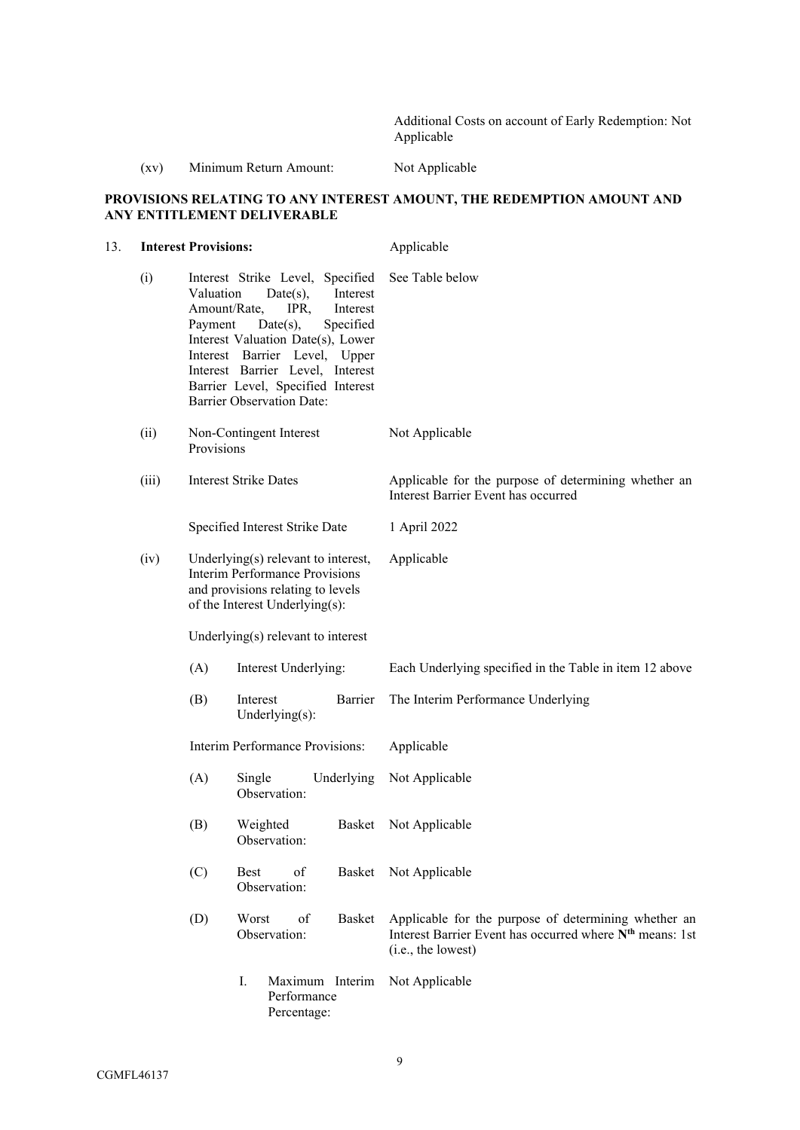Additional Costs on account of Early Redemption: Not Applicable

# (xv) Minimum Return Amount: Not Applicable

## **PROVISIONS RELATING TO ANY INTEREST AMOUNT, THE REDEMPTION AMOUNT AND ANY ENTITLEMENT DELIVERABLE**

| 13. | <b>Interest Provisions:</b> |                                                                                                                                                        |                                                                                                                                                                                                                                                                                                | Applicable                                                                                                                                         |  |
|-----|-----------------------------|--------------------------------------------------------------------------------------------------------------------------------------------------------|------------------------------------------------------------------------------------------------------------------------------------------------------------------------------------------------------------------------------------------------------------------------------------------------|----------------------------------------------------------------------------------------------------------------------------------------------------|--|
|     | (i)                         | Valuation<br>Amount/Rate,<br>Payment                                                                                                                   | Interest Strike Level, Specified<br>Interest<br>$Date(s)$ ,<br>IPR,<br>Interest<br>Specified<br>$Date(s)$ ,<br>Interest Valuation Date(s), Lower<br>Interest Barrier Level, Upper<br>Interest Barrier Level, Interest<br>Barrier Level, Specified Interest<br><b>Barrier Observation Date:</b> | See Table below                                                                                                                                    |  |
|     | (ii)                        | Provisions                                                                                                                                             | Non-Contingent Interest                                                                                                                                                                                                                                                                        | Not Applicable                                                                                                                                     |  |
|     | (iii)                       | <b>Interest Strike Dates</b>                                                                                                                           |                                                                                                                                                                                                                                                                                                | Applicable for the purpose of determining whether an<br>Interest Barrier Event has occurred                                                        |  |
|     |                             | Specified Interest Strike Date                                                                                                                         |                                                                                                                                                                                                                                                                                                | 1 April 2022                                                                                                                                       |  |
|     | (iv)                        | Underlying $(s)$ relevant to interest,<br><b>Interim Performance Provisions</b><br>and provisions relating to levels<br>of the Interest Underlying(s): |                                                                                                                                                                                                                                                                                                | Applicable                                                                                                                                         |  |
|     |                             |                                                                                                                                                        | Underlying(s) relevant to interest                                                                                                                                                                                                                                                             |                                                                                                                                                    |  |
|     |                             | (A)                                                                                                                                                    | Interest Underlying:                                                                                                                                                                                                                                                                           | Each Underlying specified in the Table in item 12 above                                                                                            |  |
|     |                             | (B)                                                                                                                                                    | Interest<br>Barrier<br>Underlying $(s)$ :                                                                                                                                                                                                                                                      | The Interim Performance Underlying                                                                                                                 |  |
|     |                             |                                                                                                                                                        | Interim Performance Provisions:                                                                                                                                                                                                                                                                | Applicable                                                                                                                                         |  |
|     |                             | (A)                                                                                                                                                    | Single<br>Underlying<br>Observation:                                                                                                                                                                                                                                                           | Not Applicable                                                                                                                                     |  |
|     |                             | (B)                                                                                                                                                    | Weighted<br>Basket<br>Observation:                                                                                                                                                                                                                                                             | Not Applicable                                                                                                                                     |  |
|     |                             | (C)                                                                                                                                                    | <b>Best</b><br>of<br>Observation:                                                                                                                                                                                                                                                              | Basket Not Applicable                                                                                                                              |  |
|     |                             | (D)                                                                                                                                                    | Worst<br>of<br><b>Basket</b><br>Observation:                                                                                                                                                                                                                                                   | Applicable for the purpose of determining whether an<br>Interest Barrier Event has occurred where N <sup>th</sup> means: 1st<br>(i.e., the lowest) |  |
|     |                             |                                                                                                                                                        | I.<br>Maximum Interim<br>Performance<br>Percentage:                                                                                                                                                                                                                                            | Not Applicable                                                                                                                                     |  |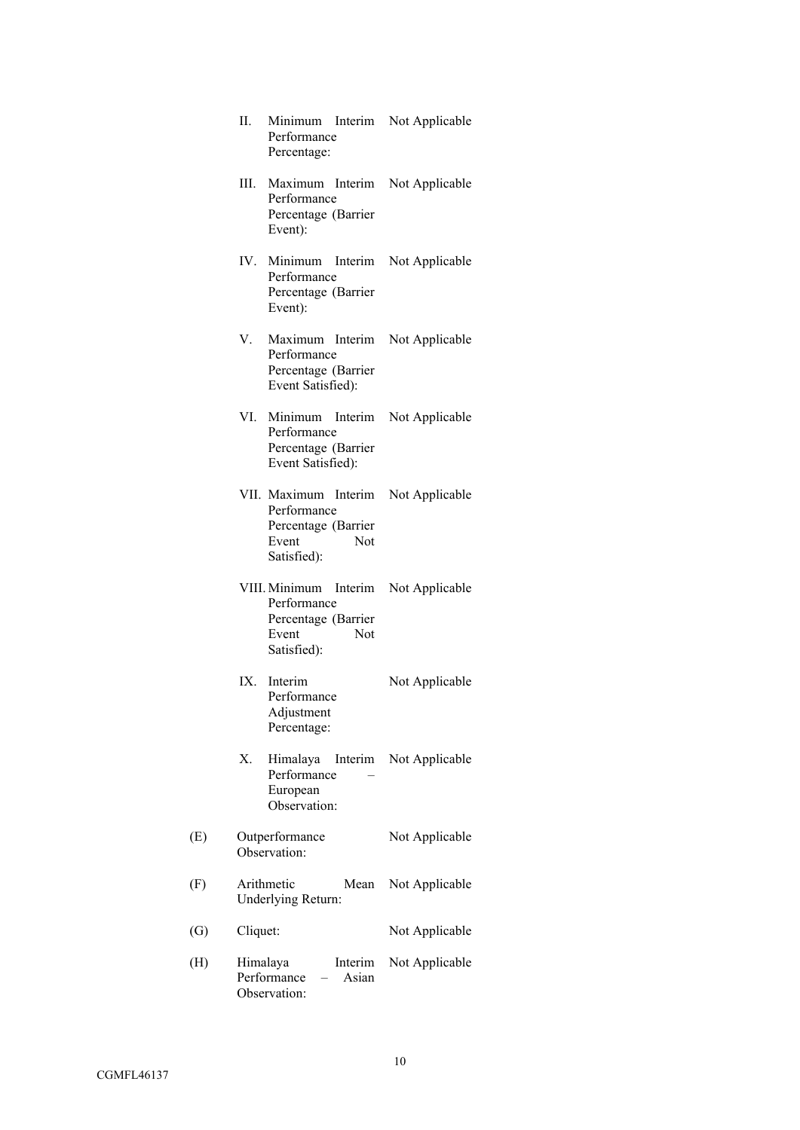|     | H.                                      | Performance<br>Percentage:                                      | Minimum Interim Not Applicable       |
|-----|-----------------------------------------|-----------------------------------------------------------------|--------------------------------------|
|     | Event):                                 | Performance<br>Percentage (Barrier                              | III. Maximum Interim Not Applicable  |
|     | Event):                                 | Performance<br>Percentage (Barrier                              | IV. Minimum Interim Not Applicable   |
|     | V.                                      | Performance<br>Percentage (Barrier<br>Event Satisfied):         | Maximum Interim Not Applicable       |
|     |                                         | Performance<br>Percentage (Barrier<br>Event Satisfied):         | VI. Minimum Interim Not Applicable   |
|     | Event                                   | Performance<br>Percentage (Barrier<br><b>Not</b><br>Satisfied): | VII. Maximum Interim Not Applicable  |
|     | Event                                   | Performance<br>Percentage (Barrier<br><b>Not</b><br>Satisfied): | VIII. Minimum Interim Not Applicable |
|     | IX. Interim                             | Performance<br>Adjustment<br>Percentage:                        | Not Applicable                       |
|     | Х.                                      | Himalaya<br>Performance<br>European<br>Observation:             | Interim Not Applicable               |
| (E) | Outperformance<br>Observation:          |                                                                 | Not Applicable                       |
| (F) | Arithmetic<br>Underlying Return:        | Mean                                                            | Not Applicable                       |
| (G) | Cliquet:                                |                                                                 | Not Applicable                       |
| (H) | Himalaya<br>Performance<br>Observation: | Interim<br>Asian                                                | Not Applicable                       |

 $(E)$ 

 $(F)$ 

 $(H)$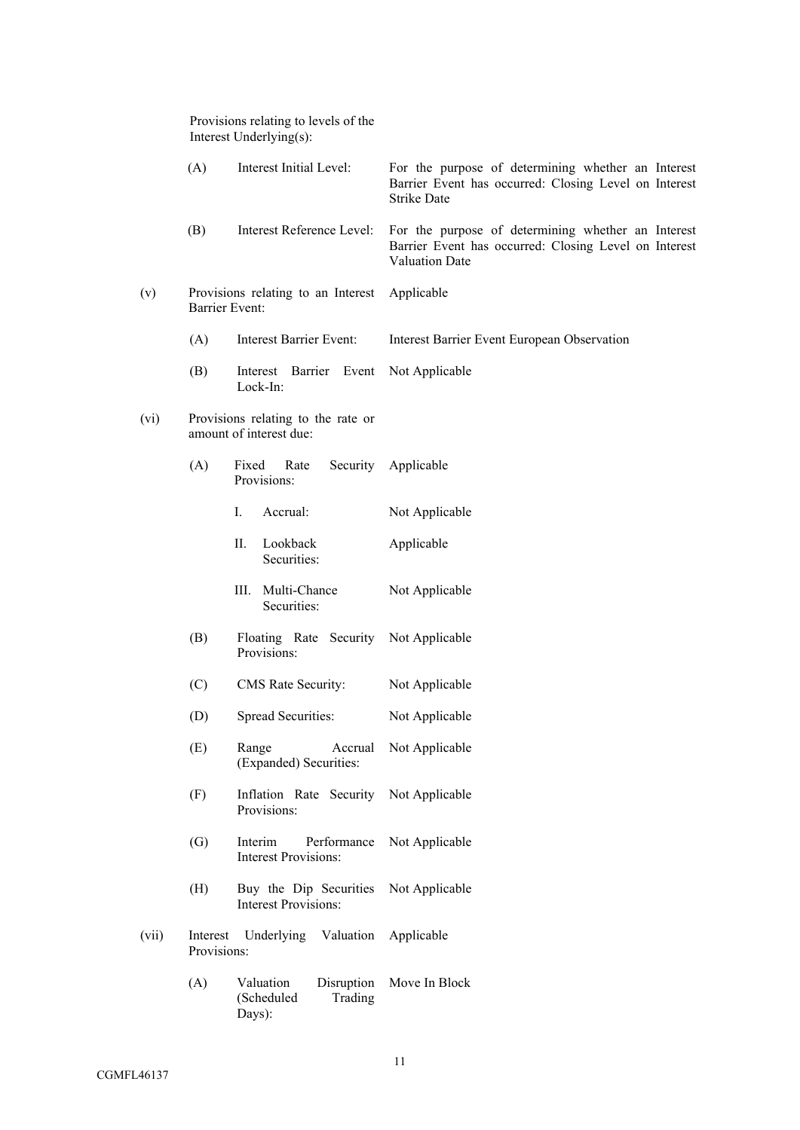|       | Provisions relating to levels of the<br>Interest Underlying(s): |                                                                      |                                                                                                                                   |
|-------|-----------------------------------------------------------------|----------------------------------------------------------------------|-----------------------------------------------------------------------------------------------------------------------------------|
|       | (A)                                                             | Interest Initial Level:                                              | For the purpose of determining whether an Interest<br>Barrier Event has occurred: Closing Level on Interest<br><b>Strike Date</b> |
|       | (B)                                                             | Interest Reference Level:                                            | For the purpose of determining whether an Interest<br>Barrier Event has occurred: Closing Level on Interest<br>Valuation Date     |
| (v)   | Barrier Event:                                                  | Provisions relating to an Interest Applicable                        |                                                                                                                                   |
|       | (A)                                                             | Interest Barrier Event:                                              | Interest Barrier Event European Observation                                                                                       |
|       | (B)                                                             | Interest Barrier Event<br>Lock-In:                                   | Not Applicable                                                                                                                    |
| (vi)  |                                                                 | Provisions relating to the rate or<br>amount of interest due:        |                                                                                                                                   |
|       | (A)                                                             | Fixed<br>Rate<br>Provisions:                                         | Security Applicable                                                                                                               |
|       |                                                                 | Ι.<br>Accrual:                                                       | Not Applicable                                                                                                                    |
|       |                                                                 | П.<br>Lookback<br>Securities:                                        | Applicable                                                                                                                        |
|       |                                                                 | III. Multi-Chance<br>Securities:                                     | Not Applicable                                                                                                                    |
|       | (B)                                                             | Floating Rate Security Not Applicable<br>Provisions:                 |                                                                                                                                   |
|       | (C)                                                             | CMS Rate Security:                                                   | Not Applicable                                                                                                                    |
|       | (D)                                                             | Spread Securities:                                                   | Not Applicable                                                                                                                    |
|       | (E)                                                             | Accrual<br>Range<br>(Expanded) Securities:                           | Not Applicable                                                                                                                    |
|       | (F)                                                             | Inflation Rate Security Not Applicable<br>Provisions:                |                                                                                                                                   |
|       | (G)                                                             | Interim<br>Performance<br><b>Interest Provisions:</b>                | Not Applicable                                                                                                                    |
|       | (H)                                                             | Buy the Dip Securities Not Applicable<br><b>Interest Provisions:</b> |                                                                                                                                   |
| (vii) | Provisions:                                                     | Interest Underlying Valuation Applicable                             |                                                                                                                                   |
|       | (A)                                                             | Disruption<br>Valuation<br>Trading<br>(Scheduled<br>Days):           | Move In Block                                                                                                                     |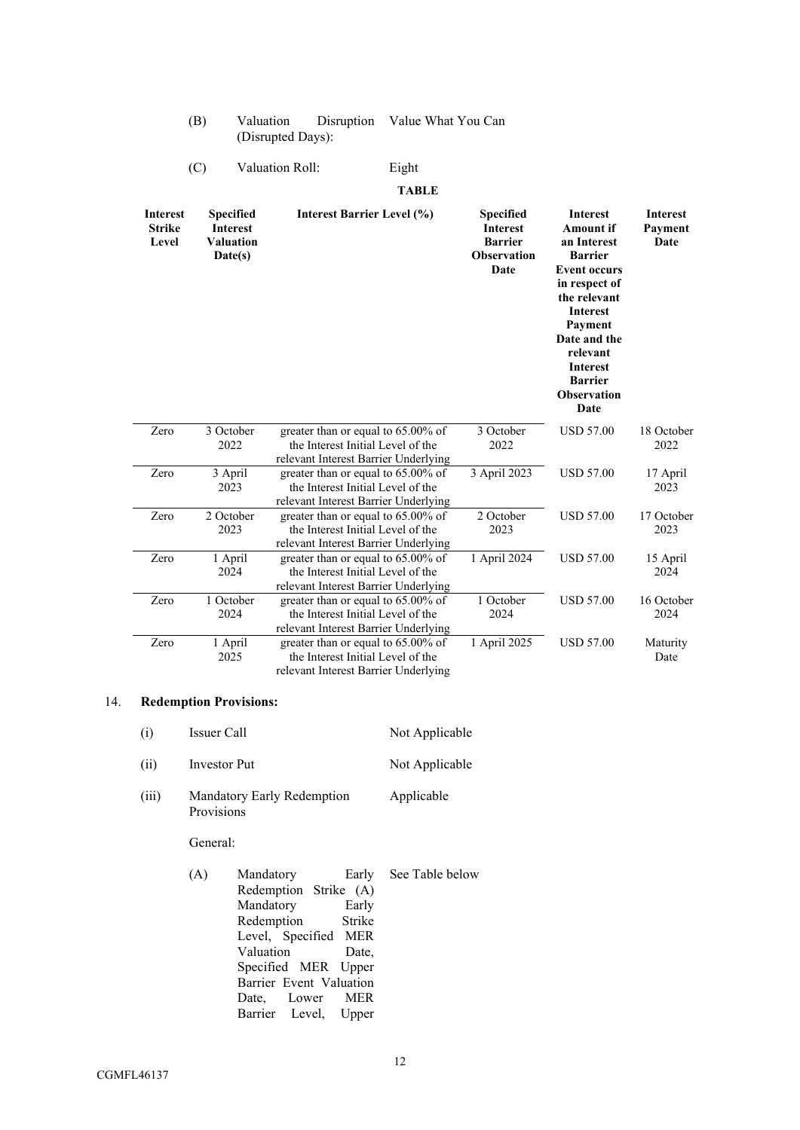| (B) | Valuation         | Disruption Value What You Can |
|-----|-------------------|-------------------------------|
|     | (Disrupted Days): |                               |

# (C) Valuation Roll: Eight

# **TABLE**

| <b>Interest</b><br><b>Strike</b><br>Level | <b>Specified</b><br><b>Interest</b><br><b>Valuation</b><br>Date(s) | <b>Interest Barrier Level (%)</b>                                                                               | Specified<br><b>Interest</b><br><b>Barrier</b><br><b>Observation</b><br>Date | <b>Interest</b><br><b>Amount if</b><br>an Interest<br><b>Barrier</b><br><b>Event occurs</b><br>in respect of<br>the relevant<br><b>Interest</b><br>Payment<br>Date and the<br>relevant<br><b>Interest</b><br><b>Barrier</b><br><b>Observation</b><br>Date | <b>Interest</b><br>Payment<br>Date |
|-------------------------------------------|--------------------------------------------------------------------|-----------------------------------------------------------------------------------------------------------------|------------------------------------------------------------------------------|-----------------------------------------------------------------------------------------------------------------------------------------------------------------------------------------------------------------------------------------------------------|------------------------------------|
| Zero                                      | 3 October<br>2022                                                  | greater than or equal to 65.00% of<br>the Interest Initial Level of the<br>relevant Interest Barrier Underlying | 3 October<br>2022                                                            | <b>USD 57.00</b>                                                                                                                                                                                                                                          | 18 October<br>2022                 |
| Zero                                      | 3 April<br>2023                                                    | greater than or equal to 65.00% of<br>the Interest Initial Level of the<br>relevant Interest Barrier Underlying | 3 April 2023                                                                 | <b>USD 57.00</b>                                                                                                                                                                                                                                          | 17 April<br>2023                   |
| Zero                                      | 2 October<br>2023                                                  | greater than or equal to 65.00% of<br>the Interest Initial Level of the<br>relevant Interest Barrier Underlying | 2 October<br>2023                                                            | <b>USD 57.00</b>                                                                                                                                                                                                                                          | 17 October<br>2023                 |
| Zero                                      | 1 April<br>2024                                                    | greater than or equal to 65.00% of<br>the Interest Initial Level of the<br>relevant Interest Barrier Underlying | 1 April 2024                                                                 | <b>USD 57.00</b>                                                                                                                                                                                                                                          | 15 April<br>2024                   |
| Zero                                      | 1 October<br>2024                                                  | greater than or equal to 65.00% of<br>the Interest Initial Level of the<br>relevant Interest Barrier Underlying | 1 October<br>2024                                                            | <b>USD 57.00</b>                                                                                                                                                                                                                                          | 16 October<br>2024                 |
| Zero                                      | 1 April<br>2025                                                    | greater than or equal to 65.00% of<br>the Interest Initial Level of the<br>relevant Interest Barrier Underlying | 1 April 2025                                                                 | <b>USD 57.00</b>                                                                                                                                                                                                                                          | Maturity<br>Date                   |

# 14. **Redemption Provisions:**

| (i)  | Issuer Call  | Not Applicable |  |
|------|--------------|----------------|--|
| (ii) | Investor Put | Not Applicable |  |

(iii) Mandatory Early Redemption Provisions Applicable

# General:

| (A) | Mandatory               | Early See Table below |
|-----|-------------------------|-----------------------|
|     | Redemption Strike (A)   |                       |
|     | Mandatory Early         |                       |
|     | Redemption Strike       |                       |
|     | Level, Specified MER    |                       |
|     | Valuation<br>Date.      |                       |
|     | Specified MER Upper     |                       |
|     | Barrier Event Valuation |                       |
|     | Date, Lower MER         |                       |
|     | Barrier Level, Upper    |                       |
|     |                         |                       |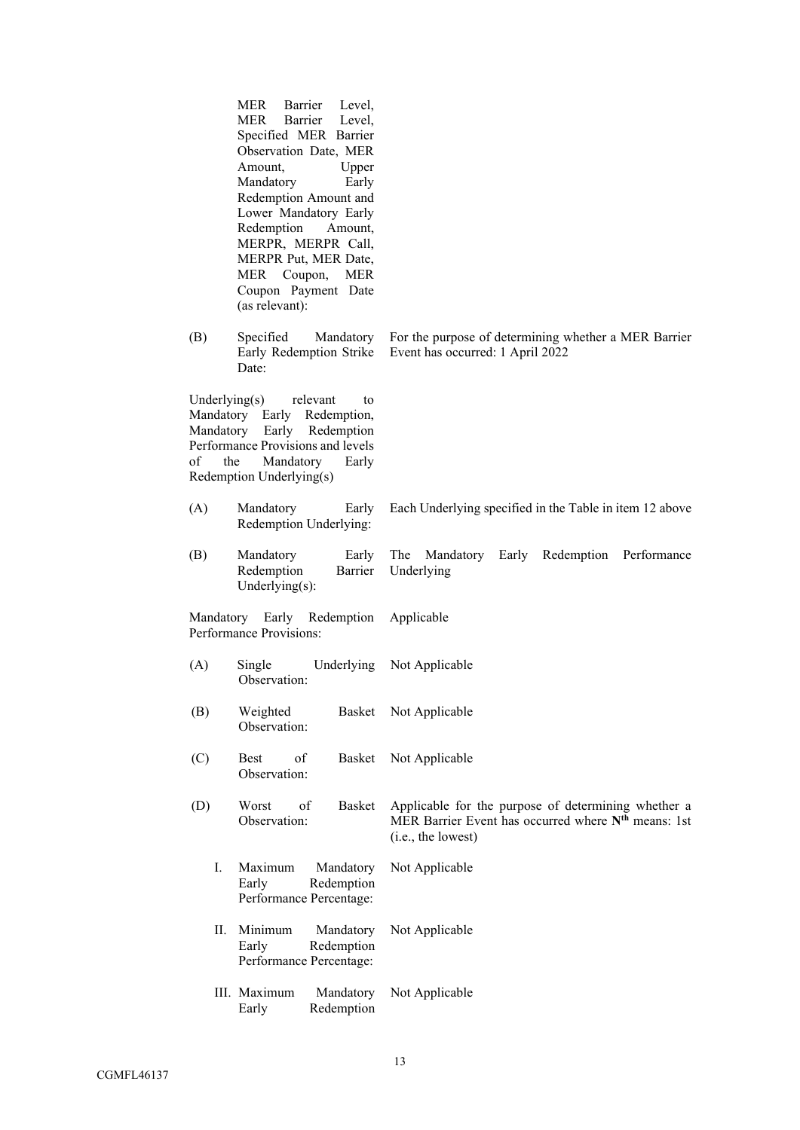|                        | MER<br>Barrier<br>Level,<br>Barrier Level,<br><b>MER</b><br>Specified MER Barrier<br>Observation Date, MER<br>Amount,<br>Upper<br>Early<br>Mandatory<br>Redemption Amount and<br>Lower Mandatory Early<br>Redemption<br>Amount,<br>MERPR, MERPR Call,<br>MERPR Put, MER Date,<br>MER<br>Coupon,<br><b>MER</b><br>Coupon Payment Date<br>(as relevant): |                                                                                                                                              |
|------------------------|--------------------------------------------------------------------------------------------------------------------------------------------------------------------------------------------------------------------------------------------------------------------------------------------------------------------------------------------------------|----------------------------------------------------------------------------------------------------------------------------------------------|
| (B)                    | Specified<br>Mandatory<br>Early Redemption Strike<br>Date:                                                                                                                                                                                                                                                                                             | For the purpose of determining whether a MER Barrier<br>Event has occurred: 1 April 2022                                                     |
| Underlying $(s)$<br>of | relevant<br>to<br>Mandatory Early Redemption,<br>Mandatory Early Redemption<br>Performance Provisions and levels<br>Mandatory<br>the<br>Early<br>Redemption Underlying(s)                                                                                                                                                                              |                                                                                                                                              |
| (A)                    | Mandatory<br>Early<br>Redemption Underlying:                                                                                                                                                                                                                                                                                                           | Each Underlying specified in the Table in item 12 above                                                                                      |
| (B)                    | Mandatory<br>Early<br>Redemption<br>Barrier<br>Underlying $(s)$ :                                                                                                                                                                                                                                                                                      | The Mandatory Early Redemption Performance<br>Underlying                                                                                     |
|                        | Mandatory Early Redemption<br>Performance Provisions:                                                                                                                                                                                                                                                                                                  | Applicable                                                                                                                                   |
| (A)                    | Single<br>Underlying<br>Observation:                                                                                                                                                                                                                                                                                                                   | Not Applicable                                                                                                                               |
| (B)                    | Weighted<br>Basket<br>Observation:                                                                                                                                                                                                                                                                                                                     | Not Applicable                                                                                                                               |
| (C)                    | of<br><b>Best</b><br>Basket<br>Observation:                                                                                                                                                                                                                                                                                                            | Not Applicable                                                                                                                               |
| (D)                    | <b>Basket</b><br>Worst<br>of<br>Observation:                                                                                                                                                                                                                                                                                                           | Applicable for the purpose of determining whether a<br>MER Barrier Event has occurred where N <sup>th</sup> means: 1st<br>(i.e., the lowest) |
| I.                     | Maximum<br>Mandatory<br>Redemption<br>Early<br>Performance Percentage:                                                                                                                                                                                                                                                                                 | Not Applicable                                                                                                                               |
| П.                     | Minimum<br>Mandatory<br>Redemption<br>Early<br>Performance Percentage:                                                                                                                                                                                                                                                                                 | Not Applicable                                                                                                                               |
|                        | III. Maximum<br>Mandatory<br>Redemption<br>Early                                                                                                                                                                                                                                                                                                       | Not Applicable                                                                                                                               |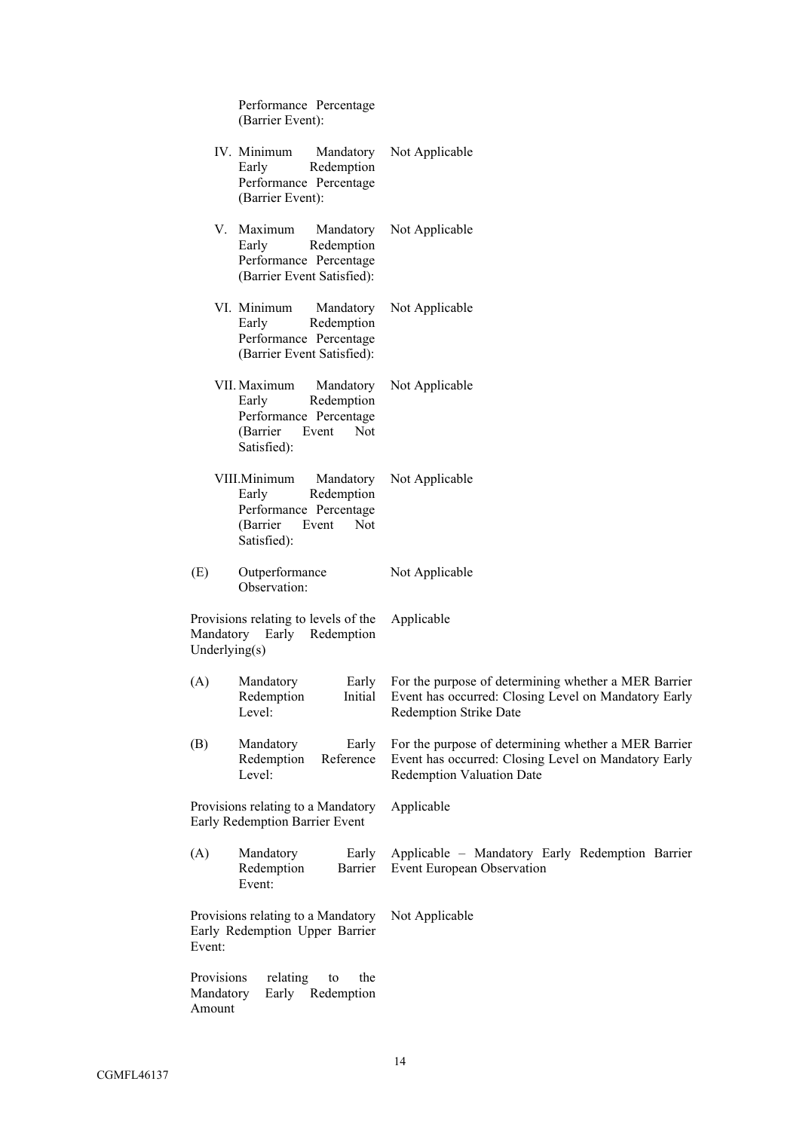|                                   | Performance Percentage<br>(Barrier Event):                                                                             |                                                                                                                                                  |
|-----------------------------------|------------------------------------------------------------------------------------------------------------------------|--------------------------------------------------------------------------------------------------------------------------------------------------|
|                                   | IV. Minimum<br>Mandatory<br>Redemption<br>Early<br>Performance Percentage<br>(Barrier Event):                          | Not Applicable                                                                                                                                   |
|                                   | V. Maximum<br>Mandatory<br>Redemption<br>Early<br>Performance Percentage<br>(Barrier Event Satisfied):                 | Not Applicable                                                                                                                                   |
|                                   | VI. Minimum<br>Mandatory<br>Redemption<br>Early<br>Performance Percentage<br>(Barrier Event Satisfied):                | Not Applicable                                                                                                                                   |
|                                   | VII. Maximum<br>Mandatory<br>Redemption<br>Early<br>Performance Percentage<br>(Barrier)<br>Event<br>Not<br>Satisfied): | Not Applicable                                                                                                                                   |
|                                   | VIII.Minimum<br>Mandatory<br>Redemption<br>Early<br>Performance Percentage<br>(Barrier<br>Not<br>Event<br>Satisfied):  | Not Applicable                                                                                                                                   |
| (E)                               | Outperformance<br>Observation:                                                                                         | Not Applicable                                                                                                                                   |
|                                   | Provisions relating to levels of the<br>Mandatory Early Redemption<br>Underlying(s)                                    | Applicable                                                                                                                                       |
| (A)                               | Mandatory<br>Early<br>Redemption<br>Initial<br>Level:                                                                  | For the purpose of determining whether a MER Barrier<br>Event has occurred: Closing Level on Mandatory Early<br><b>Redemption Strike Date</b>    |
| (B)                               | Mandatory<br>Early<br>Redemption<br>Reference<br>Level:                                                                | For the purpose of determining whether a MER Barrier<br>Event has occurred: Closing Level on Mandatory Early<br><b>Redemption Valuation Date</b> |
|                                   | Provisions relating to a Mandatory<br>Early Redemption Barrier Event                                                   | Applicable                                                                                                                                       |
| (A)                               | Mandatory<br>Early<br>Redemption<br>Barrier<br>Event:                                                                  | Applicable - Mandatory Early Redemption Barrier<br>Event European Observation                                                                    |
| Event:                            | Provisions relating to a Mandatory<br>Early Redemption Upper Barrier                                                   | Not Applicable                                                                                                                                   |
| Provisions<br>Mandatory<br>Amount | relating<br>to<br>the<br>Early Redemption                                                                              |                                                                                                                                                  |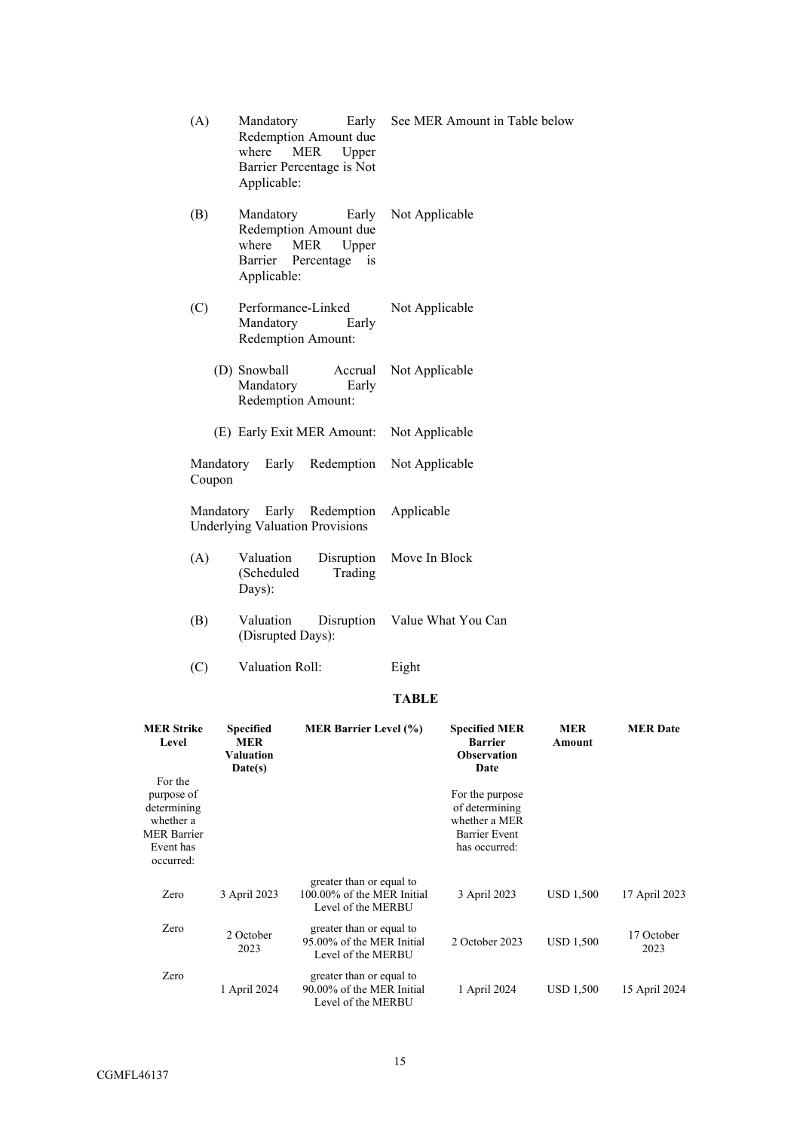| (A)    | Mandatory<br>Early<br>Redemption Amount due<br>where<br>MER<br>Upper<br>Barrier Percentage is Not<br>Applicable:          | See MER Amount in Table below |
|--------|---------------------------------------------------------------------------------------------------------------------------|-------------------------------|
| (B)    | Mandatory<br>Early<br>Redemption Amount due<br><b>MER</b><br>where<br>Upper<br>Barrier<br>Percentage<br>1S<br>Applicable: | Not Applicable                |
| (C)    | Performance-Linked<br>Mandatory<br>Early<br>Redemption Amount:                                                            | Not Applicable                |
|        | (D) Snowball<br>Accrual<br>Mandatory<br>Early<br>Redemption Amount:                                                       | Not Applicable                |
|        | (E) Early Exit MER Amount: Not Applicable                                                                                 |                               |
| Coupon | Mandatory Early                                                                                                           | Redemption Not Applicable     |
|        | Mandatory Early Redemption<br><b>Underlying Valuation Provisions</b>                                                      | Applicable                    |
| (A)    | Valuation<br>Disruption<br>(Scheduled<br>Trading<br>Days):                                                                | Move In Block                 |
| (B)    | Valuation<br>(Disrupted Days):                                                                                            | Disruption Value What You Can |

(C) Valuation Roll: Eight

# **TABLE**

| <b>MER Strike</b><br>Level                                                                        | <b>Specified</b><br><b>MER</b><br>Valuation<br>Date(s) | <b>MER Barrier Level (%)</b>                                                 | <b>Specified MER</b><br><b>Barrier</b><br><b>Observation</b><br>Date                        | <b>MER</b><br>Amount | <b>MER Date</b>    |
|---------------------------------------------------------------------------------------------------|--------------------------------------------------------|------------------------------------------------------------------------------|---------------------------------------------------------------------------------------------|----------------------|--------------------|
| For the<br>purpose of<br>determining<br>whether a<br><b>MER Barrier</b><br>Event has<br>occurred: |                                                        |                                                                              | For the purpose<br>of determining<br>whether a MER<br><b>Barrier Event</b><br>has occurred: |                      |                    |
| Zero                                                                                              | 3 April 2023                                           | greater than or equal to<br>100,00% of the MER Initial<br>Level of the MERBU | 3 April 2023                                                                                | <b>USD 1,500</b>     | 17 April 2023      |
| Zero                                                                                              | 2 October<br>2023                                      | greater than or equal to<br>95,00% of the MER Initial<br>Level of the MERBU  | 2 October 2023                                                                              | <b>USD 1,500</b>     | 17 October<br>2023 |
| Zero                                                                                              | 1 April 2024                                           | greater than or equal to<br>90.00% of the MER Initial<br>Level of the MERBU  | 1 April 2024                                                                                | <b>USD 1,500</b>     | 15 April 2024      |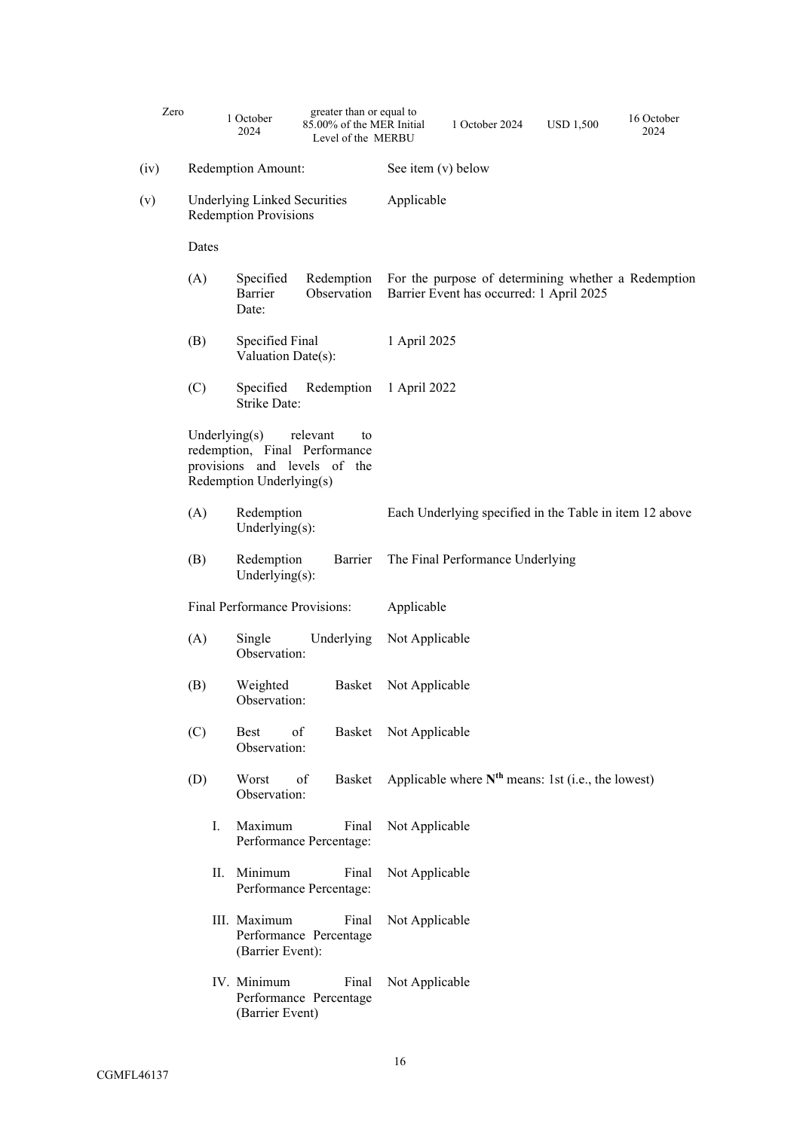| Zero |                                                                     | 1 October<br>2024                     | greater than or equal to<br>85.00% of the MER Initial<br>Level of the MERBU     |                | 1 October 2024                                                                                  | <b>USD 1,500</b> | 16 October<br>2024 |
|------|---------------------------------------------------------------------|---------------------------------------|---------------------------------------------------------------------------------|----------------|-------------------------------------------------------------------------------------------------|------------------|--------------------|
| (iv) | Redemption Amount:                                                  |                                       | See item (v) below                                                              |                |                                                                                                 |                  |                    |
| (v)  | <b>Underlying Linked Securities</b><br><b>Redemption Provisions</b> |                                       | Applicable                                                                      |                |                                                                                                 |                  |                    |
|      | Dates                                                               |                                       |                                                                                 |                |                                                                                                 |                  |                    |
|      | (A)                                                                 | Specified<br>Barrier<br>Date:         | Redemption<br>Observation                                                       |                | For the purpose of determining whether a Redemption<br>Barrier Event has occurred: 1 April 2025 |                  |                    |
|      | (B)                                                                 | Specified Final<br>Valuation Date(s): |                                                                                 | 1 April 2025   |                                                                                                 |                  |                    |
|      | (C)                                                                 | Specified<br><b>Strike Date:</b>      | Redemption                                                                      | 1 April 2022   |                                                                                                 |                  |                    |
|      | Underlying $(s)$                                                    | Redemption Underlying(s)              | relevant<br>to<br>redemption, Final Performance<br>provisions and levels of the |                |                                                                                                 |                  |                    |
|      | (A)                                                                 | Redemption<br>Underlying $(s)$ :      |                                                                                 |                | Each Underlying specified in the Table in item 12 above                                         |                  |                    |
|      | (B)                                                                 | Redemption<br>Underlying $(s)$ :      | Barrier                                                                         |                | The Final Performance Underlying                                                                |                  |                    |
|      | Final Performance Provisions:                                       |                                       | Applicable                                                                      |                |                                                                                                 |                  |                    |
|      | (A)                                                                 | Single<br>Observation:                | Underlying                                                                      | Not Applicable |                                                                                                 |                  |                    |
|      | (B)                                                                 | Weighted<br>Observation:              | Basket                                                                          | Not Applicable |                                                                                                 |                  |                    |
|      | (C)                                                                 | <b>Best</b><br>Observation:           | of<br>Basket                                                                    | Not Applicable |                                                                                                 |                  |                    |
|      | (D)                                                                 | Worst<br>Observation:                 | of<br>Basket                                                                    |                | Applicable where $N^{th}$ means: 1st (i.e., the lowest)                                         |                  |                    |
|      | Ι.                                                                  | Maximum                               | Final<br>Performance Percentage:                                                | Not Applicable |                                                                                                 |                  |                    |
|      | П.                                                                  | Minimum                               | Final<br>Performance Percentage:                                                | Not Applicable |                                                                                                 |                  |                    |
|      |                                                                     | III. Maximum<br>(Barrier Event):      | Final<br>Performance Percentage                                                 | Not Applicable |                                                                                                 |                  |                    |
|      |                                                                     | IV. Minimum<br>(Barrier Event)        | Final<br>Performance Percentage                                                 | Not Applicable |                                                                                                 |                  |                    |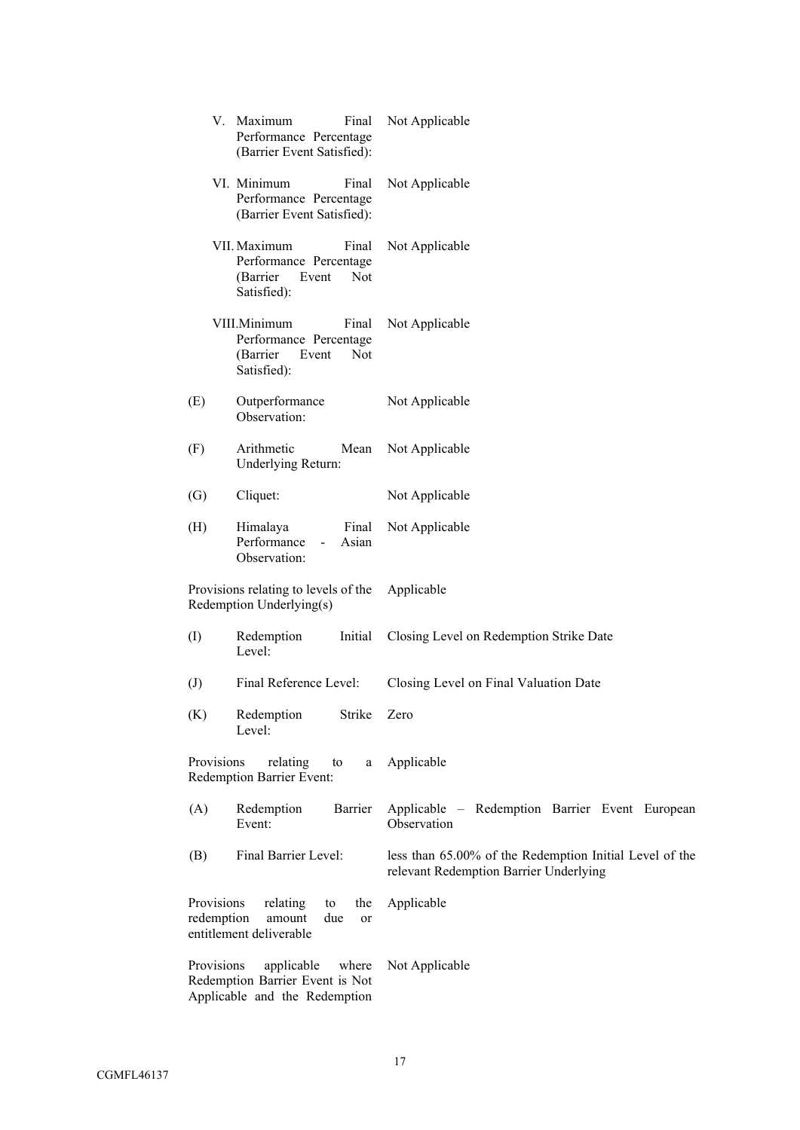|                            | V. Maximum<br>Final<br>Performance Percentage<br>(Barrier Event Satisfied):                | Not Applicable                                                                                    |
|----------------------------|--------------------------------------------------------------------------------------------|---------------------------------------------------------------------------------------------------|
|                            | VI. Minimum<br>Final<br>Performance Percentage<br>(Barrier Event Satisfied):               | Not Applicable                                                                                    |
|                            | VII. Maximum<br>Final<br>Performance Percentage<br>(Barrier<br>Event<br>Not<br>Satisfied): | Not Applicable                                                                                    |
|                            | VIII.Minimum<br>Final<br>Performance Percentage<br>(Barrier<br>Event<br>Not<br>Satisfied): | Not Applicable                                                                                    |
| (E)                        | Outperformance<br>Observation:                                                             | Not Applicable                                                                                    |
| (F)                        | Arithmetic<br>Mean<br>Underlying Return:                                                   | Not Applicable                                                                                    |
| $\left( G\right)$          | Cliquet:                                                                                   | Not Applicable                                                                                    |
| (H)                        | Himalaya<br>Final<br>Performance<br>Asian<br>$\sim$<br>Observation:                        | Not Applicable                                                                                    |
|                            | Provisions relating to levels of the<br>Redemption Underlying(s)                           | Applicable                                                                                        |
| (I)                        | Initial<br>Redemption<br>Level:                                                            | Closing Level on Redemption Strike Date                                                           |
| $\left( \mathrm{J}\right)$ | Final Reference Level:                                                                     | Closing Level on Final Valuation Date                                                             |
| (K)                        | Redemption<br>Strike Zero<br>Level:                                                        |                                                                                                   |
| Provisions                 | relating<br>to<br>a<br><b>Redemption Barrier Event:</b>                                    | Applicable                                                                                        |
| (A)                        | Barrier<br>Redemption<br>Event:                                                            | Applicable – Redemption Barrier Event European<br>Observation                                     |
| (B)                        | Final Barrier Level:                                                                       | less than 65.00% of the Redemption Initial Level of the<br>relevant Redemption Barrier Underlying |
| Provisions<br>redemption   | relating<br>the<br>to<br>amount<br>due<br>or<br>entitlement deliverable                    | Applicable                                                                                        |
| Provisions                 | applicable<br>where<br>Redemption Barrier Event is Not<br>Applicable and the Redemption    | Not Applicable                                                                                    |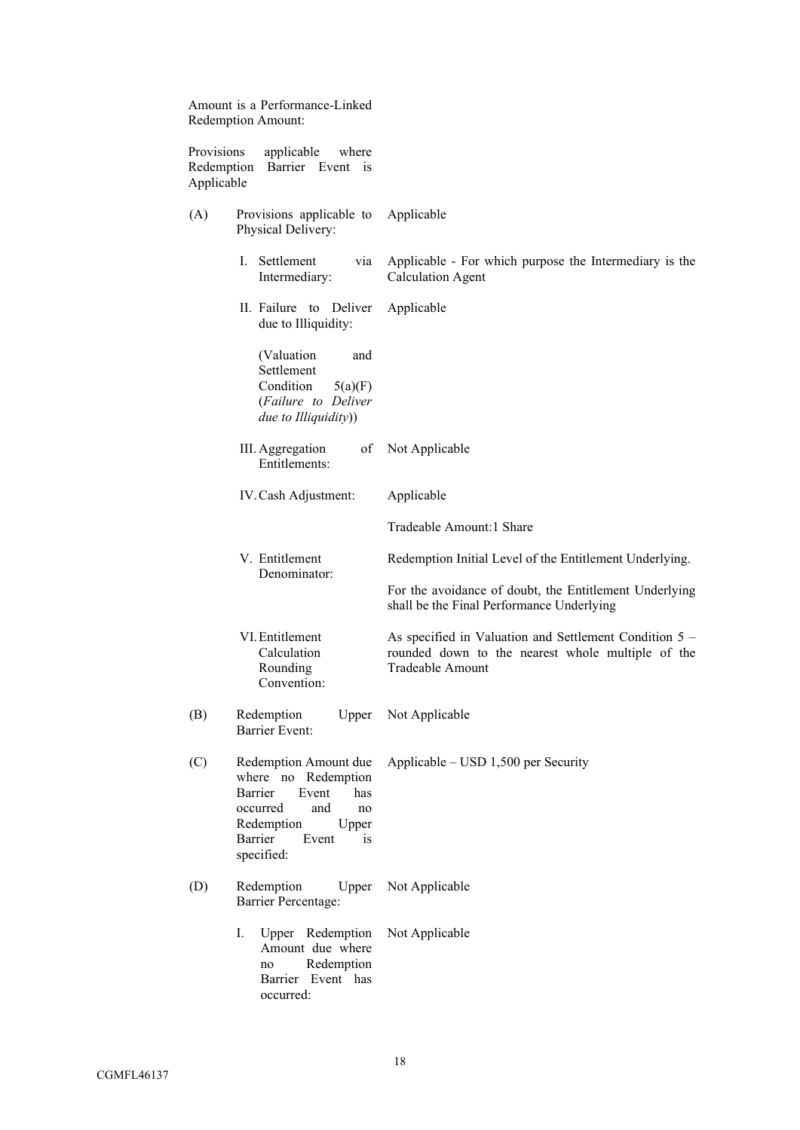|                                        | Amount is a Performance-Linked<br>Redemption Amount:                                                                                                             |                                                                                                                                 |
|----------------------------------------|------------------------------------------------------------------------------------------------------------------------------------------------------------------|---------------------------------------------------------------------------------------------------------------------------------|
| Provisions<br>Redemption<br>Applicable | applicable<br>where<br>Barrier Event is                                                                                                                          |                                                                                                                                 |
| (A)                                    | Provisions applicable to<br>Physical Delivery:                                                                                                                   | Applicable                                                                                                                      |
|                                        | I. Settlement<br>via<br>Intermediary:                                                                                                                            | Applicable - For which purpose the Intermediary is the<br><b>Calculation Agent</b>                                              |
|                                        | II. Failure to Deliver<br>due to Illiquidity:                                                                                                                    | Applicable                                                                                                                      |
|                                        | (Valuation<br>and<br>Settlement<br>Condition<br>5(a)(F)<br>(Failure to Deliver<br>due to Illiquidity))                                                           |                                                                                                                                 |
|                                        | III. Aggregation<br>of<br>Entitlements:                                                                                                                          | Not Applicable                                                                                                                  |
|                                        | IV. Cash Adjustment:                                                                                                                                             | Applicable                                                                                                                      |
|                                        |                                                                                                                                                                  | Tradeable Amount:1 Share                                                                                                        |
| V. Entitlement<br>Denominator:         |                                                                                                                                                                  | Redemption Initial Level of the Entitlement Underlying.                                                                         |
|                                        |                                                                                                                                                                  | For the avoidance of doubt, the Entitlement Underlying<br>shall be the Final Performance Underlying                             |
|                                        | VI. Entitlement<br>Calculation<br>Rounding<br>Convention:                                                                                                        | As specified in Valuation and Settlement Condition 5 -<br>rounded down to the nearest whole multiple of the<br>Tradeable Amount |
| (B)                                    | Redemption<br><b>Barrier Event:</b>                                                                                                                              | Upper Not Applicable                                                                                                            |
| (C)                                    | Redemption Amount due<br>where no Redemption<br>Barrier<br>Event<br>has<br>occurred<br>and<br>no<br>Redemption<br>Upper<br>Barrier<br>Event<br>is.<br>specified: | Applicable $-$ USD 1,500 per Security                                                                                           |
| (D)                                    | Redemption<br>Upper<br><b>Barrier Percentage:</b>                                                                                                                | Not Applicable                                                                                                                  |
|                                        | I.<br>Upper Redemption<br>Amount due where<br>Redemption<br>no<br>Barrier Event has<br>occurred:                                                                 | Not Applicable                                                                                                                  |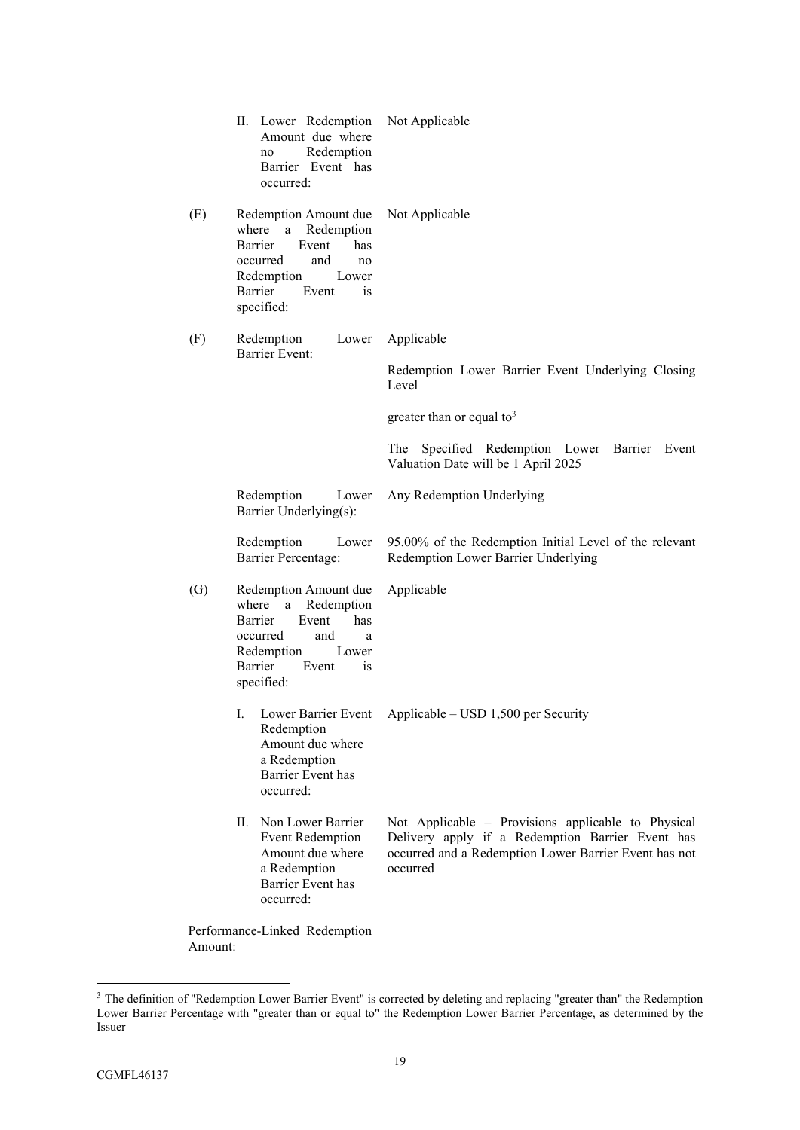|                   | II. Lower Redemption<br>Amount due where<br>Redemption<br>no<br>Barrier Event has<br>occurred:                                                                                 | Not Applicable                                                                                                                                                              |
|-------------------|--------------------------------------------------------------------------------------------------------------------------------------------------------------------------------|-----------------------------------------------------------------------------------------------------------------------------------------------------------------------------|
| (E)               | Redemption Amount due<br>where<br>a Redemption<br>Event<br>Barrier<br>has<br>occurred<br>and<br>no<br>Redemption<br>Lower<br>Barrier<br>Event<br>$\overline{1}S$<br>specified: | Not Applicable                                                                                                                                                              |
| (F)               | Redemption<br>Lower<br><b>Barrier Event:</b>                                                                                                                                   | Applicable                                                                                                                                                                  |
|                   |                                                                                                                                                                                | Redemption Lower Barrier Event Underlying Closing<br>Level                                                                                                                  |
|                   |                                                                                                                                                                                | greater than or equal to <sup>3</sup>                                                                                                                                       |
|                   |                                                                                                                                                                                | Specified Redemption Lower Barrier Event<br>The<br>Valuation Date will be 1 April 2025                                                                                      |
|                   | Redemption<br>Lower<br>Barrier Underlying(s):                                                                                                                                  | Any Redemption Underlying                                                                                                                                                   |
|                   | Redemption<br>Lower<br><b>Barrier Percentage:</b>                                                                                                                              | 95.00% of the Redemption Initial Level of the relevant<br>Redemption Lower Barrier Underlying                                                                               |
| $\left( G\right)$ | Redemption Amount due<br>where a Redemption<br>Barrier<br>Event<br>has<br>and<br>occurred<br>a<br>Redemption<br>Lower<br>Barrier<br>Event<br>$\overline{1}S$<br>specified:     | Applicable                                                                                                                                                                  |
|                   | Ι.<br>Redemption<br>Amount due where<br>a Redemption<br><b>Barrier Event has</b><br>occurred:                                                                                  | Lower Barrier Event Applicable - USD 1,500 per Security                                                                                                                     |
|                   | П.<br>Non Lower Barrier<br><b>Event Redemption</b><br>Amount due where<br>a Redemption<br>Barrier Event has<br>occurred:                                                       | Not Applicable - Provisions applicable to Physical<br>Delivery apply if a Redemption Barrier Event has<br>occurred and a Redemption Lower Barrier Event has not<br>occurred |
|                   |                                                                                                                                                                                |                                                                                                                                                                             |

Performance-Linked Redemption Amount:

<sup>&</sup>lt;sup>3</sup> The definition of "Redemption Lower Barrier Event" is corrected by deleting and replacing "greater than" the Redemption Lower Barrier Percentage with "greater than or equal to" the Redemption Lower Barrier Percentage, as determined by the Issuer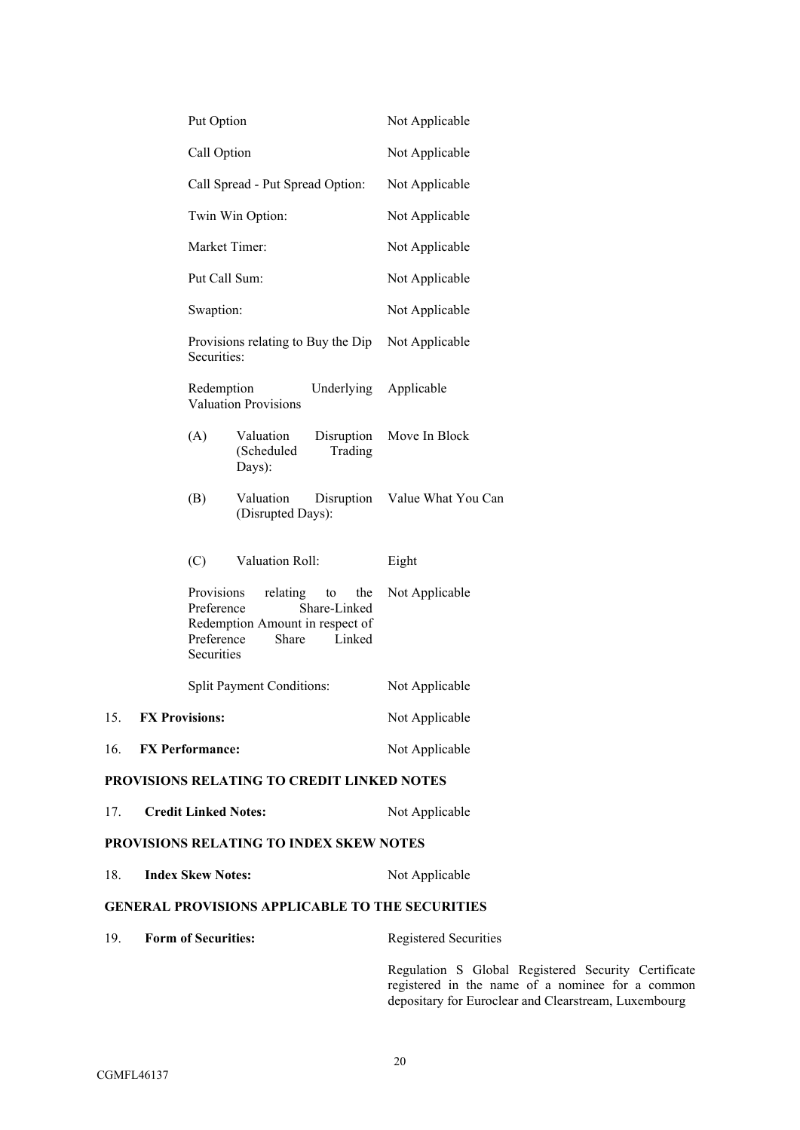|     |                                                                       | Put Option                                           |                                                      |                                     | Not Applicable                                                                                                                                                  |
|-----|-----------------------------------------------------------------------|------------------------------------------------------|------------------------------------------------------|-------------------------------------|-----------------------------------------------------------------------------------------------------------------------------------------------------------------|
|     |                                                                       | Call Option                                          |                                                      |                                     | Not Applicable                                                                                                                                                  |
|     | Call Spread - Put Spread Option:<br>Twin Win Option:<br>Market Timer: |                                                      |                                                      |                                     | Not Applicable                                                                                                                                                  |
|     |                                                                       |                                                      |                                                      |                                     | Not Applicable                                                                                                                                                  |
|     |                                                                       |                                                      |                                                      |                                     | Not Applicable                                                                                                                                                  |
|     |                                                                       |                                                      | Put Call Sum:                                        |                                     | Not Applicable                                                                                                                                                  |
|     |                                                                       | Swaption:                                            |                                                      |                                     | Not Applicable                                                                                                                                                  |
|     |                                                                       | Securities:                                          | Provisions relating to Buy the Dip                   |                                     | Not Applicable                                                                                                                                                  |
|     |                                                                       | Redemption                                           | <b>Valuation Provisions</b>                          | Underlying                          | Applicable                                                                                                                                                      |
|     |                                                                       | (A)                                                  | Valuation<br>(Scheduled<br>Days):                    | Disruption<br>Trading               | Move In Block                                                                                                                                                   |
|     |                                                                       | (B)                                                  | Valuation<br>(Disrupted Days):                       |                                     | Disruption Value What You Can                                                                                                                                   |
|     |                                                                       | (C)                                                  | Valuation Roll:                                      |                                     | Eight                                                                                                                                                           |
|     |                                                                       | Provisions<br>Preference<br>Preference<br>Securities | relating<br>Redemption Amount in respect of<br>Share | the<br>to<br>Share-Linked<br>Linked | Not Applicable                                                                                                                                                  |
|     |                                                                       |                                                      | <b>Split Payment Conditions:</b>                     |                                     | Not Applicable                                                                                                                                                  |
| 15. |                                                                       | <b>FX Provisions:</b>                                |                                                      |                                     | Not Applicable                                                                                                                                                  |
| 16. |                                                                       | <b>FX Performance:</b>                               |                                                      |                                     | Not Applicable                                                                                                                                                  |
|     |                                                                       |                                                      | PROVISIONS RELATING TO CREDIT LINKED NOTES           |                                     |                                                                                                                                                                 |
| 17. |                                                                       | <b>Credit Linked Notes:</b>                          |                                                      |                                     | Not Applicable                                                                                                                                                  |
|     |                                                                       |                                                      | PROVISIONS RELATING TO INDEX SKEW NOTES              |                                     |                                                                                                                                                                 |
| 18. | <b>Index Skew Notes:</b>                                              |                                                      |                                                      |                                     | Not Applicable                                                                                                                                                  |
|     |                                                                       |                                                      |                                                      |                                     | <b>GENERAL PROVISIONS APPLICABLE TO THE SECURITIES</b>                                                                                                          |
| 19. |                                                                       | <b>Form of Securities:</b>                           |                                                      |                                     | Registered Securities                                                                                                                                           |
|     |                                                                       |                                                      |                                                      |                                     | Regulation S Global Registered Security Certificate<br>registered in the name of a nominee for a common<br>depositary for Euroclear and Clearstream, Luxembourg |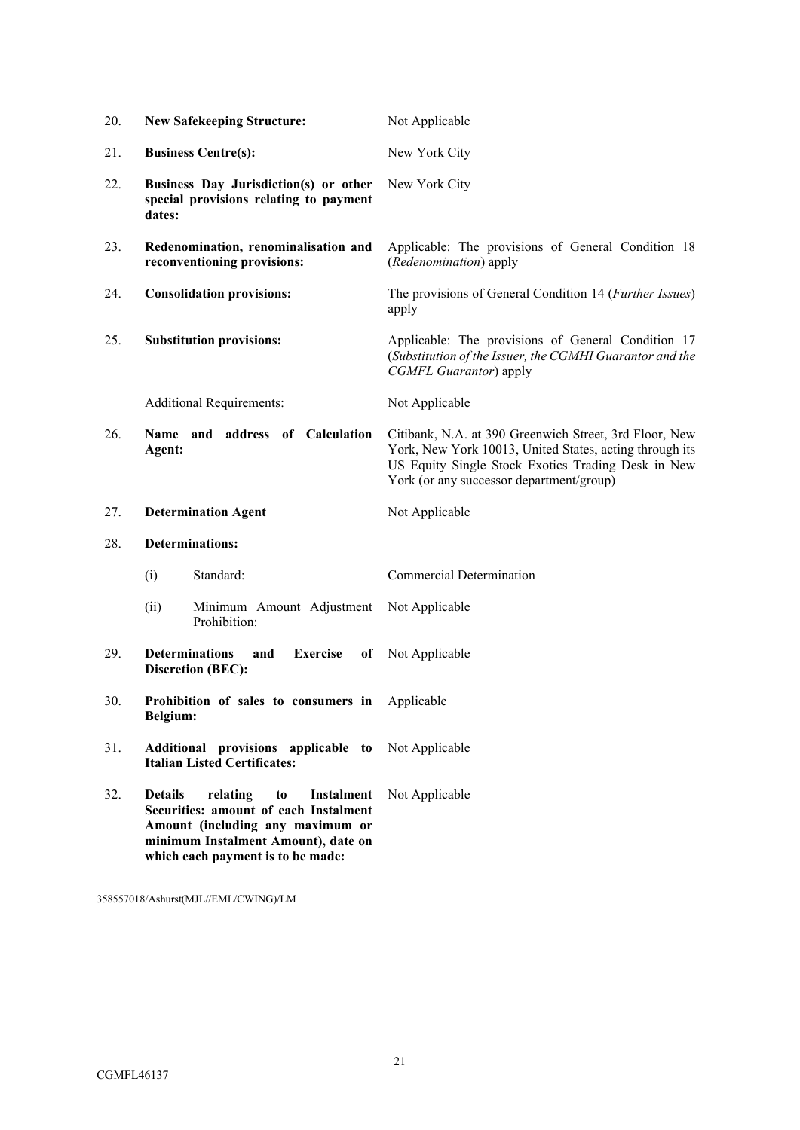| 20. | <b>New Safekeeping Structure:</b>                                                                                                                                                                       | Not Applicable                                                                                                                                                                                                      |  |  |  |  |
|-----|---------------------------------------------------------------------------------------------------------------------------------------------------------------------------------------------------------|---------------------------------------------------------------------------------------------------------------------------------------------------------------------------------------------------------------------|--|--|--|--|
| 21. | <b>Business Centre(s):</b>                                                                                                                                                                              | New York City                                                                                                                                                                                                       |  |  |  |  |
| 22. | Business Day Jurisdiction(s) or other<br>special provisions relating to payment<br>dates:                                                                                                               | New York City                                                                                                                                                                                                       |  |  |  |  |
| 23. | Redenomination, renominalisation and<br>reconventioning provisions:                                                                                                                                     | Applicable: The provisions of General Condition 18<br>(Redenomination) apply                                                                                                                                        |  |  |  |  |
| 24. | <b>Consolidation provisions:</b>                                                                                                                                                                        | The provisions of General Condition 14 ( <i>Further Issues</i> )<br>apply                                                                                                                                           |  |  |  |  |
| 25. | <b>Substitution provisions:</b>                                                                                                                                                                         | Applicable: The provisions of General Condition 17<br>(Substitution of the Issuer, the CGMHI Guarantor and the<br>CGMFL Guarantor) apply                                                                            |  |  |  |  |
|     | <b>Additional Requirements:</b>                                                                                                                                                                         | Not Applicable                                                                                                                                                                                                      |  |  |  |  |
| 26. | Name and address of Calculation<br>Agent:                                                                                                                                                               | Citibank, N.A. at 390 Greenwich Street, 3rd Floor, New<br>York, New York 10013, United States, acting through its<br>US Equity Single Stock Exotics Trading Desk in New<br>York (or any successor department/group) |  |  |  |  |
| 27. | <b>Determination Agent</b>                                                                                                                                                                              | Not Applicable                                                                                                                                                                                                      |  |  |  |  |
| 28. | <b>Determinations:</b>                                                                                                                                                                                  |                                                                                                                                                                                                                     |  |  |  |  |
|     | Standard:<br>(i)                                                                                                                                                                                        | Commercial Determination                                                                                                                                                                                            |  |  |  |  |
|     | (ii)<br>Minimum Amount Adjustment<br>Prohibition:                                                                                                                                                       | Not Applicable                                                                                                                                                                                                      |  |  |  |  |
| 29. | <b>Determinations</b><br><b>Exercise</b><br>and<br>of<br>Discretion (BEC):                                                                                                                              | Not Applicable                                                                                                                                                                                                      |  |  |  |  |
| 30. | Prohibition of sales to consumers in<br>Belgium:                                                                                                                                                        | Applicable                                                                                                                                                                                                          |  |  |  |  |
| 31. | Additional provisions applicable to<br><b>Italian Listed Certificates:</b>                                                                                                                              | Not Applicable                                                                                                                                                                                                      |  |  |  |  |
| 32. | <b>Details</b><br>relating<br>Instalment<br>to<br>Securities: amount of each Instalment<br>Amount (including any maximum or<br>minimum Instalment Amount), date on<br>which each payment is to be made: | Not Applicable                                                                                                                                                                                                      |  |  |  |  |

358557018/Ashurst(MJL//EML/CWING)/LM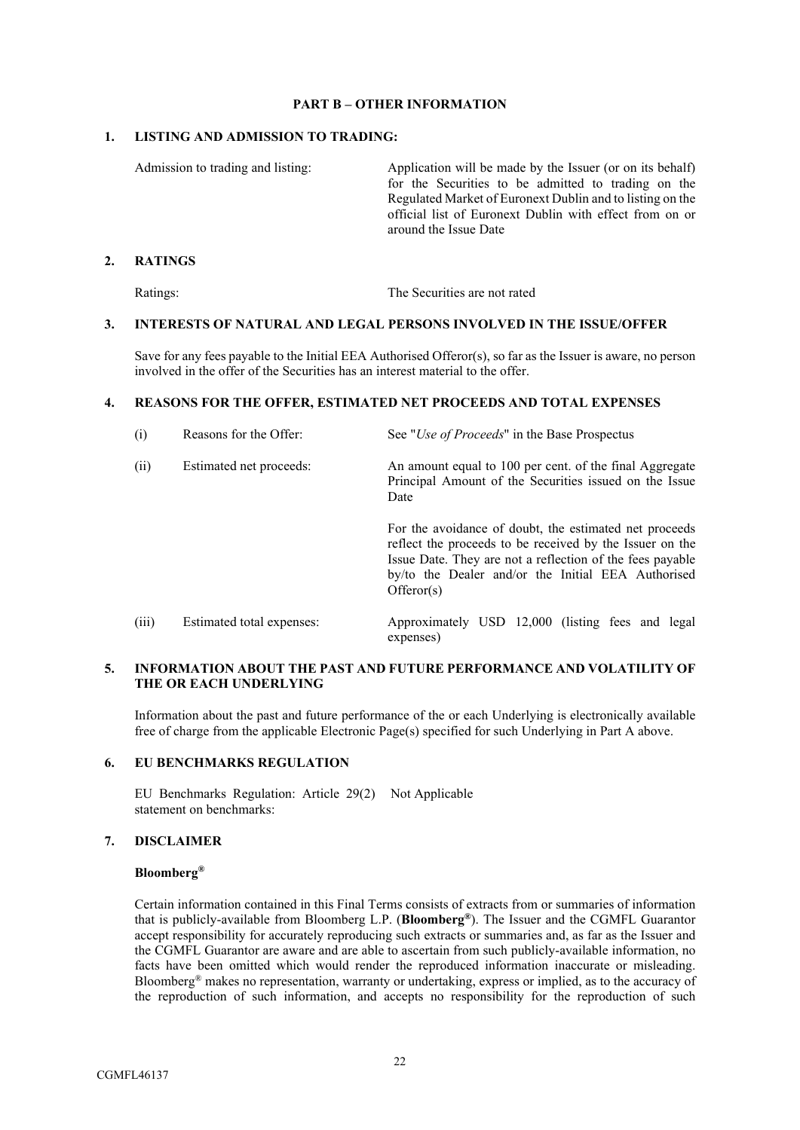## **PART B – OTHER INFORMATION**

## **1. LISTING AND ADMISSION TO TRADING:**

Admission to trading and listing: Application will be made by the Issuer (or on its behalf) for the Securities to be admitted to trading on the Regulated Market of Euronext Dublin and to listing on the official list of Euronext Dublin with effect from on or around the Issue Date

## **2. RATINGS**

Ratings: The Securities are not rated

## **3. INTERESTS OF NATURAL AND LEGAL PERSONS INVOLVED IN THE ISSUE/OFFER**

Save for any fees payable to the Initial EEA Authorised Offeror(s), so far as the Issuer is aware, no person involved in the offer of the Securities has an interest material to the offer.

## **4. REASONS FOR THE OFFER, ESTIMATED NET PROCEEDS AND TOTAL EXPENSES**

| (i)   | Reasons for the Offer:    | See " <i>Use of Proceeds</i> " in the Base Prospectus                                                                                                                                                                                               |  |  |  |  |  |  |  |
|-------|---------------------------|-----------------------------------------------------------------------------------------------------------------------------------------------------------------------------------------------------------------------------------------------------|--|--|--|--|--|--|--|
| (ii)  | Estimated net proceeds:   | An amount equal to 100 per cent. of the final Aggregate<br>Principal Amount of the Securities issued on the Issue<br>Date                                                                                                                           |  |  |  |  |  |  |  |
|       |                           | For the avoidance of doubt, the estimated net proceeds<br>reflect the proceeds to be received by the Issuer on the<br>Issue Date. They are not a reflection of the fees payable<br>by/to the Dealer and/or the Initial EEA Authorised<br>Offeror(s) |  |  |  |  |  |  |  |
| (iii) | Estimated total expenses: | Approximately USD 12,000 (listing fees and legal<br>expenses)                                                                                                                                                                                       |  |  |  |  |  |  |  |

## **5. INFORMATION ABOUT THE PAST AND FUTURE PERFORMANCE AND VOLATILITY OF THE OR EACH UNDERLYING**

Information about the past and future performance of the or each Underlying is electronically available free of charge from the applicable Electronic Page(s) specified for such Underlying in Part A above.

## **6. EU BENCHMARKS REGULATION**

EU Benchmarks Regulation: Article 29(2) Not Applicable statement on benchmarks:

## **7. DISCLAIMER**

## **Bloomberg®**

Certain information contained in this Final Terms consists of extracts from or summaries of information that is publicly-available from Bloomberg L.P. (**Bloomberg®**). The Issuer and the CGMFL Guarantor accept responsibility for accurately reproducing such extracts or summaries and, as far as the Issuer and the CGMFL Guarantor are aware and are able to ascertain from such publicly-available information, no facts have been omitted which would render the reproduced information inaccurate or misleading. Bloomberg® makes no representation, warranty or undertaking, express or implied, as to the accuracy of the reproduction of such information, and accepts no responsibility for the reproduction of such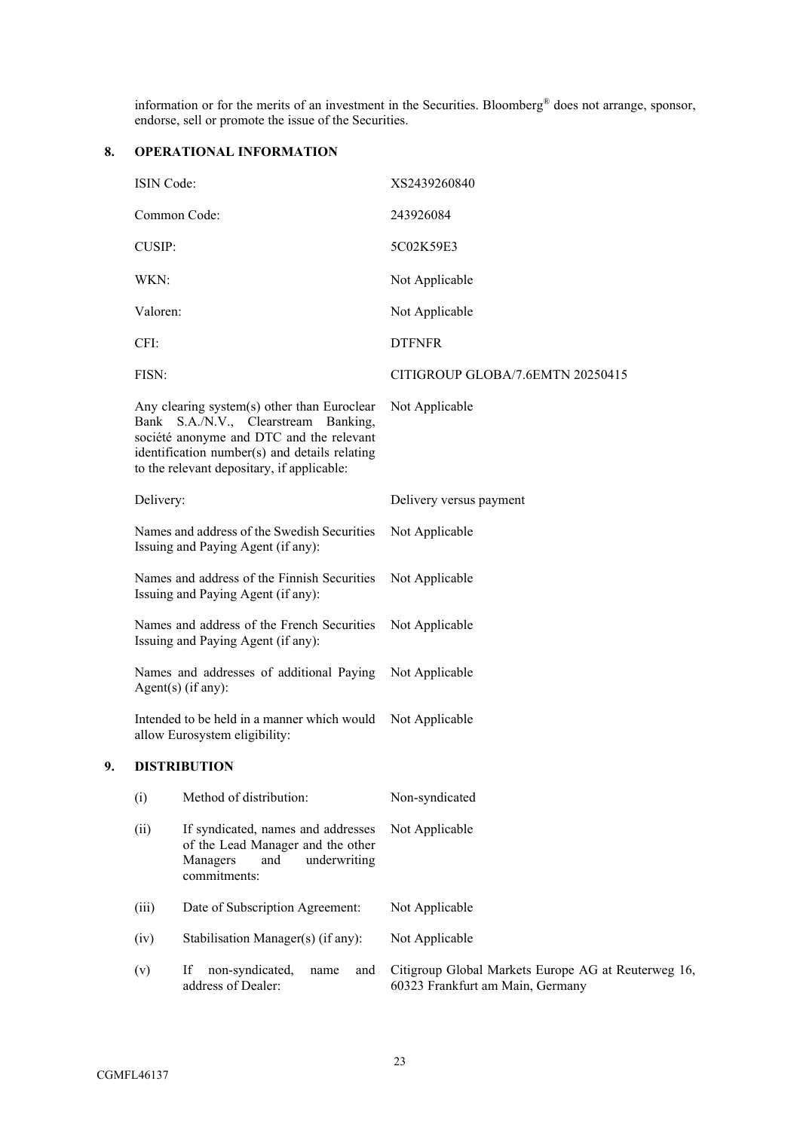information or for the merits of an investment in the Securities. Bloomberg® does not arrange, sponsor, endorse, sell or promote the issue of the Securities.

# **8. OPERATIONAL INFORMATION**

| ISIN Code:                                                                                                                                                                                                                     |                                                                                                                            | XS2439260840                                                                            |  |  |  |  |
|--------------------------------------------------------------------------------------------------------------------------------------------------------------------------------------------------------------------------------|----------------------------------------------------------------------------------------------------------------------------|-----------------------------------------------------------------------------------------|--|--|--|--|
|                                                                                                                                                                                                                                | Common Code:                                                                                                               | 243926084                                                                               |  |  |  |  |
| CUSIP:                                                                                                                                                                                                                         |                                                                                                                            | 5C02K59E3                                                                               |  |  |  |  |
| WKN:                                                                                                                                                                                                                           |                                                                                                                            | Not Applicable                                                                          |  |  |  |  |
| Valoren:                                                                                                                                                                                                                       |                                                                                                                            | Not Applicable                                                                          |  |  |  |  |
| CFI:                                                                                                                                                                                                                           |                                                                                                                            | <b>DTFNFR</b>                                                                           |  |  |  |  |
| FISN:                                                                                                                                                                                                                          |                                                                                                                            | CITIGROUP GLOBA/7.6EMTN 20250415                                                        |  |  |  |  |
| Any clearing system(s) other than Euroclear<br>Bank S.A./N.V., Clearstream Banking,<br>société anonyme and DTC and the relevant<br>identification number(s) and details relating<br>to the relevant depositary, if applicable: |                                                                                                                            | Not Applicable                                                                          |  |  |  |  |
| Delivery:                                                                                                                                                                                                                      |                                                                                                                            | Delivery versus payment                                                                 |  |  |  |  |
| Names and address of the Swedish Securities<br>Issuing and Paying Agent (if any):                                                                                                                                              |                                                                                                                            | Not Applicable                                                                          |  |  |  |  |
| Names and address of the Finnish Securities<br>Issuing and Paying Agent (if any):                                                                                                                                              |                                                                                                                            | Not Applicable                                                                          |  |  |  |  |
|                                                                                                                                                                                                                                | Names and address of the French Securities<br>Issuing and Paying Agent (if any):                                           | Not Applicable                                                                          |  |  |  |  |
|                                                                                                                                                                                                                                | Names and addresses of additional Paying<br>$Agent(s)$ (if any):                                                           | Not Applicable                                                                          |  |  |  |  |
|                                                                                                                                                                                                                                | Intended to be held in a manner which would<br>allow Eurosystem eligibility:                                               | Not Applicable                                                                          |  |  |  |  |
|                                                                                                                                                                                                                                | <b>DISTRIBUTION</b>                                                                                                        |                                                                                         |  |  |  |  |
| (i)                                                                                                                                                                                                                            | Method of distribution:                                                                                                    | Non-syndicated                                                                          |  |  |  |  |
| (ii)                                                                                                                                                                                                                           | If syndicated, names and addresses<br>of the Lead Manager and the other<br>Managers<br>and<br>underwriting<br>commitments: | Not Applicable                                                                          |  |  |  |  |
| (iii)                                                                                                                                                                                                                          | Date of Subscription Agreement:                                                                                            | Not Applicable                                                                          |  |  |  |  |
| (iv)                                                                                                                                                                                                                           | Stabilisation Manager(s) (if any):                                                                                         | Not Applicable                                                                          |  |  |  |  |
| (v)                                                                                                                                                                                                                            | non-syndicated,<br>If<br>and<br>name<br>address of Dealer:                                                                 | Citigroup Global Markets Europe AG at Reuterweg 16,<br>60323 Frankfurt am Main, Germany |  |  |  |  |

**9. DISTRIBUTION**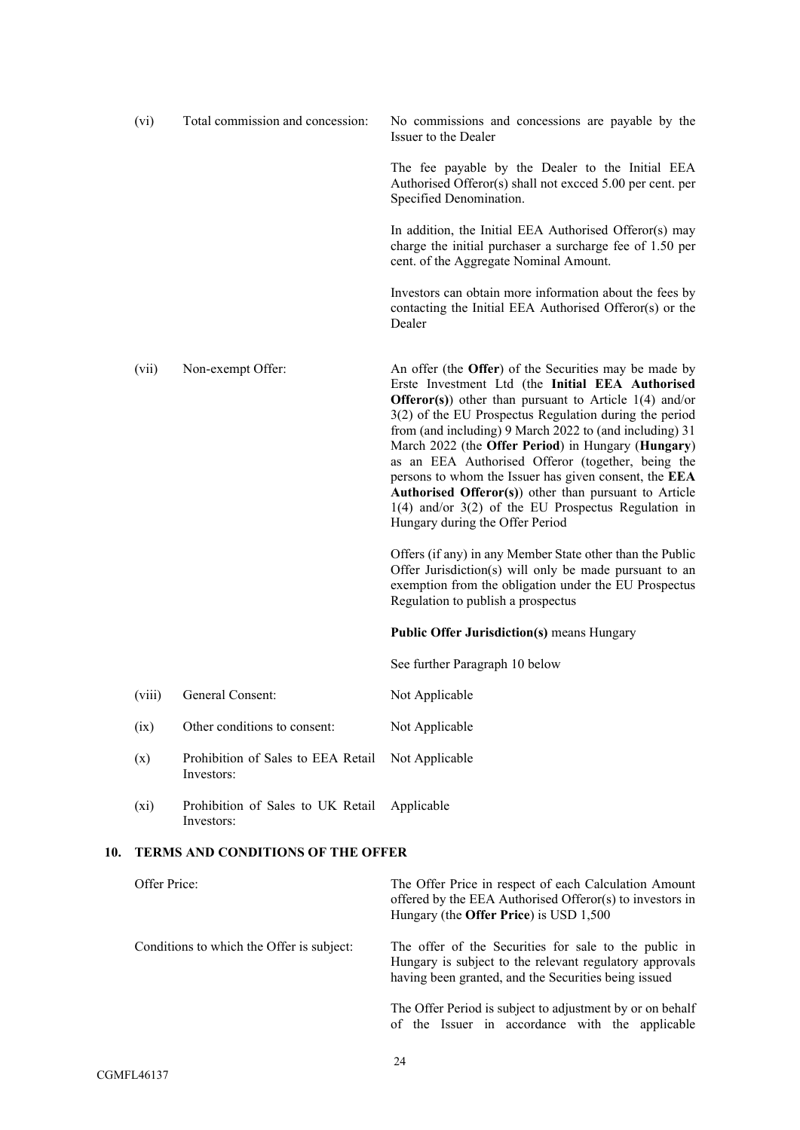|     | (vi)         | Total commission and concession:                 | No commissions and concessions are payable by the<br>Issuer to the Dealer                                                                                                                                                                                                                                                                                                                                                                                                                                                                                                                                                   |
|-----|--------------|--------------------------------------------------|-----------------------------------------------------------------------------------------------------------------------------------------------------------------------------------------------------------------------------------------------------------------------------------------------------------------------------------------------------------------------------------------------------------------------------------------------------------------------------------------------------------------------------------------------------------------------------------------------------------------------------|
|     |              |                                                  | The fee payable by the Dealer to the Initial EEA<br>Authorised Offeror(s) shall not excced 5.00 per cent. per<br>Specified Denomination.                                                                                                                                                                                                                                                                                                                                                                                                                                                                                    |
|     |              |                                                  | In addition, the Initial EEA Authorised Offeror(s) may<br>charge the initial purchaser a surcharge fee of 1.50 per<br>cent. of the Aggregate Nominal Amount.                                                                                                                                                                                                                                                                                                                                                                                                                                                                |
|     |              |                                                  | Investors can obtain more information about the fees by<br>contacting the Initial EEA Authorised Offeror(s) or the<br>Dealer                                                                                                                                                                                                                                                                                                                                                                                                                                                                                                |
|     | (vii)        | Non-exempt Offer:                                | An offer (the Offer) of the Securities may be made by<br>Erste Investment Ltd (the Initial EEA Authorised<br><b>Offeror(s)</b> other than pursuant to Article $1(4)$ and/or<br>3(2) of the EU Prospectus Regulation during the period<br>from (and including) 9 March 2022 to (and including) 31<br>March 2022 (the Offer Period) in Hungary (Hungary)<br>as an EEA Authorised Offeror (together, being the<br>persons to whom the Issuer has given consent, the EEA<br>Authorised Offeror(s)) other than pursuant to Article<br>$1(4)$ and/or $3(2)$ of the EU Prospectus Regulation in<br>Hungary during the Offer Period |
|     |              |                                                  | Offers (if any) in any Member State other than the Public<br>Offer Jurisdiction(s) will only be made pursuant to an<br>exemption from the obligation under the EU Prospectus<br>Regulation to publish a prospectus                                                                                                                                                                                                                                                                                                                                                                                                          |
|     |              |                                                  | <b>Public Offer Jurisdiction(s)</b> means Hungary                                                                                                                                                                                                                                                                                                                                                                                                                                                                                                                                                                           |
|     |              |                                                  | See further Paragraph 10 below                                                                                                                                                                                                                                                                                                                                                                                                                                                                                                                                                                                              |
|     | (viii)       | General Consent:                                 | Not Applicable                                                                                                                                                                                                                                                                                                                                                                                                                                                                                                                                                                                                              |
|     | (ix)         | Other conditions to consent:                     | Not Applicable                                                                                                                                                                                                                                                                                                                                                                                                                                                                                                                                                                                                              |
|     | (x)          | Prohibition of Sales to EEA Retail<br>Investors: | Not Applicable                                                                                                                                                                                                                                                                                                                                                                                                                                                                                                                                                                                                              |
|     | $(x_i)$      | Prohibition of Sales to UK Retail<br>Investors:  | Applicable                                                                                                                                                                                                                                                                                                                                                                                                                                                                                                                                                                                                                  |
| 10. |              | <b>TERMS AND CONDITIONS OF THE OFFER</b>         |                                                                                                                                                                                                                                                                                                                                                                                                                                                                                                                                                                                                                             |
|     | Offer Price: |                                                  | The Offer Price in respect of each Calculation Amount<br>offered by the EEA Authorised Offeror(s) to investors in<br>Hungary (the Offer Price) is USD 1,500                                                                                                                                                                                                                                                                                                                                                                                                                                                                 |
|     |              | Conditions to which the Offer is subject:        | The offer of the Securities for sale to the public in<br>Hungary is subject to the relevant regulatory approvals<br>having been granted, and the Securities being issued                                                                                                                                                                                                                                                                                                                                                                                                                                                    |

The Offer Period is subject to adjustment by or on behalf of the Issuer in accordance with the applicable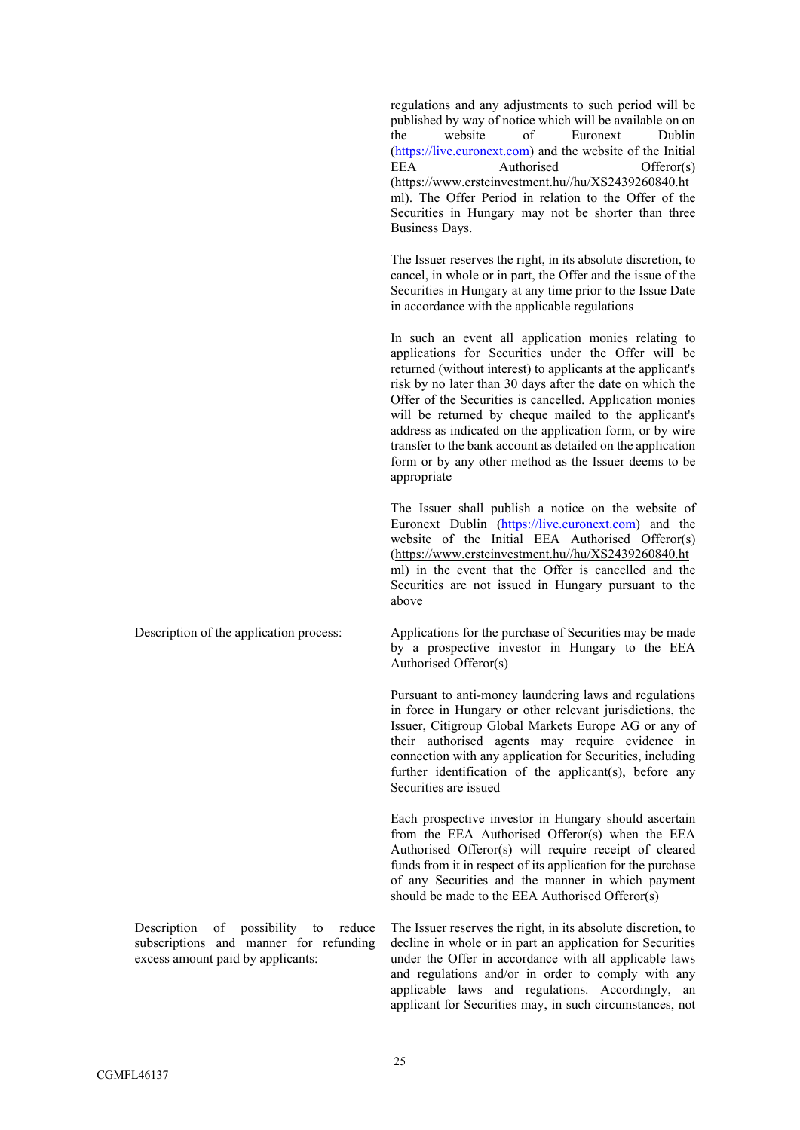regulations and any adjustments to such period will be published by way of notice which will be available on on the website of Euronext Dublin [\(https://live.euronext.com](https://live.euronext.com/)) and the website of the Initial EEA Authorised Offeror(s) (https://www.ersteinvestment.hu//hu/XS2439260840.ht ml). The Offer Period in relation to the Offer of the Securities in Hungary may not be shorter than three Business Days.

The Issuer reserves the right, in its absolute discretion, to cancel, in whole or in part, the Offer and the issue of the Securities in Hungary at any time prior to the Issue Date in accordance with the applicable regulations

In such an event all application monies relating to applications for Securities under the Offer will be returned (without interest) to applicants at the applicant's risk by no later than 30 days after the date on which the Offer of the Securities is cancelled. Application monies will be returned by cheque mailed to the applicant's address as indicated on the application form, or by wire transfer to the bank account as detailed on the application form or by any other method as the Issuer deems to be appropriate

The Issuer shall publish a notice on the website of Euronext Dublin [\(https://live.euronext.com](https://live.euronext.com/)) and the website of the Initial EEA Authorised Offeror(s) [\(https://www.ersteinvestment.hu//hu/XS2439260840.h](https://protect-eu.mimecast.com/s/RaMVCxGnRInXzZMiv1yTk)t ml) in the event that the Offer is cancelled and the Securities are not issued in Hungary pursuant to the above

Description of the application process: Applications for the purchase of Securities may be made by a prospective investor in Hungary to the EEA Authorised Offeror(s)

> Pursuant to anti-money laundering laws and regulations in force in Hungary or other relevant jurisdictions, the Issuer, Citigroup Global Markets Europe AG or any of their authorised agents may require evidence in connection with any application for Securities, including further identification of the applicant(s), before any Securities are issued

> Each prospective investor in Hungary should ascertain from the EEA Authorised Offeror(s) when the EEA Authorised Offeror(s) will require receipt of cleared funds from it in respect of its application for the purchase of any Securities and the manner in which payment should be made to the EEA Authorised Offeror(s)

The Issuer reserves the right, in its absolute discretion, to decline in whole or in part an application for Securities under the Offer in accordance with all applicable laws and regulations and/or in order to comply with any applicable laws and regulations. Accordingly, an applicant for Securities may, in such circumstances, not

Description of possibility to reduce subscriptions and manner for refunding excess amount paid by applicants: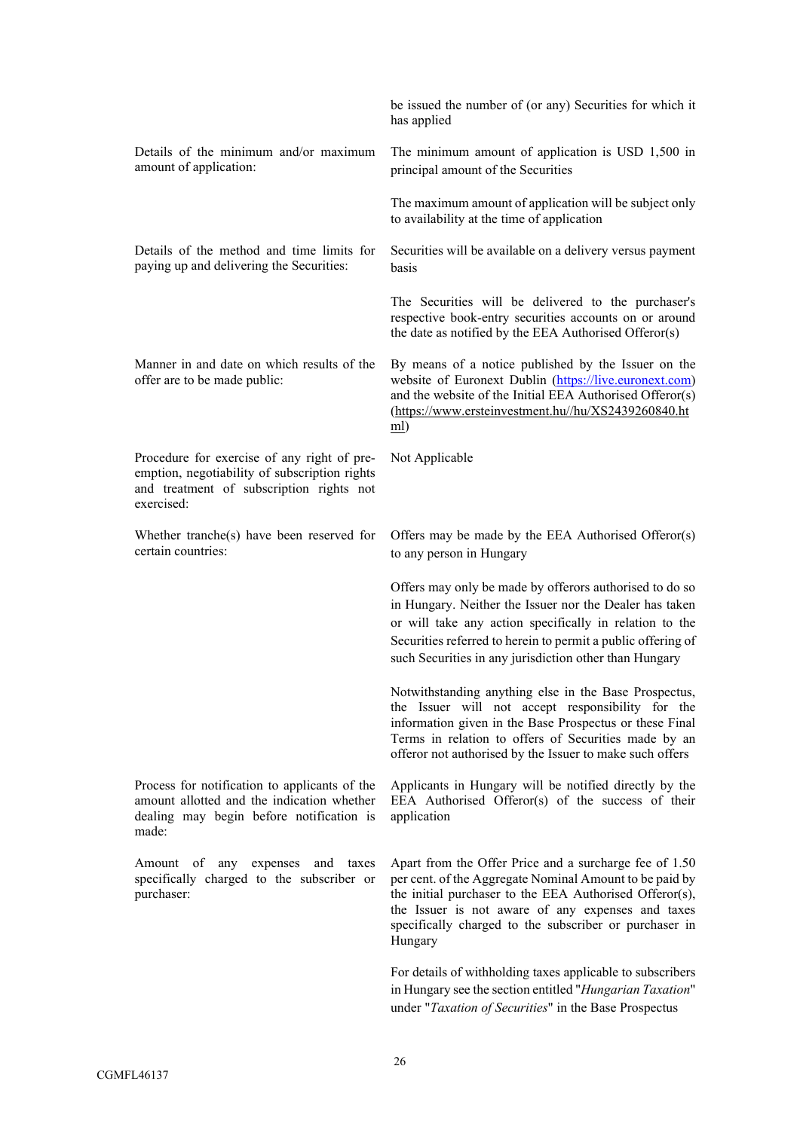|                                                                                                                                                        | be issued the number of (or any) Securities for which it<br>has applied                                                                                                                                                                                                                                 |
|--------------------------------------------------------------------------------------------------------------------------------------------------------|---------------------------------------------------------------------------------------------------------------------------------------------------------------------------------------------------------------------------------------------------------------------------------------------------------|
| Details of the minimum and/or maximum<br>amount of application:                                                                                        | The minimum amount of application is USD 1,500 in<br>principal amount of the Securities                                                                                                                                                                                                                 |
|                                                                                                                                                        | The maximum amount of application will be subject only<br>to availability at the time of application                                                                                                                                                                                                    |
| Details of the method and time limits for<br>paying up and delivering the Securities:                                                                  | Securities will be available on a delivery versus payment<br>basis                                                                                                                                                                                                                                      |
|                                                                                                                                                        | The Securities will be delivered to the purchaser's<br>respective book-entry securities accounts on or around<br>the date as notified by the EEA Authorised Offeror(s)                                                                                                                                  |
| Manner in and date on which results of the<br>offer are to be made public:                                                                             | By means of a notice published by the Issuer on the<br>website of Euronext Dublin (https://live.euronext.com)<br>and the website of the Initial EEA Authorised Offeror(s)<br>(https://www.ersteinvestment.hu//hu/XS2439260840.ht<br>$m$ ]                                                               |
| Procedure for exercise of any right of pre-<br>emption, negotiability of subscription rights<br>and treatment of subscription rights not<br>exercised: | Not Applicable                                                                                                                                                                                                                                                                                          |
| Whether tranche(s) have been reserved for<br>certain countries:                                                                                        | Offers may be made by the EEA Authorised Offeror(s)<br>to any person in Hungary                                                                                                                                                                                                                         |
|                                                                                                                                                        | Offers may only be made by offerors authorised to do so<br>in Hungary. Neither the Issuer nor the Dealer has taken<br>or will take any action specifically in relation to the<br>Securities referred to herein to permit a public offering of<br>such Securities in any jurisdiction other than Hungary |
|                                                                                                                                                        | Notwithstanding anything else in the Base Prospectus,<br>the Issuer will not accept responsibility for the<br>information given in the Base Prospectus or these Final<br>Terms in relation to offers of Securities made by an<br>offeror not authorised by the Issuer to make such offers               |
| Process for notification to applicants of the<br>amount allotted and the indication whether<br>dealing may begin before notification is<br>made:       | Applicants in Hungary will be notified directly by the<br>EEA Authorised Offeror(s) of the success of their<br>application                                                                                                                                                                              |
| Amount of<br>expenses<br>any<br>and<br>taxes<br>specifically charged to the subscriber or<br>purchaser:                                                | Apart from the Offer Price and a surcharge fee of 1.50<br>per cent. of the Aggregate Nominal Amount to be paid by<br>the initial purchaser to the EEA Authorised Offeror(s),<br>the Issuer is not aware of any expenses and taxes<br>specifically charged to the subscriber or purchaser in<br>Hungary  |
|                                                                                                                                                        | For details of withholding taxes applicable to subscribers<br>in Hungary see the section entitled "Hungarian Taxation"<br>under "Taxation of Securities" in the Base Prospectus                                                                                                                         |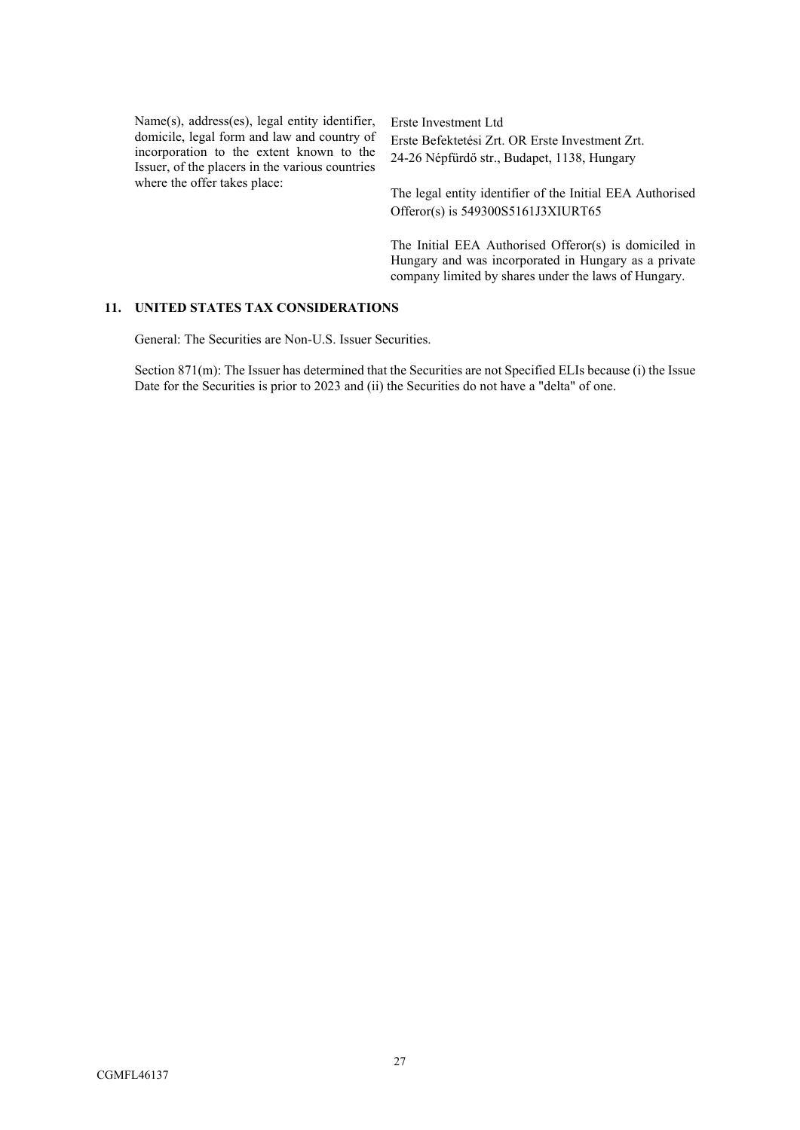Name(s), address(es), legal entity identifier, domicile, legal form and law and country of incorporation to the extent known to the Issuer, of the placers in the various countries where the offer takes place:

Erste Investment Ltd Erste Befektetési Zrt. OR Erste Investment Zrt. 24-26 Népfürdő str., Budapet, 1138, Hungary

The legal entity identifier of the Initial EEA Authorised Offeror(s) is 549300S5161J3XIURT65

The Initial EEA Authorised Offeror(s) is domiciled in Hungary and was incorporated in Hungary as a private company limited by shares under the laws of Hungary.

## **11. UNITED STATES TAX CONSIDERATIONS**

General: The Securities are Non-U.S. Issuer Securities.

Section 871(m): The Issuer has determined that the Securities are not Specified ELIs because (i) the Issue Date for the Securities is prior to 2023 and (ii) the Securities do not have a "delta" of one.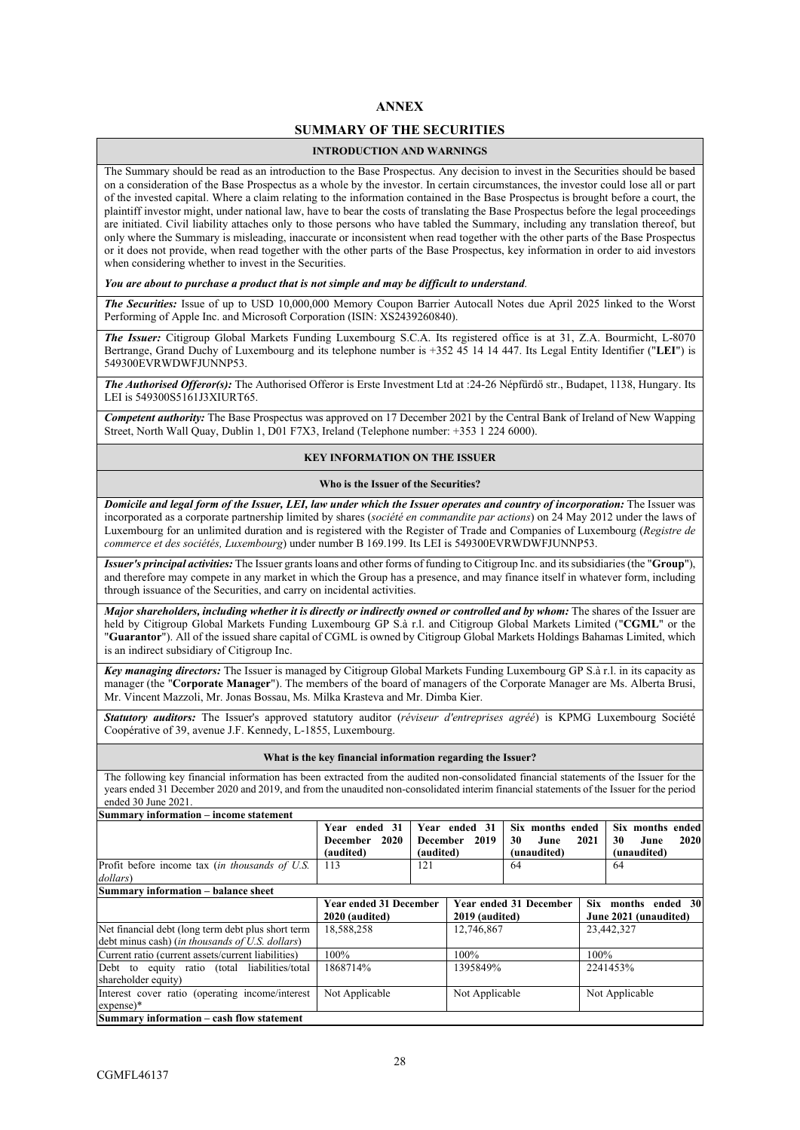### **ANNEX**

## **SUMMARY OF THE SECURITIES**

#### **INTRODUCTION AND WARNINGS**

The Summary should be read as an introduction to the Base Prospectus. Any decision to invest in the Securities should be based on a consideration of the Base Prospectus as a whole by the investor. In certain circumstances, the investor could lose all or part of the invested capital. Where a claim relating to the information contained in the Base Prospectus is brought before a court, the plaintiff investor might, under national law, have to bear the costs of translating the Base Prospectus before the legal proceedings are initiated. Civil liability attaches only to those persons who have tabled the Summary, including any translation thereof, but only where the Summary is misleading, inaccurate or inconsistent when read together with the other parts of the Base Prospectus or it does not provide, when read together with the other parts of the Base Prospectus, key information in order to aid investors when considering whether to invest in the Securities.

#### *You are about to purchase a product that is not simple and may be difficult to understand*.

*The Securities:* Issue of up to USD 10,000,000 Memory Coupon Barrier Autocall Notes due April 2025 linked to the Worst Performing of Apple Inc. and Microsoft Corporation (ISIN: XS2439260840).

*The Issuer:* Citigroup Global Markets Funding Luxembourg S.C.A. Its registered office is at 31, Z.A. Bourmicht, L-8070 Bertrange, Grand Duchy of Luxembourg and its telephone number is +352 45 14 14 447. Its Legal Entity Identifier ("**LEI**") is 549300EVRWDWFJUNNP53.

*The Authorised Offeror(s):* The Authorised Offeror is Erste Investment Ltd at :24-26 Népfürdő str., Budapet, 1138, Hungary. Its LEI is 549300S5161J3XIURT65.

*Competent authority:* The Base Prospectus was approved on 17 December 2021 by the Central Bank of Ireland of New Wapping Street, North Wall Quay, Dublin 1, D01 F7X3, Ireland (Telephone number: +353 1 224 6000).

#### **KEY INFORMATION ON THE ISSUER**

#### **Who is the Issuer of the Securities?**

*Domicile and legal form of the Issuer, LEI, law under which the Issuer operates and country of incorporation:* The Issuer was incorporated as a corporate partnership limited by shares (*société en commandite par actions*) on 24 May 2012 under the laws of Luxembourg for an unlimited duration and is registered with the Register of Trade and Companies of Luxembourg (*Registre de commerce et des sociétés, Luxembourg*) under number B 169.199. Its LEI is 549300EVRWDWFJUNNP53.

*Issuer's principal activities:* The Issuer grantsloans and other forms of funding to Citigroup Inc. and its subsidiaries (the "**Group**"), and therefore may compete in any market in which the Group has a presence, and may finance itself in whatever form, including through issuance of the Securities, and carry on incidental activities.

*Major shareholders, including whether it is directly or indirectly owned or controlled and by whom:* The shares of the Issuer are held by Citigroup Global Markets Funding Luxembourg GP S.à r.l. and Citigroup Global Markets Limited ("**CGML**" or the "**Guarantor**"). All of the issued share capital of CGML is owned by Citigroup Global Markets Holdings Bahamas Limited, which is an indirect subsidiary of Citigroup Inc.

*Key managing directors:* The Issuer is managed by Citigroup Global Markets Funding Luxembourg GP S.à r.l. in its capacity as manager (the "**Corporate Manager**"). The members of the board of managers of the Corporate Manager are Ms. Alberta Brusi, Mr. Vincent Mazzoli, Mr. Jonas Bossau, Ms. Milka Krasteva and Mr. Dimba Kier.

*Statutory auditors:* The Issuer's approved statutory auditor (*réviseur d'entreprises agréé*) is KPMG Luxembourg Société Coopérative of 39, avenue J.F. Kennedy, L-1855, Luxembourg.

#### **What is the key financial information regarding the Issuer?**

The following key financial information has been extracted from the audited non-consolidated financial statements of the Issuer for the years ended 31 December 2020 and 2019, and from the unaudited non-consolidated interim financial statements of the Issuer for the period ended 30 June 2021.

| Summary information – income statement                                                                |                                                 |                 |                       |                                |                |                                              |
|-------------------------------------------------------------------------------------------------------|-------------------------------------------------|-----------------|-----------------------|--------------------------------|----------------|----------------------------------------------|
|                                                                                                       | Year ended 31<br>2020<br>December               | <b>December</b> | Year ended 31<br>2019 | Six months ended<br>30<br>June | 2021           | Six months ended<br>30<br>June<br>2020       |
|                                                                                                       | (audited)                                       | (audited)       |                       | (unaudited)                    |                | (unaudited)                                  |
| Profit before income tax (in thousands of U.S.<br>dollars)                                            | 113                                             | 121             |                       | 64                             |                | 64                                           |
| Summarv information – balance sheet                                                                   |                                                 |                 |                       |                                |                |                                              |
|                                                                                                       | <b>Year ended 31 December</b><br>2020 (audited) |                 | 2019 (audited)        | Year ended 31 December         |                | Six months ended 30<br>June 2021 (unaudited) |
| Net financial debt (long term debt plus short term<br>debt minus cash) (in thousands of U.S. dollars) | 18,588,258                                      |                 | 12,746,867            |                                |                | 23,442,327                                   |
| Current ratio (current assets/current liabilities)                                                    | 100%                                            |                 | 100%                  |                                | 100%           |                                              |
| Debt to equity ratio (total liabilities/total<br>shareholder equity)                                  | 1868714%                                        |                 | 1395849%              |                                |                | 2241453%                                     |
| Interest cover ratio (operating income/interest<br>$expense)*$                                        | Not Applicable                                  |                 | Not Applicable        |                                | Not Applicable |                                              |
| Summary information - cash flow statement                                                             |                                                 |                 |                       |                                |                |                                              |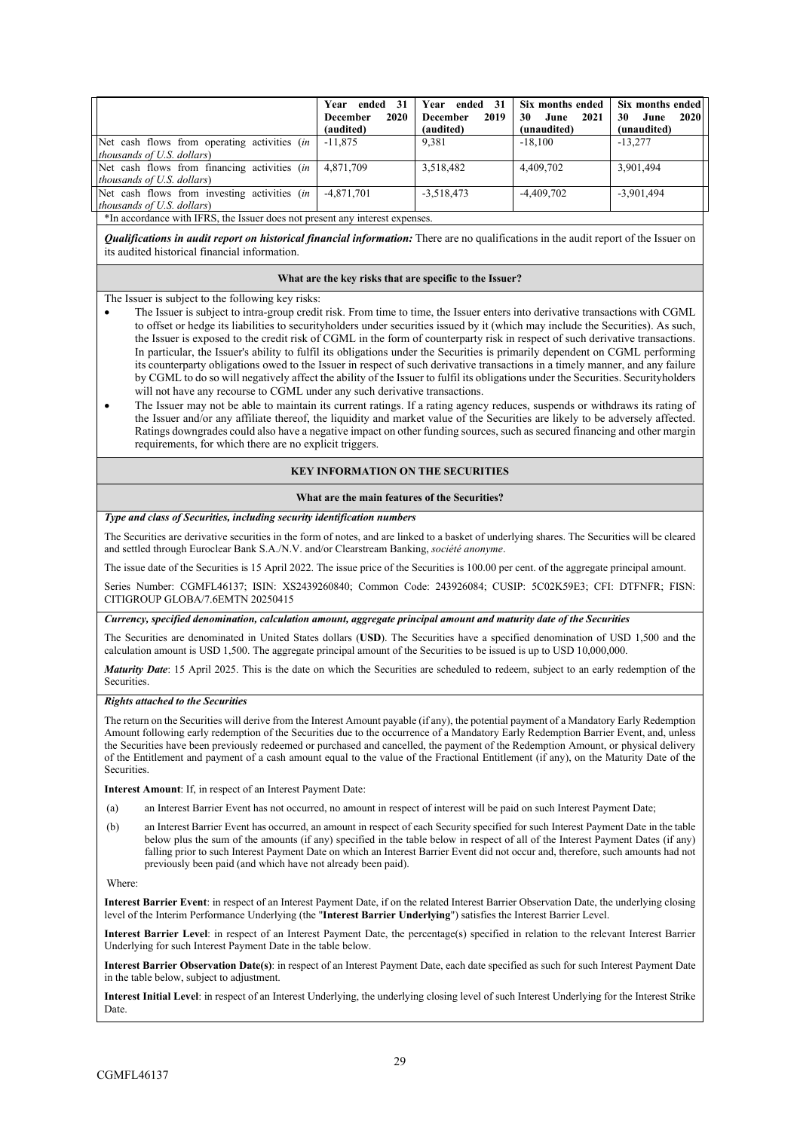|                                                       | Year ended 31<br>2020<br><b>December</b><br>(audited) | ended 31<br>Year<br>2019<br><b>December</b><br>(audited) | Six months ended<br>2021<br>30<br>June<br>(unaudited) | Six months ended<br>2020<br>30<br>June<br>(unaudited) |  |
|-------------------------------------------------------|-------------------------------------------------------|----------------------------------------------------------|-------------------------------------------------------|-------------------------------------------------------|--|
| Net cash flows from operating activities (in          | $-11.875$                                             | 9.381                                                    | $-18.100$                                             | $-13.277$                                             |  |
| <i>thousands of U.S. dollars</i> )                    |                                                       |                                                          |                                                       |                                                       |  |
| Net cash flows from financing activities <i>(in</i> ) | 4,871,709                                             | 3,518,482                                                | 4,409,702                                             | 3,901,494                                             |  |
| <i>thousands of U.S. dollars</i> )                    |                                                       |                                                          |                                                       |                                                       |  |
| Net cash flows from investing activities (in          | $-4.871.701$                                          | $-3,518,473$                                             | $-4,409,702$                                          | $-3,901,494$                                          |  |
| <i>thousands of U.S. dollars</i> )                    |                                                       |                                                          |                                                       |                                                       |  |
|                                                       |                                                       |                                                          |                                                       |                                                       |  |

\*In accordance with IFRS, the Issuer does not present any interest expenses.

*Qualifications in audit report on historical financial information:* There are no qualifications in the audit report of the Issuer on its audited historical financial information.

#### **What are the key risks that are specific to the Issuer?**

The Issuer is subject to the following key risks:

- The Issuer is subject to intra-group credit risk. From time to time, the Issuer enters into derivative transactions with CGML to offset or hedge its liabilities to securityholders under securities issued by it (which may include the Securities). As such, the Issuer is exposed to the credit risk of CGML in the form of counterparty risk in respect of such derivative transactions. In particular, the Issuer's ability to fulfil its obligations under the Securities is primarily dependent on CGML performing its counterparty obligations owed to the Issuer in respect of such derivative transactions in a timely manner, and any failure by CGML to do so will negatively affect the ability of the Issuer to fulfil its obligations under the Securities. Securityholders will not have any recourse to CGML under any such derivative transactions.
- The Issuer may not be able to maintain its current ratings. If a rating agency reduces, suspends or withdraws its rating of the Issuer and/or any affiliate thereof, the liquidity and market value of the Securities are likely to be adversely affected. Ratings downgrades could also have a negative impact on other funding sources, such as secured financing and other margin requirements, for which there are no explicit triggers.

## **KEY INFORMATION ON THE SECURITIES**

#### **What are the main features of the Securities?**

#### *Type and class of Securities, including security identification numbers*

The Securities are derivative securities in the form of notes, and are linked to a basket of underlying shares. The Securities will be cleared and settled through Euroclear Bank S.A./N.V. and/or Clearstream Banking, *société anonyme*.

The issue date of the Securities is 15 April 2022. The issue price of the Securities is 100.00 per cent. of the aggregate principal amount.

Series Number: CGMFL46137; ISIN: XS2439260840; Common Code: 243926084; CUSIP: 5C02K59E3; CFI: DTFNFR; FISN: CITIGROUP GLOBA/7.6EMTN 20250415

*Currency, specified denomination, calculation amount, aggregate principal amount and maturity date of the Securities*

The Securities are denominated in United States dollars (**USD**). The Securities have a specified denomination of USD 1,500 and the calculation amount is USD 1,500. The aggregate principal amount of the Securities to be issued is up to USD 10,000,000.

*Maturity Date*: 15 April 2025. This is the date on which the Securities are scheduled to redeem, subject to an early redemption of the **Securities** 

#### *Rights attached to the Securities*

The return on the Securities will derive from the Interest Amount payable (if any), the potential payment of a Mandatory Early Redemption Amount following early redemption of the Securities due to the occurrence of a Mandatory Early Redemption Barrier Event, and, unless the Securities have been previously redeemed or purchased and cancelled, the payment of the Redemption Amount, or physical delivery of the Entitlement and payment of a cash amount equal to the value of the Fractional Entitlement (if any), on the Maturity Date of the Securities.

**Interest Amount**: If, in respect of an Interest Payment Date:

(a) an Interest Barrier Event has not occurred, no amount in respect of interest will be paid on such Interest Payment Date;

(b) an Interest Barrier Event has occurred, an amount in respect of each Security specified for such Interest Payment Date in the table below plus the sum of the amounts (if any) specified in the table below in respect of all of the Interest Payment Dates (if any) falling prior to such Interest Payment Date on which an Interest Barrier Event did not occur and, therefore, such amounts had not previously been paid (and which have not already been paid).

Where:

**Interest Barrier Event**: in respect of an Interest Payment Date, if on the related Interest Barrier Observation Date, the underlying closing level of the Interim Performance Underlying (the "**Interest Barrier Underlying**") satisfies the Interest Barrier Level.

**Interest Barrier Level**: in respect of an Interest Payment Date, the percentage(s) specified in relation to the relevant Interest Barrier Underlying for such Interest Payment Date in the table below.

**Interest Barrier Observation Date(s)**: in respect of an Interest Payment Date, each date specified as such for such Interest Payment Date in the table below, subject to adjustment.

**Interest Initial Level**: in respect of an Interest Underlying, the underlying closing level of such Interest Underlying for the Interest Strike Date.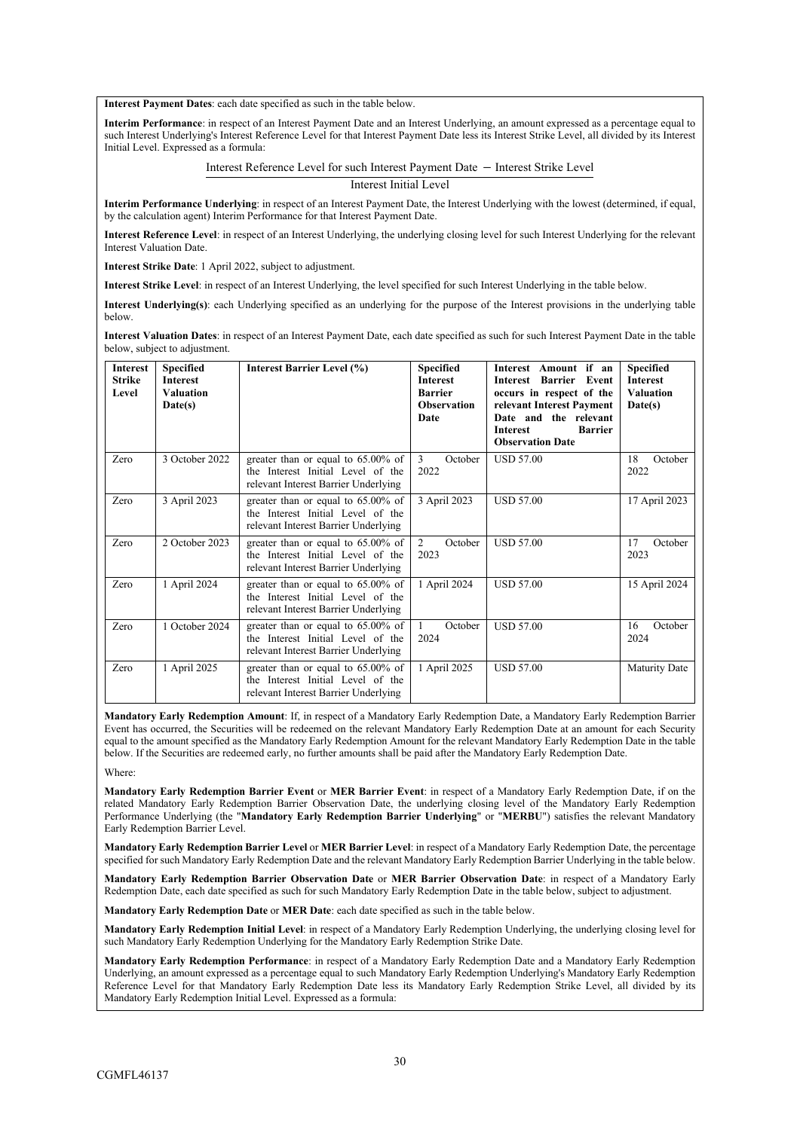**Interest Payment Dates**: each date specified as such in the table below.

**Interim Performance**: in respect of an Interest Payment Date and an Interest Underlying, an amount expressed as a percentage equal to such Interest Underlying's Interest Reference Level for that Interest Payment Date less its Interest Strike Level, all divided by its Interest Initial Level. Expressed as a formula:

Interest Reference Level for such Interest Payment Date − Interest Strike Level

Interest Initial Level

**Interim Performance Underlying**: in respect of an Interest Payment Date, the Interest Underlying with the lowest (determined, if equal, by the calculation agent) Interim Performance for that Interest Payment Date.

**Interest Reference Level**: in respect of an Interest Underlying, the underlying closing level for such Interest Underlying for the relevant Interest Valuation Date.

**Interest Strike Date**: 1 April 2022, subject to adjustment.

**Interest Strike Level**: in respect of an Interest Underlying, the level specified for such Interest Underlying in the table below.

**Interest Underlying(s)**: each Underlying specified as an underlying for the purpose of the Interest provisions in the underlying table below.

**Interest Valuation Dates**: in respect of an Interest Payment Date, each date specified as such for such Interest Payment Date in the table below, subject to adjustment.

| <b>Interest</b><br><b>Strike</b><br>Level | <b>Specified</b><br><b>Interest</b><br><b>Valuation</b><br>Date(s) | <b>Interest Barrier Level (%)</b>                                                                                  | <b>Specified</b><br><b>Interest</b><br><b>Barrier</b><br><b>Observation</b><br>Date | Interest Amount if an<br><b>Barrier</b><br>Event<br>Interest<br>occurs in respect of the<br>relevant Interest Payment<br>Date and the relevant<br><b>Barrier</b><br><b>Interest</b><br><b>Observation Date</b> | <b>Specified</b><br><b>Interest</b><br><b>Valuation</b><br>Date(s) |
|-------------------------------------------|--------------------------------------------------------------------|--------------------------------------------------------------------------------------------------------------------|-------------------------------------------------------------------------------------|----------------------------------------------------------------------------------------------------------------------------------------------------------------------------------------------------------------|--------------------------------------------------------------------|
| Zero                                      | 3 October 2022                                                     | greater than or equal to 65.00% of<br>the Interest Initial Level of the<br>relevant Interest Barrier Underlying    | 3<br>October<br>2022                                                                | <b>USD 57.00</b>                                                                                                                                                                                               | 18<br>October<br>2022                                              |
| Zero                                      | 3 April 2023                                                       | greater than or equal to $65.00\%$ of<br>the Interest Initial Level of the<br>relevant Interest Barrier Underlying | 3 April 2023                                                                        | <b>USD 57.00</b>                                                                                                                                                                                               | 17 April 2023                                                      |
| Zero                                      | 2 October 2023                                                     | greater than or equal to 65.00% of<br>the Interest Initial Level of the<br>relevant Interest Barrier Underlying    | $\overline{2}$<br>October<br>2023                                                   | <b>USD 57.00</b>                                                                                                                                                                                               | October<br>17<br>2023                                              |
| Zero                                      | 1 April 2024                                                       | greater than or equal to 65.00% of<br>the Interest Initial Level of the<br>relevant Interest Barrier Underlying    | 1 April 2024                                                                        | <b>USD 57.00</b>                                                                                                                                                                                               | 15 April 2024                                                      |
| Zero                                      | 1 October 2024                                                     | greater than or equal to 65.00% of<br>the Interest Initial Level of the<br>relevant Interest Barrier Underlying    | October<br>1<br>2024                                                                | <b>USD 57.00</b>                                                                                                                                                                                               | October<br>16<br>2024                                              |
| Zero                                      | 1 April 2025                                                       | greater than or equal to $65.00\%$ of<br>the Interest Initial Level of the<br>relevant Interest Barrier Underlying | 1 April 2025                                                                        | <b>USD 57.00</b>                                                                                                                                                                                               | <b>Maturity Date</b>                                               |

**Mandatory Early Redemption Amount**: If, in respect of a Mandatory Early Redemption Date, a Mandatory Early Redemption Barrier Event has occurred, the Securities will be redeemed on the relevant Mandatory Early Redemption Date at an amount for each Security equal to the amount specified as the Mandatory Early Redemption Amount for the relevant Mandatory Early Redemption Date in the table below. If the Securities are redeemed early, no further amounts shall be paid after the Mandatory Early Redemption Date.

Where:

**Mandatory Early Redemption Barrier Event** or **MER Barrier Event**: in respect of a Mandatory Early Redemption Date, if on the related Mandatory Early Redemption Barrier Observation Date, the underlying closing level of the Mandatory Early Redemption Performance Underlying (the "**Mandatory Early Redemption Barrier Underlying**" or "**MERBU**") satisfies the relevant Mandatory Early Redemption Barrier Level.

**Mandatory Early Redemption Barrier Level** or **MER Barrier Level**: in respect of a Mandatory Early Redemption Date, the percentage specified for such Mandatory Early Redemption Date and the relevant Mandatory Early Redemption Barrier Underlying in the table below.

**Mandatory Early Redemption Barrier Observation Date** or **MER Barrier Observation Date**: in respect of a Mandatory Early Redemption Date, each date specified as such for such Mandatory Early Redemption Date in the table below, subject to adjustment.

**Mandatory Early Redemption Date** or **MER Date**: each date specified as such in the table below.

**Mandatory Early Redemption Initial Level**: in respect of a Mandatory Early Redemption Underlying, the underlying closing level for such Mandatory Early Redemption Underlying for the Mandatory Early Redemption Strike Date.

**Mandatory Early Redemption Performance**: in respect of a Mandatory Early Redemption Date and a Mandatory Early Redemption Underlying, an amount expressed as a percentage equal to such Mandatory Early Redemption Underlying's Mandatory Early Redemption Reference Level for that Mandatory Early Redemption Date less its Mandatory Early Redemption Strike Level, all divided by its Mandatory Early Redemption Initial Level. Expressed as a formula: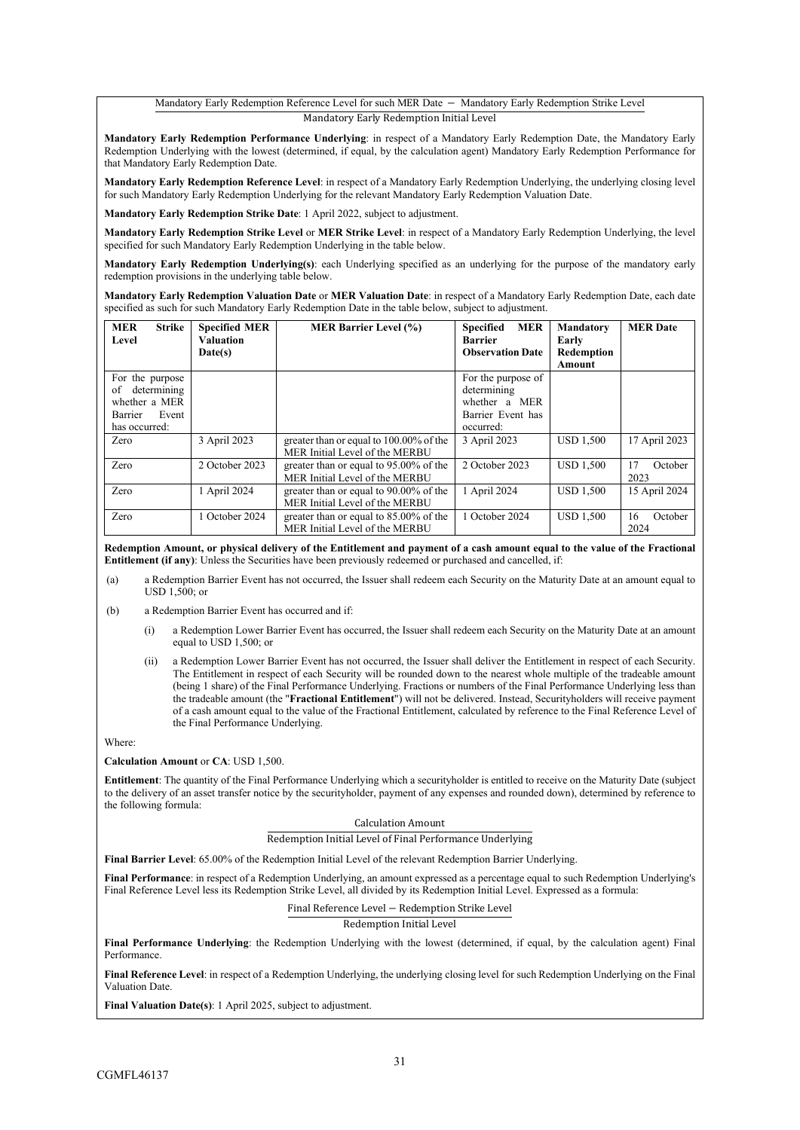### Mandatory Early Redemption Reference Level for such MER Date − Mandatory Early Redemption Strike Level Mandatory Early Redemption Initial Level

**Mandatory Early Redemption Performance Underlying**: in respect of a Mandatory Early Redemption Date, the Mandatory Early Redemption Underlying with the lowest (determined, if equal, by the calculation agent) Mandatory Early Redemption Performance for that Mandatory Early Redemption Date.

**Mandatory Early Redemption Reference Level**: in respect of a Mandatory Early Redemption Underlying, the underlying closing level for such Mandatory Early Redemption Underlying for the relevant Mandatory Early Redemption Valuation Date.

**Mandatory Early Redemption Strike Date**: 1 April 2022, subject to adjustment.

**Mandatory Early Redemption Strike Level** or **MER Strike Level**: in respect of a Mandatory Early Redemption Underlying, the level specified for such Mandatory Early Redemption Underlying in the table below.

**Mandatory Early Redemption Underlying(s)**: each Underlying specified as an underlying for the purpose of the mandatory early redemption provisions in the underlying table below.

**Mandatory Early Redemption Valuation Date** or **MER Valuation Date**: in respect of a Mandatory Early Redemption Date, each date specified as such for such Mandatory Early Redemption Date in the table below, subject to adjustment.

| <b>MER</b><br><b>Strike</b><br>Level                                                              | <b>Specified MER</b><br><b>Valuation</b><br>Date(s) | <b>MER Barrier Level (%)</b>                                                | <b>MER</b><br><b>Specified</b><br><b>Barrier</b><br><b>Observation Date</b>          | <b>Mandatory</b><br>Early<br>Redemption<br>Amount | <b>MER Date</b>       |
|---------------------------------------------------------------------------------------------------|-----------------------------------------------------|-----------------------------------------------------------------------------|--------------------------------------------------------------------------------------|---------------------------------------------------|-----------------------|
| For the purpose<br>determining<br>of<br>whether a MER<br>Event<br><b>Barrier</b><br>has occurred: |                                                     |                                                                             | For the purpose of<br>determining<br>whether a MER<br>Barrier Event has<br>occurred: |                                                   |                       |
| Zero                                                                                              | 3 April 2023                                        | greater than or equal to 100.00% of the<br>MER Initial Level of the MERBU   | 3 April 2023                                                                         | <b>USD 1.500</b>                                  | 17 April 2023         |
| Zero                                                                                              | 2 October 2023                                      | greater than or equal to 95.00% of the<br>MER Initial Level of the MERBU    | 2 October 2023                                                                       | <b>USD 1.500</b>                                  | 17<br>October<br>2023 |
| Zero                                                                                              | 1 April 2024                                        | greater than or equal to 90.00% of the<br>MER Initial Level of the MERBU    | 1 April 2024                                                                         | <b>USD 1,500</b>                                  | 15 April 2024         |
| Zero                                                                                              | 1 October 2024                                      | greater than or equal to $85.00\%$ of the<br>MER Initial Level of the MERBU | 1 October 2024                                                                       | <b>USD 1,500</b>                                  | October<br>16<br>2024 |

**Redemption Amount, or physical delivery of the Entitlement and payment of a cash amount equal to the value of the Fractional Entitlement (if any)**: Unless the Securities have been previously redeemed or purchased and cancelled, if:

(a) a Redemption Barrier Event has not occurred, the Issuer shall redeem each Security on the Maturity Date at an amount equal to USD 1,500; or

(b) a Redemption Barrier Event has occurred and if:

- (i) a Redemption Lower Barrier Event has occurred, the Issuer shall redeem each Security on the Maturity Date at an amount equal to  $\text{USD}$  1,500; or
- (ii) a Redemption Lower Barrier Event has not occurred, the Issuer shall deliver the Entitlement in respect of each Security. The Entitlement in respect of each Security will be rounded down to the nearest whole multiple of the tradeable amount (being 1 share) of the Final Performance Underlying. Fractions or numbers of the Final Performance Underlying less than the tradeable amount (the "**Fractional Entitlement**") will not be delivered. Instead, Securityholders will receive payment of a cash amount equal to the value of the Fractional Entitlement, calculated by reference to the Final Reference Level of the Final Performance Underlying.

Where:

**Calculation Amount** or **CA**: USD 1,500.

**Entitlement**: The quantity of the Final Performance Underlying which a securityholder is entitled to receive on the Maturity Date (subject to the delivery of an asset transfer notice by the securityholder, payment of any expenses and rounded down), determined by reference to the following formula:

#### Calculation Amount

Redemption Initial Level of Final Performance Underlying

**Final Barrier Level**: 65.00% of the Redemption Initial Level of the relevant Redemption Barrier Underlying.

**Final Performance**: in respect of a Redemption Underlying, an amount expressed as a percentage equal to such Redemption Underlying's Final Reference Level less its Redemption Strike Level, all divided by its Redemption Initial Level. Expressed as a formula:

Final Reference Level − Redemption Strike Level

Redemption Initial Level

**Final Performance Underlying**: the Redemption Underlying with the lowest (determined, if equal, by the calculation agent) Final Performance.

**Final Reference Level**: in respect of a Redemption Underlying, the underlying closing level for such Redemption Underlying on the Final Valuation Date.

**Final Valuation Date(s)**: 1 April 2025, subject to adjustment.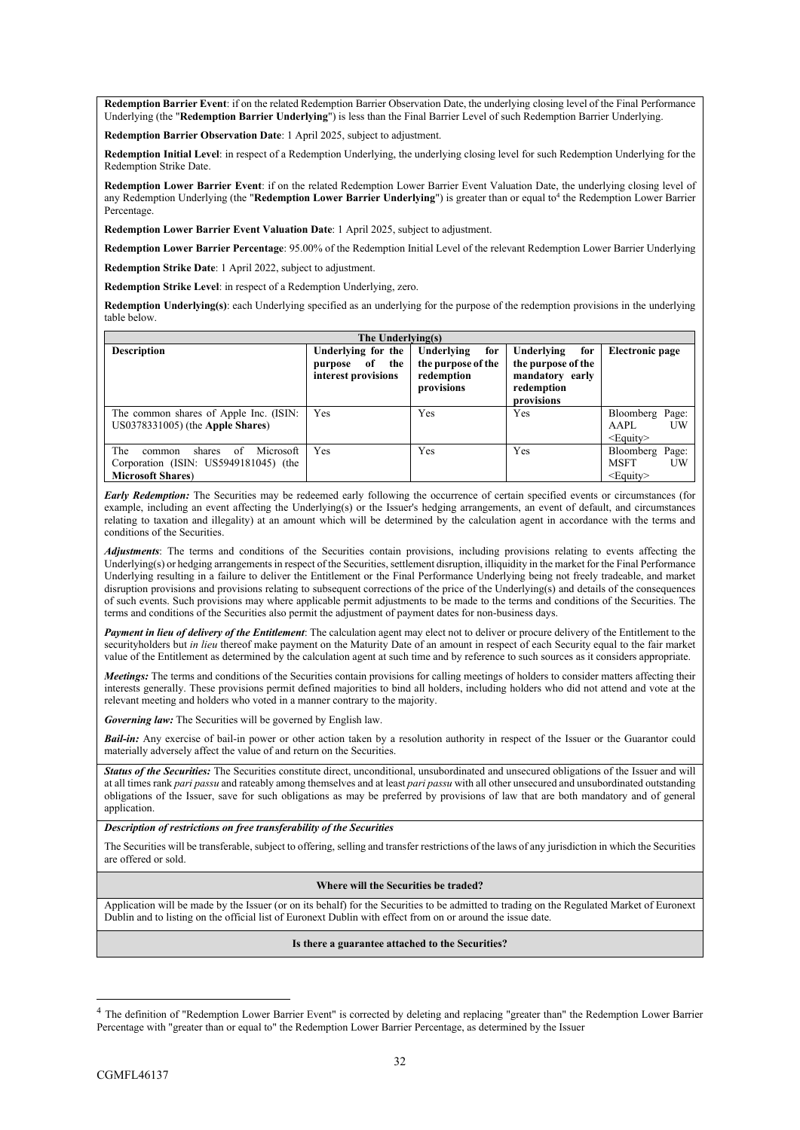**Redemption Barrier Event**: if on the related Redemption Barrier Observation Date, the underlying closing level of the Final Performance Underlying (the "**Redemption Barrier Underlying**") is less than the Final Barrier Level of such Redemption Barrier Underlying.

**Redemption Barrier Observation Date**: 1 April 2025, subject to adjustment.

**Redemption Initial Level**: in respect of a Redemption Underlying, the underlying closing level for such Redemption Underlying for the Redemption Strike Date.

**Redemption Lower Barrier Event**: if on the related Redemption Lower Barrier Event Valuation Date, the underlying closing level of any Redemption Underlying (the "Redemption Lower Barrier Underlying") is greater than or equal to<sup>4</sup> the Redemption Lower Barrier Percentage.

**Redemption Lower Barrier Event Valuation Date**: 1 April 2025, subject to adjustment.

**Redemption Lower Barrier Percentage**: 95.00% of the Redemption Initial Level of the relevant Redemption Lower Barrier Underlying

**Redemption Strike Date**: 1 April 2022, subject to adjustment.

**Redemption Strike Level**: in respect of a Redemption Underlying, zero.

**Redemption Underlying(s)**: each Underlying specified as an underlying for the purpose of the redemption provisions in the underlying table below.

| The Underlying(s)                                                                                                |                                                                   |                                                                     |                                                                                        |                                                        |  |  |  |
|------------------------------------------------------------------------------------------------------------------|-------------------------------------------------------------------|---------------------------------------------------------------------|----------------------------------------------------------------------------------------|--------------------------------------------------------|--|--|--|
| <b>Description</b>                                                                                               | Underlying for the<br>of<br>the<br>purpose<br>interest provisions | Underlying<br>for<br>the purpose of the<br>redemption<br>provisions | Underlying<br>for<br>the purpose of the<br>mandatory early<br>redemption<br>provisions | Electronic page                                        |  |  |  |
| The common shares of Apple Inc. (ISIN:<br>$US0378331005$ ) (the Apple Shares)                                    | Yes                                                               | Yes                                                                 | Yes                                                                                    | Bloomberg Page:<br><b>TW</b><br>AAPL<br>$\leq$ Equity> |  |  |  |
| The<br>Microsoft<br>shares<br>of<br>common<br>Corporation (ISIN: US5949181045) (the<br><b>Microsoft Shares</b> ) | Yes                                                               | Yes                                                                 | Yes                                                                                    | Bloomberg Page:<br><b>MSFT</b><br>UW<br>$<$ Equity $>$ |  |  |  |

*Early Redemption:* The Securities may be redeemed early following the occurrence of certain specified events or circumstances (for example, including an event affecting the Underlying(s) or the Issuer's hedging arrangements, an event of default, and circumstances relating to taxation and illegality) at an amount which will be determined by the calculation agent in accordance with the terms and conditions of the Securities.

*Adjustments*: The terms and conditions of the Securities contain provisions, including provisions relating to events affecting the Underlying(s) or hedging arrangements in respect of the Securities, settlement disruption, illiquidity in the market for the Final Performance Underlying resulting in a failure to deliver the Entitlement or the Final Performance Underlying being not freely tradeable, and market disruption provisions and provisions relating to subsequent corrections of the price of the Underlying(s) and details of the consequences of such events. Such provisions may where applicable permit adjustments to be made to the terms and conditions of the Securities. The terms and conditions of the Securities also permit the adjustment of payment dates for non-business days.

*Payment in lieu of delivery of the Entitlement*: The calculation agent may elect not to deliver or procure delivery of the Entitlement to the securityholders but *in lieu* thereof make payment on the Maturity Date of an amount in respect of each Security equal to the fair market value of the Entitlement as determined by the calculation agent at such time and by reference to such sources as it considers appropriate.

*Meetings:* The terms and conditions of the Securities contain provisions for calling meetings of holders to consider matters affecting their interests generally. These provisions permit defined majorities to bind all holders, including holders who did not attend and vote at the relevant meeting and holders who voted in a manner contrary to the majority.

*Governing law:* The Securities will be governed by English law.

*Bail-in:* Any exercise of bail-in power or other action taken by a resolution authority in respect of the Issuer or the Guarantor could materially adversely affect the value of and return on the Securities.

*Status of the Securities:* The Securities constitute direct, unconditional, unsubordinated and unsecured obligations of the Issuer and will at all times rank *pari passu* and rateably among themselves and at least *pari passu* with all other unsecured and unsubordinated outstanding obligations of the Issuer, save for such obligations as may be preferred by provisions of law that are both mandatory and of general application.

*Description of restrictions on free transferability of the Securities*

The Securities will be transferable, subject to offering, selling and transfer restrictions of the laws of any jurisdiction in which the Securities are offered or sold.

#### **Where will the Securities be traded?**

Application will be made by the Issuer (or on its behalf) for the Securities to be admitted to trading on the Regulated Market of Euronext Dublin and to listing on the official list of Euronext Dublin with effect from on or around the issue date.

### **Is there a guarantee attached to the Securities?**

<sup>&</sup>lt;sup>4</sup> The definition of "Redemption Lower Barrier Event" is corrected by deleting and replacing "greater than" the Redemption Lower Barrier Percentage with "greater than or equal to" the Redemption Lower Barrier Percentage, as determined by the Issuer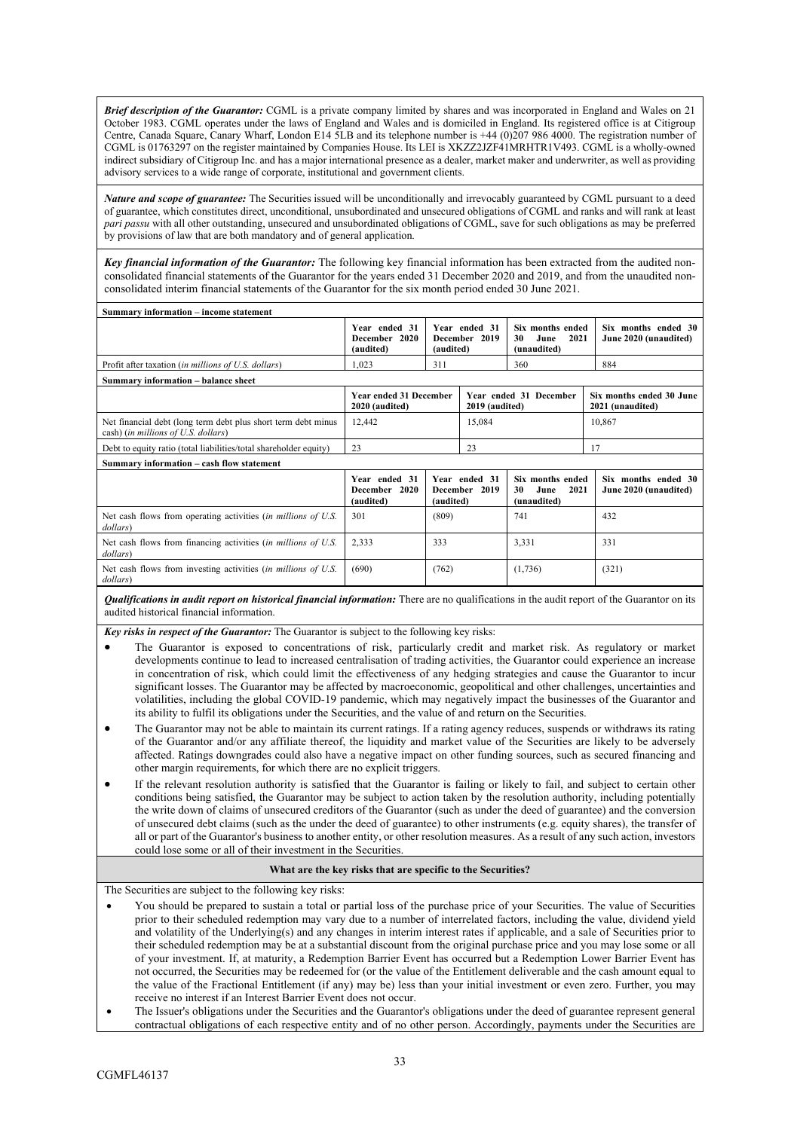*Brief description of the Guarantor:* CGML is a private company limited by shares and was incorporated in England and Wales on 21 October 1983. CGML operates under the laws of England and Wales and is domiciled in England. Its registered office is at Citigroup Centre, Canada Square, Canary Wharf, London E14 5LB and its telephone number is +44 (0)207 986 4000. The registration number of CGML is 01763297 on the register maintained by Companies House. Its LEI is XKZZ2JZF41MRHTR1V493. CGML is a wholly-owned indirect subsidiary of Citigroup Inc. and has a major international presence as a dealer, market maker and underwriter, as well as providing advisory services to a wide range of corporate, institutional and government clients.

*Nature and scope of guarantee:* The Securities issued will be unconditionally and irrevocably guaranteed by CGML pursuant to a deed of guarantee, which constitutes direct, unconditional, unsubordinated and unsecured obligations of CGML and ranks and will rank at least *pari passu* with all other outstanding, unsecured and unsubordinated obligations of CGML, save for such obligations as may be preferred by provisions of law that are both mandatory and of general application.

*Key financial information of the Guarantor:* The following key financial information has been extracted from the audited nonconsolidated financial statements of the Guarantor for the years ended 31 December 2020 and 2019, and from the unaudited nonconsolidated interim financial statements of the Guarantor for the six month period ended 30 June 2021.

| Summary information - income statement                                                                |                                                                                             |                                                                                                      |                                                                                                      |                                              |                                              |  |
|-------------------------------------------------------------------------------------------------------|---------------------------------------------------------------------------------------------|------------------------------------------------------------------------------------------------------|------------------------------------------------------------------------------------------------------|----------------------------------------------|----------------------------------------------|--|
|                                                                                                       | Year ended 31<br>December 2020<br>(audited)                                                 |                                                                                                      | Year ended 31<br>Six months ended<br>December 2019<br>2021<br>30<br>June<br>(audited)<br>(unaudited) |                                              | Six months ended 30<br>June 2020 (unaudited) |  |
| Profit after taxation (in millions of U.S. dollars)                                                   | 1.023                                                                                       | 311                                                                                                  |                                                                                                      | 360                                          | 884                                          |  |
| Summary information - balance sheet                                                                   |                                                                                             |                                                                                                      |                                                                                                      |                                              |                                              |  |
|                                                                                                       | <b>Year ended 31 December</b><br>Year ended 31 December<br>2019 (audited)<br>2020 (audited) |                                                                                                      | Six months ended 30 June<br>2021 (unaudited)                                                         |                                              |                                              |  |
| Net financial debt (long term debt plus short term debt minus)<br>cash) (in millions of U.S. dollars) | 12,442<br>15,084                                                                            |                                                                                                      |                                                                                                      | 10,867                                       |                                              |  |
| Debt to equity ratio (total liabilities/total shareholder equity)                                     | 23                                                                                          |                                                                                                      | 23                                                                                                   |                                              | 17                                           |  |
| Summary information - cash flow statement                                                             |                                                                                             |                                                                                                      |                                                                                                      |                                              |                                              |  |
|                                                                                                       | Year ended 31<br>December 2020<br>(audited)                                                 | Year ended 31<br>Six months ended<br>2021<br>December 2019<br>30<br>June<br>(audited)<br>(unaudited) |                                                                                                      | Six months ended 30<br>June 2020 (unaudited) |                                              |  |
| Net cash flows from operating activities (in millions of U.S.<br>dollars)                             | 301                                                                                         | (809)                                                                                                |                                                                                                      | 741                                          | 432                                          |  |
| Net cash flows from financing activities <i>(in millions of U.S.</i> )<br>dollars)                    | 2,333                                                                                       | 333                                                                                                  | 3,331                                                                                                |                                              | 331                                          |  |
| Net cash flows from investing activities <i>(in millions of U.S.</i> )<br>dollars)                    | (690)                                                                                       | (762)                                                                                                |                                                                                                      | (1,736)                                      | (321)                                        |  |

*Qualifications in audit report on historical financial information:* **There are no qualifications in the audit report of the Guarantor on its** audited historical financial information.

*Key risks in respect of the Guarantor:* The Guarantor is subject to the following key risks:

- The Guarantor is exposed to concentrations of risk, particularly credit and market risk. As regulatory or market developments continue to lead to increased centralisation of trading activities, the Guarantor could experience an increase in concentration of risk, which could limit the effectiveness of any hedging strategies and cause the Guarantor to incur significant losses. The Guarantor may be affected by macroeconomic, geopolitical and other challenges, uncertainties and volatilities, including the global COVID-19 pandemic, which may negatively impact the businesses of the Guarantor and its ability to fulfil its obligations under the Securities, and the value of and return on the Securities.
- The Guarantor may not be able to maintain its current ratings. If a rating agency reduces, suspends or withdraws its rating of the Guarantor and/or any affiliate thereof, the liquidity and market value of the Securities are likely to be adversely affected. Ratings downgrades could also have a negative impact on other funding sources, such as secured financing and other margin requirements, for which there are no explicit triggers.
- If the relevant resolution authority is satisfied that the Guarantor is failing or likely to fail, and subject to certain other conditions being satisfied, the Guarantor may be subject to action taken by the resolution authority, including potentially the write down of claims of unsecured creditors of the Guarantor (such as under the deed of guarantee) and the conversion of unsecured debt claims (such as the under the deed of guarantee) to other instruments (e.g. equity shares), the transfer of all or part of the Guarantor's business to another entity, or other resolution measures. As a result of any such action, investors could lose some or all of their investment in the Securities.

#### **What are the key risks that are specific to the Securities?**

The Securities are subject to the following key risks:

- You should be prepared to sustain a total or partial loss of the purchase price of your Securities. The value of Securities prior to their scheduled redemption may vary due to a number of interrelated factors, including the value, dividend yield and volatility of the Underlying(s) and any changes in interim interest rates if applicable, and a sale of Securities prior to their scheduled redemption may be at a substantial discount from the original purchase price and you may lose some or all of your investment. If, at maturity, a Redemption Barrier Event has occurred but a Redemption Lower Barrier Event has not occurred, the Securities may be redeemed for (or the value of the Entitlement deliverable and the cash amount equal to the value of the Fractional Entitlement (if any) may be) less than your initial investment or even zero. Further, you may receive no interest if an Interest Barrier Event does not occur.
- The Issuer's obligations under the Securities and the Guarantor's obligations under the deed of guarantee represent general contractual obligations of each respective entity and of no other person. Accordingly, payments under the Securities are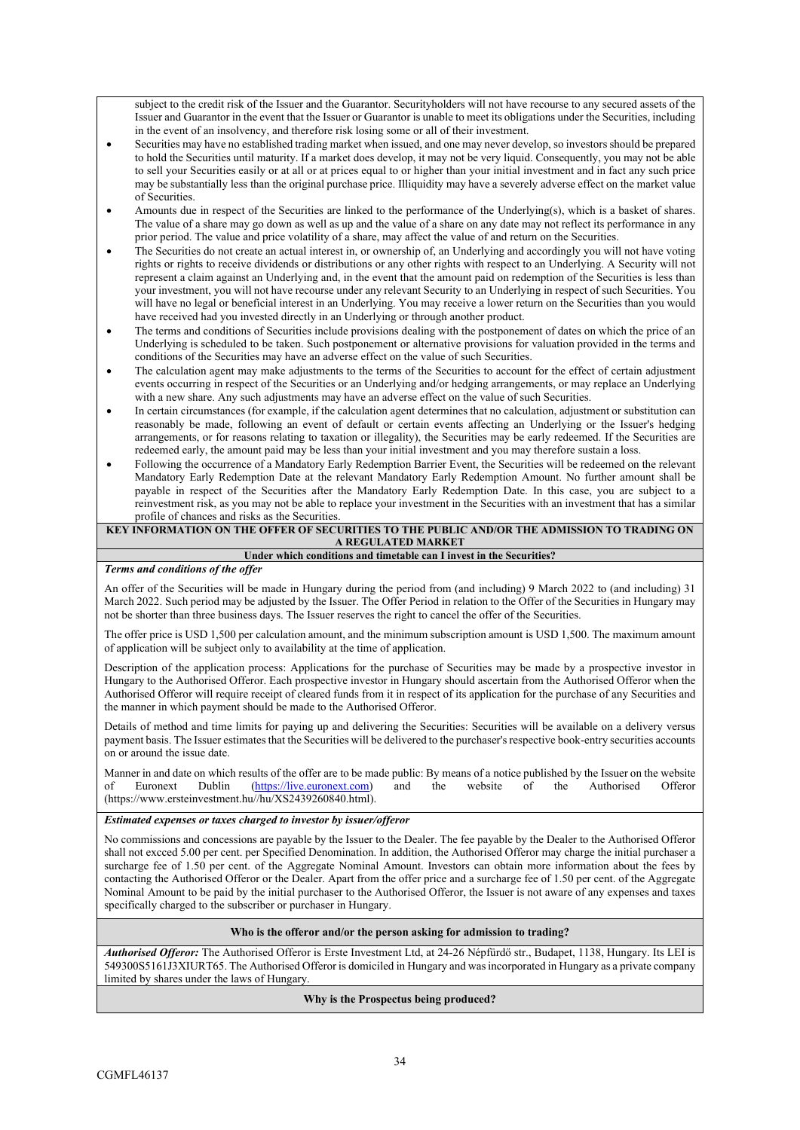subject to the credit risk of the Issuer and the Guarantor. Securityholders will not have recourse to any secured assets of the Issuer and Guarantor in the event that the Issuer or Guarantor is unable to meet its obligations under the Securities, including in the event of an insolvency, and therefore risk losing some or all of their investment.

- Securities may have no established trading market when issued, and one may never develop, so investors should be prepared to hold the Securities until maturity. If a market does develop, it may not be very liquid. Consequently, you may not be able to sell your Securities easily or at all or at prices equal to or higher than your initial investment and in fact any such price may be substantially less than the original purchase price. Illiquidity may have a severely adverse effect on the market value of Securities.
- Amounts due in respect of the Securities are linked to the performance of the Underlying(s), which is a basket of shares. The value of a share may go down as well as up and the value of a share on any date may not reflect its performance in any prior period. The value and price volatility of a share, may affect the value of and return on the Securities.
- The Securities do not create an actual interest in, or ownership of, an Underlying and accordingly you will not have voting rights or rights to receive dividends or distributions or any other rights with respect to an Underlying. A Security will not represent a claim against an Underlying and, in the event that the amount paid on redemption of the Securities is less than your investment, you will not have recourse under any relevant Security to an Underlying in respect of such Securities. You will have no legal or beneficial interest in an Underlying. You may receive a lower return on the Securities than you would have received had you invested directly in an Underlying or through another product.
- The terms and conditions of Securities include provisions dealing with the postponement of dates on which the price of an Underlying is scheduled to be taken. Such postponement or alternative provisions for valuation provided in the terms and conditions of the Securities may have an adverse effect on the value of such Securities.
- The calculation agent may make adjustments to the terms of the Securities to account for the effect of certain adjustment events occurring in respect of the Securities or an Underlying and/or hedging arrangements, or may replace an Underlying with a new share. Any such adjustments may have an adverse effect on the value of such Securities.
- In certain circumstances (for example, if the calculation agent determines that no calculation, adjustment or substitution can reasonably be made, following an event of default or certain events affecting an Underlying or the Issuer's hedging arrangements, or for reasons relating to taxation or illegality), the Securities may be early redeemed. If the Securities are redeemed early, the amount paid may be less than your initial investment and you may therefore sustain a loss.
- Following the occurrence of a Mandatory Early Redemption Barrier Event, the Securities will be redeemed on the relevant Mandatory Early Redemption Date at the relevant Mandatory Early Redemption Amount. No further amount shall be payable in respect of the Securities after the Mandatory Early Redemption Date. In this case, you are subject to a reinvestment risk, as you may not be able to replace your investment in the Securities with an investment that has a similar profile of chances and risks as the Securities.

#### **KEY INFORMATION ON THE OFFER OF SECURITIES TO THE PUBLIC AND/OR THE ADMISSION TO TRADING ON A REGULATED MARKET**

#### **Under which conditions and timetable can I invest in the Securities?**

### *Terms and conditions of the offer*

An offer of the Securities will be made in Hungary during the period from (and including) 9 March 2022 to (and including) 31 March 2022. Such period may be adjusted by the Issuer. The Offer Period in relation to the Offer of the Securities in Hungary may not be shorter than three business days. The Issuer reserves the right to cancel the offer of the Securities.

The offer price is USD 1,500 per calculation amount, and the minimum subscription amount is USD 1,500. The maximum amount of application will be subject only to availability at the time of application.

Description of the application process: Applications for the purchase of Securities may be made by a prospective investor in Hungary to the Authorised Offeror. Each prospective investor in Hungary should ascertain from the Authorised Offeror when the Authorised Offeror will require receipt of cleared funds from it in respect of its application for the purchase of any Securities and the manner in which payment should be made to the Authorised Offeror.

Details of method and time limits for paying up and delivering the Securities: Securities will be available on a delivery versus payment basis. The Issuer estimates that the Securities will be delivered to the purchaser's respective book-entry securities accounts on or around the issue date.

Manner in and date on which results of the offer are to be made public: By means of a notice published by the Issuer on the website<br>of the Authorised Offeror of Euronext Dublin ([https://live.euronext.com\)](https://live.euronext.com/) and the website of the Authorised Offeror (https://www.ersteinvestment.hu//hu/XS2439260840.html).

#### *Estimated expenses or taxes charged to investor by issuer/offeror*

No commissions and concessions are payable by the Issuer to the Dealer. The fee payable by the Dealer to the Authorised Offeror shall not excced 5.00 per cent. per Specified Denomination. In addition, the Authorised Offeror may charge the initial purchaser a surcharge fee of 1.50 per cent. of the Aggregate Nominal Amount. Investors can obtain more information about the fees by contacting the Authorised Offeror or the Dealer. Apart from the offer price and a surcharge fee of 1.50 per cent. of the Aggregate Nominal Amount to be paid by the initial purchaser to the Authorised Offeror, the Issuer is not aware of any expenses and taxes specifically charged to the subscriber or purchaser in Hungary.

## **Who is the offeror and/or the person asking for admission to trading?**

*Authorised Offeror:* The Authorised Offeror is Erste Investment Ltd, at 24-26 Népfürdő str., Budapet, 1138, Hungary. Its LEI is 549300S5161J3XIURT65. The Authorised Offeror is domiciled in Hungary and was incorporated in Hungary as a private company limited by shares under the laws of Hungary.

## **Why is the Prospectus being produced?**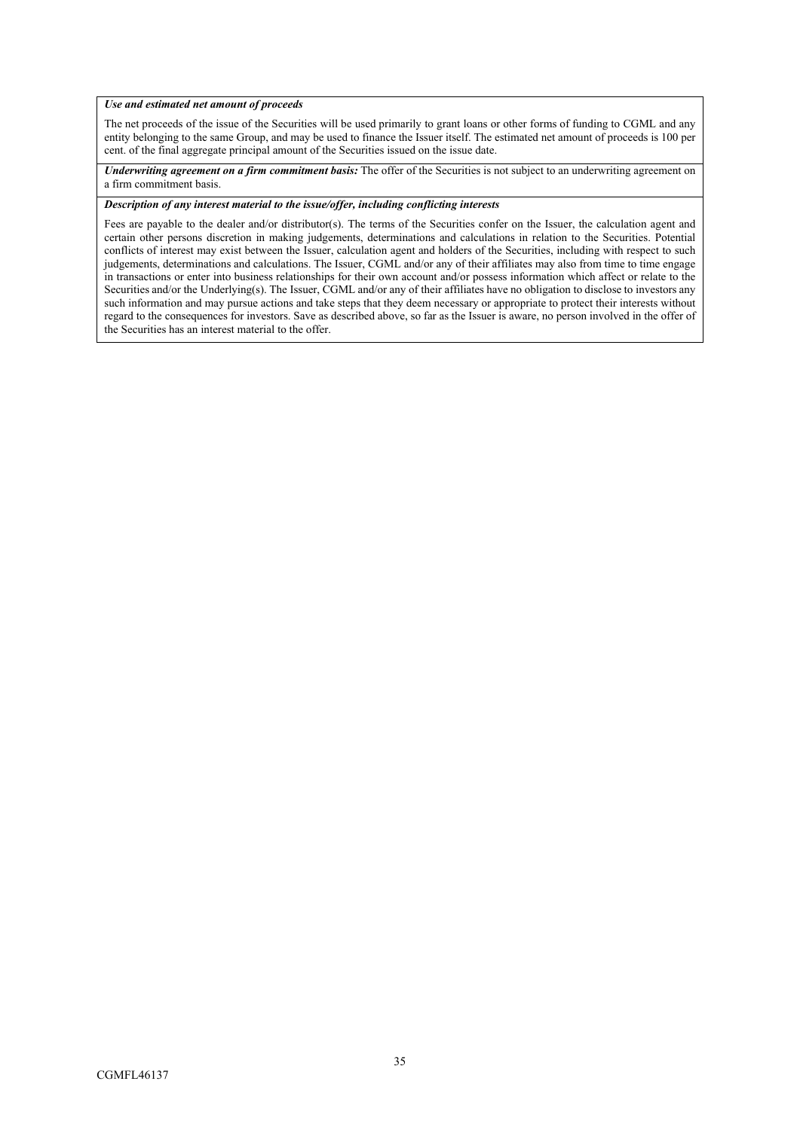## *Use and estimated net amount of proceeds*

The net proceeds of the issue of the Securities will be used primarily to grant loans or other forms of funding to CGML and any entity belonging to the same Group, and may be used to finance the Issuer itself. The estimated net amount of proceeds is 100 per cent. of the final aggregate principal amount of the Securities issued on the issue date.

*Underwriting agreement on a firm commitment basis:* The offer of the Securities is not subject to an underwriting agreement on a firm commitment basis.

## *Description of any interest material to the issue/offer, including conflicting interests*

Fees are payable to the dealer and/or distributor(s). The terms of the Securities confer on the Issuer, the calculation agent and certain other persons discretion in making judgements, determinations and calculations in relation to the Securities. Potential conflicts of interest may exist between the Issuer, calculation agent and holders of the Securities, including with respect to such judgements, determinations and calculations. The Issuer, CGML and/or any of their affiliates may also from time to time engage in transactions or enter into business relationships for their own account and/or possess information which affect or relate to the Securities and/or the Underlying(s). The Issuer, CGML and/or any of their affiliates have no obligation to disclose to investors any such information and may pursue actions and take steps that they deem necessary or appropriate to protect their interests without regard to the consequences for investors. Save as described above, so far as the Issuer is aware, no person involved in the offer of the Securities has an interest material to the offer.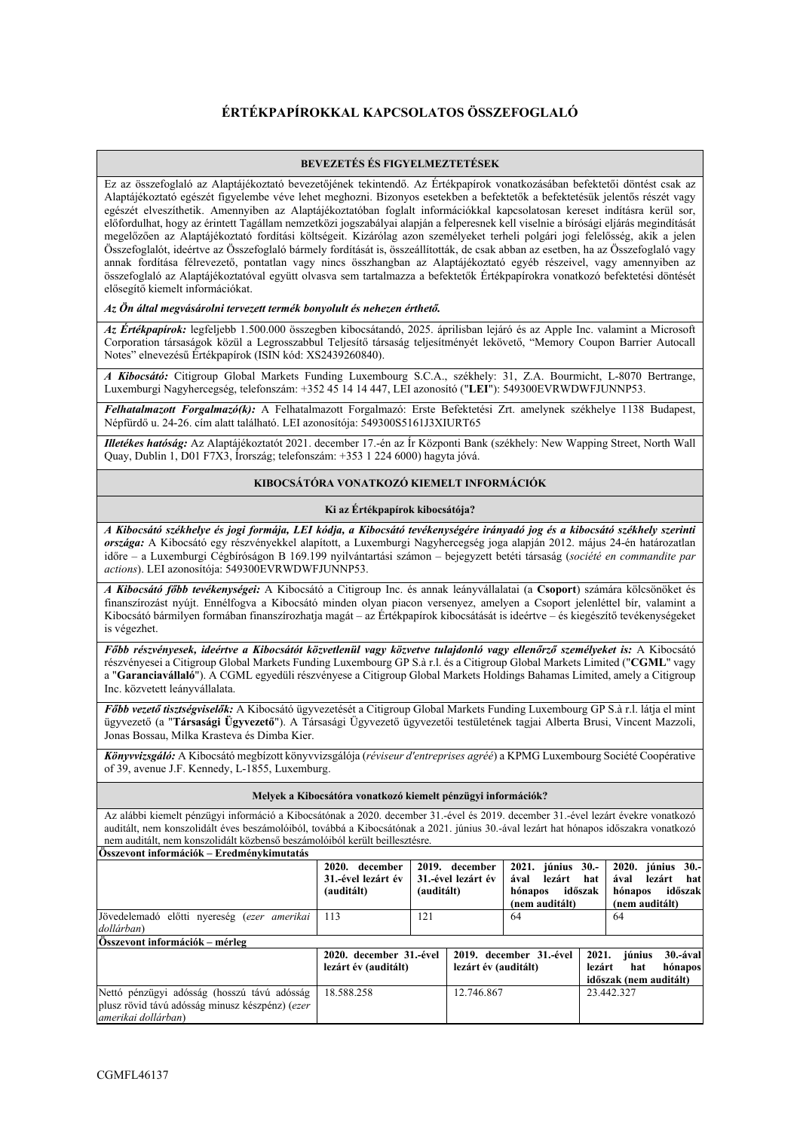## **ÉRTÉKPAPÍROKKAL KAPCSOLATOS ÖSSZEFOGLALÓ**

### **BEVEZETÉS ÉS FIGYELMEZTETÉSEK**

Ez az összefoglaló az Alaptájékoztató bevezetőjének tekintendő. Az Értékpapírok vonatkozásában befektetői döntést csak az Alaptájékoztató egészét figyelembe véve lehet meghozni. Bizonyos esetekben a befektetők a befektetésük jelentős részét vagy egészét elveszíthetik. Amennyiben az Alaptájékoztatóban foglalt információkkal kapcsolatosan kereset indításra kerül sor, előfordulhat, hogy az érintett Tagállam nemzetközi jogszabályai alapján a felperesnek kell viselnie a bírósági eljárás megindítását megelőzően az Alaptájékoztató fordítási költségeit. Kizárólag azon személyeket terheli polgári jogi felelősség, akik a jelen Összefoglalót, ideértve az Összefoglaló bármely fordítását is, összeállították, de csak abban az esetben, ha az Összefoglaló vagy annak fordítása félrevezető, pontatlan vagy nincs összhangban az Alaptájékoztató egyéb részeivel, vagy amennyiben az összefoglaló az Alaptájékoztatóval együtt olvasva sem tartalmazza a befektetők Értékpapírokra vonatkozó befektetési döntését elősegítő kiemelt információkat.

#### *Az Ön által megvásárolni tervezett termék bonyolult és nehezen érthető.*

*Az Értékpapírok:* legfeljebb 1.500.000 összegben kibocsátandó, 2025. áprilisban lejáró és az Apple Inc. valamint a Microsoft Corporation társaságok közül a Legrosszabbul Teljesítő társaság teljesítményét lekövető, "Memory Coupon Barrier Autocall Notes" elnevezésű Értékpapírok (ISIN kód: XS2439260840).

*A Kibocsátó:* Citigroup Global Markets Funding Luxembourg S.C.A., székhely: 31, Z.A. Bourmicht, L-8070 Bertrange, Luxemburgi Nagyhercegség, telefonszám: +352 45 14 14 447, LEI azonosító ("**LEI**"): 549300EVRWDWFJUNNP53.

*Felhatalmazott Forgalmazó(k):* A Felhatalmazott Forgalmazó: Erste Befektetési Zrt. amelynek székhelye 1138 Budapest, Népfürdő u. 24-26. cím alatt található. LEI azonosítója: 549300S5161J3XIURT65

*Illetékes hatóság:* Az Alaptájékoztatót 2021. december 17.-én az Ír Központi Bank (székhely: New Wapping Street, North Wall Quay, Dublin 1, D01 F7X3, Írország; telefonszám: +353 1 224 6000) hagyta jóvá.

#### **KIBOCSÁTÓRA VONATKOZÓ KIEMELT INFORMÁCIÓK**

#### **Ki az Értékpapírok kibocsátója?**

*A Kibocsátó székhelye és jogi formája, LEI kódja, a Kibocsátó tevékenységére irányadó jog és a kibocsátó székhely szerinti országa:* A Kibocsátó egy részvényekkel alapított, a Luxemburgi Nagyhercegség joga alapján 2012. május 24-én határozatlan időre – a Luxemburgi Cégbíróságon B 169.199 nyilvántartási számon – bejegyzett betéti társaság (*société en commandite par actions*). LEI azonosítója: 549300EVRWDWFJUNNP53.

*A Kibocsátó főbb tevékenységei:* A Kibocsátó a Citigroup Inc. és annak leányvállalatai (a **Csoport**) számára kölcsönöket és finanszírozást nyújt. Ennélfogva a Kibocsátó minden olyan piacon versenyez, amelyen a Csoport jelenléttel bír, valamint a Kibocsátó bármilyen formában finanszírozhatja magát – az Értékpapírok kibocsátását is ideértve – és kiegészítő tevékenységeket is végezhet.

*Főbb részvényesek, ideértve a Kibocsátót közvetlenül vagy közvetve tulajdonló vagy ellenőrző személyeket is:* A Kibocsátó részvényesei a Citigroup Global Markets Funding Luxembourg GP S.à r.l. és a Citigroup Global Markets Limited ("**CGML**" vagy a "**Garanciavállaló**"). A CGML egyedüli részvényese a Citigroup Global Markets Holdings Bahamas Limited, amely a Citigroup Inc. közvetett leányvállalata.

*Főbb vezető tisztségviselők:* A Kibocsátó ügyvezetését a Citigroup Global Markets Funding Luxembourg GP S.à r.l. látja el mint ügyvezető (a "**Társasági Ügyvezető**"). A Társasági Ügyvezető ügyvezetői testületének tagjai Alberta Brusi, Vincent Mazzoli, Jonas Bossau, Milka Krasteva és Dimba Kier.

*Könyvvizsgáló:* A Kibocsátó megbízott könyvvizsgálója (*réviseur d'entreprises agréé*) a KPMG Luxembourg Société Coopérative of 39, avenue J.F. Kennedy, L-1855, Luxemburg.

#### **Melyek a Kibocsátóra vonatkozó kiemelt pénzügyi információk?**

Az alábbi kiemelt pénzügyi információ a Kibocsátónak a 2020. december 31.-ével és 2019. december 31.-ével lezárt évekre vonatkozó auditált, nem konszolidált éves beszámolóiból, továbbá a Kibocsátónak a 2021. június 30.-ával lezárt hat hónapos időszakra vonatkozó nem auditált, nem konszolidált közbenső beszámolóiból került beillesztésre. **Összevont információk – Eredménykimutatás**

| 19 <i>32</i> года дары аласкок — Егеминен скинчинде                                                                   |                                                    |            |                                      |                                                                     |                 |                                            |                                              |
|-----------------------------------------------------------------------------------------------------------------------|----------------------------------------------------|------------|--------------------------------------|---------------------------------------------------------------------|-----------------|--------------------------------------------|----------------------------------------------|
|                                                                                                                       | 2020. december<br>31.-ével lezárt év<br>(auditált) | (auditált) | 2019. december<br>31.-ével lezárt év | június 30.-<br>2021.<br>ával<br>lezárt<br>hónapos<br>(nem auditált) | hat<br>időszak  | 2020.<br>ával<br>hónapos<br>(nem auditált) | június<br>$30 -$<br>lezárt<br>hat<br>időszak |
| Jövedelemadó előtti nyereség (ezer amerikai<br>dollárban)                                                             | 113                                                | 121        |                                      | 64                                                                  |                 | 64                                         |                                              |
| Összevont információk – mérleg                                                                                        |                                                    |            |                                      |                                                                     |                 |                                            |                                              |
|                                                                                                                       | 2020. december 31.-ével<br>lezárt év (auditált)    |            | lezárt év (auditált)                 | 2019. december 31.-ével                                             | 2021.<br>lezárt | június<br>hat<br>időszak (nem auditált)    | 30.-ával<br>hónapos                          |
| Nettó pénzügyi adósság (hosszú távú adósság<br>plusz rövid távú adósság minusz készpénz) (ezer<br>amerikai dollárban) | 18.588.258                                         |            | 12.746.867                           |                                                                     |                 | 23.442.327                                 |                                              |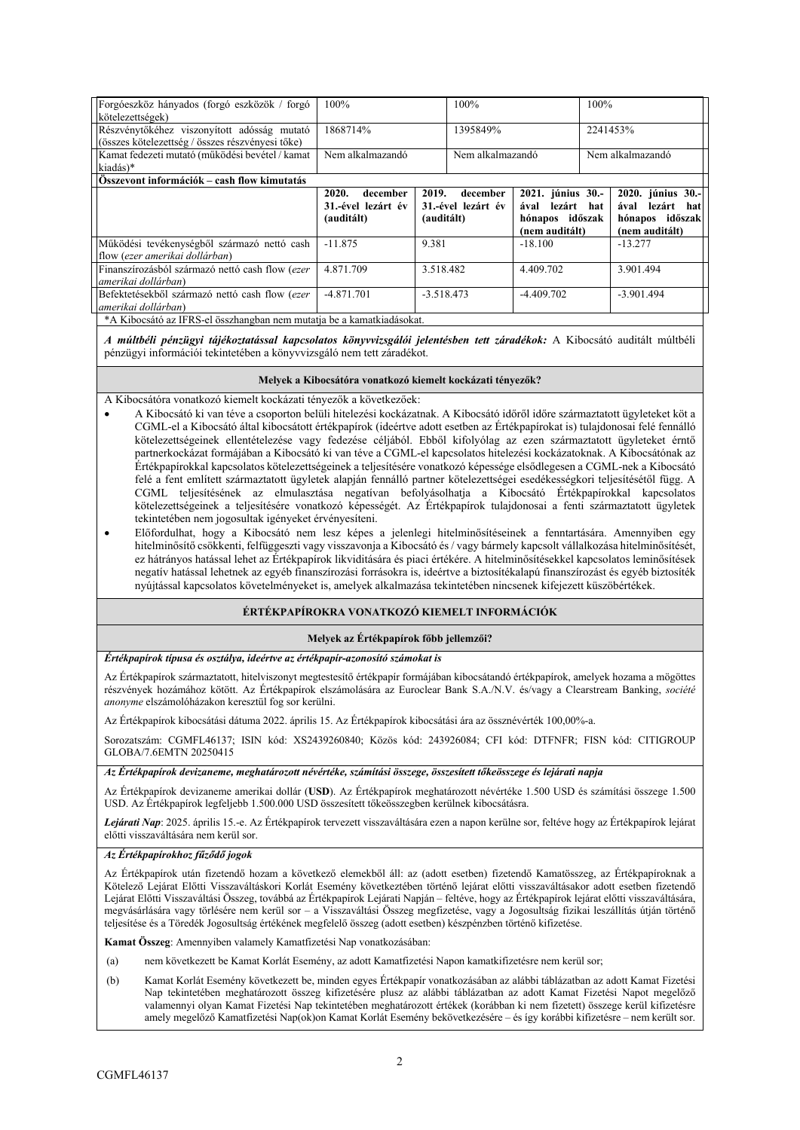| Forgóeszköz hányados (forgó eszközök / forgó     | 100%               | 100%               |                   | 100%     |                       |  |
|--------------------------------------------------|--------------------|--------------------|-------------------|----------|-----------------------|--|
| kötelezettségek)                                 |                    |                    |                   |          |                       |  |
| Részvénytőkéhez viszonyított adósság mutató      | 1868714%           | 1395849%           |                   | 2241453% |                       |  |
| (összes kötelezettség / összes részvényesi tőke) |                    |                    |                   |          |                       |  |
| Kamat fedezeti mutató (működési bevétel / kamat  | Nem alkalmazandó   | Nem alkalmazandó   |                   |          | Nem alkalmazandó      |  |
| kiadás)*                                         |                    |                    |                   |          |                       |  |
| Összevont információk – cash flow kimutatás      |                    |                    |                   |          |                       |  |
|                                                  | 2020.<br>december  | 2019.<br>december  | 2021. június 30.- |          | 2020. június 30.-     |  |
|                                                  | 31.-ével lezárt év | 31.-ével lezárt év | ával<br>lezárt    | hat      | lezárt<br>ával<br>hat |  |
|                                                  | (auditált)         | (auditált)         | hónapos időszak   |          | hónapos időszak       |  |
|                                                  |                    |                    | (nem auditált)    |          | (nem auditált)        |  |
| Működési tevékenységből származó nettó cash      | $-11.875$          | 9.381              | $-18.100$         |          | $-13.277$             |  |
| flow (ezer amerikai dollárban)                   |                    |                    |                   |          |                       |  |
| Finanszírozásból származó nettó cash flow (ezer  | 4.871.709          | 3.518.482          | 4.409.702         |          | 3.901.494             |  |
| amerikai dollárban)                              |                    |                    |                   |          |                       |  |
|                                                  |                    |                    |                   |          |                       |  |
| Befektetésekből származó nettó cash flow (ezer   | $-4.871.701$       | $-3.518.473$       | $-4.409.702$      |          | $-3.901.494$          |  |
| amerikai dollárban)                              |                    |                    |                   |          |                       |  |

*A múltbéli pénzügyi tájékoztatással kapcsolatos könyvvizsgálói jelentésben tett záradékok:* A Kibocsátó auditált múltbéli pénzügyi információi tekintetében a könyvvizsgáló nem tett záradékot.

#### **Melyek a Kibocsátóra vonatkozó kiemelt kockázati tényezők?**

A Kibocsátóra vonatkozó kiemelt kockázati tényezők a következőek:

- A Kibocsátó ki van téve a csoporton belüli hitelezési kockázatnak. A Kibocsátó időről időre származtatott ügyleteket köt a CGML-el a Kibocsátó által kibocsátott értékpapírok (ideértve adott esetben az Értékpapírokat is) tulajdonosai felé fennálló kötelezettségeinek ellentételezése vagy fedezése céljából. Ebből kifolyólag az ezen származtatott ügyleteket érntő partnerkockázat formájában a Kibocsátó ki van téve a CGML-el kapcsolatos hitelezési kockázatoknak. A Kibocsátónak az Értékpapírokkal kapcsolatos kötelezettségeinek a teljesítésére vonatkozó képessége elsődlegesen a CGML-nek a Kibocsátó felé a fent említett származtatott ügyletek alapján fennálló partner kötelezettségei esedékességkori teljesítésétől függ. A CGML teljesítésének az elmulasztása negatívan befolyásolhatja a Kibocsátó Értékpapírokkal kapcsolatos kötelezettségeinek a teljesítésére vonatkozó képességét. Az Értékpapírok tulajdonosai a fenti származtatott ügyletek tekintetében nem jogosultak igényeket érvényesíteni.
- Előfordulhat, hogy a Kibocsátó nem lesz képes a jelenlegi hitelminősítéseinek a fenntartására. Amennyiben egy hitelminősítő csökkenti, felfüggeszti vagy visszavonja a Kibocsátó és / vagy bármely kapcsolt vállalkozása hitelminősítését, ez hátrányos hatással lehet az Értékpapírok likviditására és piaci értékére. A hitelminősítésekkel kapcsolatos leminősítések negatív hatással lehetnek az egyéb finanszírozási forrásokra is, ideértve a biztosítékalapú finanszírozást és egyéb biztosíték nyújtással kapcsolatos követelményeket is, amelyek alkalmazása tekintetében nincsenek kifejezett küszöbértékek.

## **ÉRTÉKPAPÍROKRA VONATKOZÓ KIEMELT INFORMÁCIÓK**

#### **Melyek az Értékpapírok főbb jellemzői?**

#### *Értékpapírok típusa és osztálya, ideértve az értékpapír-azonosító számokat is*

Az Értékpapírok származtatott, hitelviszonyt megtestesítő értékpapír formájában kibocsátandó értékpapírok, amelyek hozama a mögöttes részvények hozámához kötött. Az Értékpapírok elszámolására az Euroclear Bank S.A./N.V. és/vagy a Clearstream Banking, *société anonyme* elszámolóházakon keresztül fog sor kerülni.

Az Értékpapírok kibocsátási dátuma 2022. április 15. Az Értékpapírok kibocsátási ára az össznévérték 100,00%-a.

Sorozatszám: CGMFL46137; ISIN kód: XS2439260840; Közös kód: 243926084; CFI kód: DTFNFR; FISN kód: CITIGROUP GLOBA/7.6EMTN 20250415

## *Az Értékpapírok devizaneme, meghatározott névértéke, számítási összege, összesített tőkeösszege és lejárati napja*

Az Értékpapírok devizaneme amerikai dollár (**USD**). Az Értékpapírok meghatározott névértéke 1.500 USD és számítási összege 1.500 USD. Az Értékpapírok legfeljebb 1.500.000 USD összesített tőkeösszegben kerülnek kibocsátásra.

*Lejárati Nap*: 2025. április 15.-e. Az Értékpapírok tervezett visszaváltására ezen a napon kerülne sor, feltéve hogy az Értékpapírok lejárat előtti visszaváltására nem kerül sor.

#### *Az Értékpapírokhoz fűződő jogok*

Az Értékpapírok után fizetendő hozam a következő elemekből áll: az (adott esetben) fizetendő Kamatösszeg, az Értékpapíroknak a Kötelező Lejárat Előtti Visszaváltáskori Korlát Esemény következtében történő lejárat előtti visszaváltásakor adott esetben fizetendő Lejárat Előtti Visszaváltási Összeg, továbbá az Értékpapírok Lejárati Napján – feltéve, hogy az Értékpapírok lejárat előtti visszaváltására, megvásárlására vagy törlésére nem kerül sor – a Visszaváltási Összeg megfizetése, vagy a Jogosultság fizikai leszállítás útján történő teljesítése és a Töredék Jogosultság értékének megfelelő összeg (adott esetben) készpénzben történő kifizetése.

**Kamat Összeg**: Amennyiben valamely Kamatfizetési Nap vonatkozásában:

- (a) nem következett be Kamat Korlát Esemény, az adott Kamatfizetési Napon kamatkifizetésre nem kerül sor;
- (b) Kamat Korlát Esemény következett be, minden egyes Értékpapír vonatkozásában az alábbi táblázatban az adott Kamat Fizetési Nap tekintetében meghatározott összeg kifizetésére plusz az alábbi táblázatban az adott Kamat Fizetési Napot megelőző valamennyi olyan Kamat Fizetési Nap tekintetében meghatározott értékek (korábban ki nem fizetett) összege kerül kifizetésre amely megelőző Kamatfizetési Nap(ok)on Kamat Korlát Esemény bekövetkezésére – és így korábbi kifizetésre – nem került sor.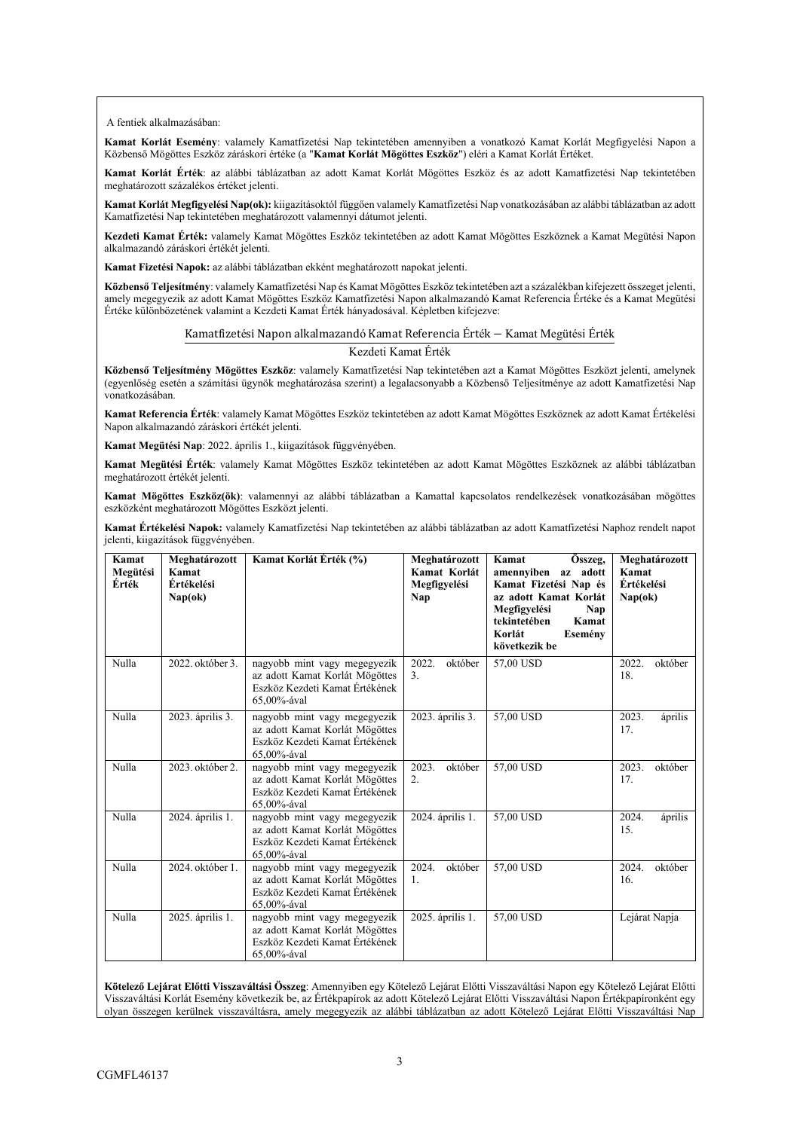A fentiek alkalmazásában:

**Kamat Korlát Esemény**: valamely Kamatfizetési Nap tekintetében amennyiben a vonatkozó Kamat Korlát Megfigyelési Napon a Közbenső Mögöttes Eszköz záráskori értéke (a "**Kamat Korlát Mögöttes Eszköz**") eléri a Kamat Korlát Értéket.

**Kamat Korlát Érték**: az alábbi táblázatban az adott Kamat Korlát Mögöttes Eszköz és az adott Kamatfizetési Nap tekintetében meghatározott százalékos értéket jelenti.

**Kamat Korlát Megfigyelési Nap(ok):** kiigazításoktól függően valamely Kamatfizetési Nap vonatkozásában az alábbi táblázatban az adott Kamatfizetési Nap tekintetében meghatározott valamennyi dátumot jelenti.

**Kezdeti Kamat Érték:** valamely Kamat Mögöttes Eszköz tekintetében az adott Kamat Mögöttes Eszköznek a Kamat Megütési Napon alkalmazandó záráskori értékét jelenti.

**Kamat Fizetési Napok:** az alábbi táblázatban ekként meghatározott napokat jelenti.

**Közbenső Teljesítmény**: valamely Kamatfizetési Nap és Kamat Mögöttes Eszköz tekintetében azt a százalékban kifejezett összeget jelenti, amely megegyezik az adott Kamat Mögöttes Eszköz Kamatfizetési Napon alkalmazandó Kamat Referencia Értéke és a Kamat Megütési Értéke különbözetének valamint a Kezdeti Kamat Érték hányadosával. Képletben kifejezve:

#### Kamatfizetési Napon alkalmazandó Kamat Referencia Érték − Kamat Megütési Érték

#### Kezdeti Kamat Érték

**Közbenső Teljesítmény Mögöttes Eszköz**: valamely Kamatfizetési Nap tekintetében azt a Kamat Mögöttes Eszközt jelenti, amelynek (egyenlőség esetén a számítási ügynök meghatározása szerint) a legalacsonyabb a Közbenső Teljesítménye az adott Kamatfizetési Nap vonatkozásában.

**Kamat Referencia Érték**: valamely Kamat Mögöttes Eszköz tekintetében az adott Kamat Mögöttes Eszköznek az adott Kamat Értékelési Napon alkalmazandó záráskori értékét jelenti.

**Kamat Megütési Nap**: 2022. április 1., kiigazítások függvényében.

**Kamat Megütési Érték**: valamely Kamat Mögöttes Eszköz tekintetében az adott Kamat Mögöttes Eszköznek az alábbi táblázatban meghatározott értékét jelenti.

**Kamat Mögöttes Eszköz(ök)**: valamennyi az alábbi táblázatban a Kamattal kapcsolatos rendelkezések vonatkozásában mögöttes eszközként meghatározott Mögöttes Eszközt jelenti.

**Kamat Értékelési Napok:** valamely Kamatfizetési Nap tekintetében az alábbi táblázatban az adott Kamatfizetési Naphoz rendelt napot jelenti, kiigazítások függvényében.

| Kamat<br>Megütési<br>Érték | Meghatározott<br>Kamat<br>Értékelési<br>Nap(ok) | Kamat Korlát Érték (%)                                                                                          | Meghatározott<br>Kamat Korlát<br>Megfigyelési<br>Nap | Összeg,<br>Kamat<br>amennyiben az adott<br>Kamat Fizetési Nap és<br>az adott Kamat Korlát<br>Megfigyelési<br>Nap<br>tekintetében<br>Kamat<br>Esemény<br>Korlát<br>következik be | Meghatározott<br>Kamat<br>Értékelési<br>Nap(ok) |
|----------------------------|-------------------------------------------------|-----------------------------------------------------------------------------------------------------------------|------------------------------------------------------|---------------------------------------------------------------------------------------------------------------------------------------------------------------------------------|-------------------------------------------------|
| <b>Nulla</b>               | 2022. október 3.                                | nagyobb mint vagy megegyezik<br>az adott Kamat Korlát Mögöttes<br>Eszköz Kezdeti Kamat Értékének<br>65,00%-ával | 2022.<br>október<br>$\overline{3}$ .                 | 57,00 USD                                                                                                                                                                       | 2022.<br>október<br>18.                         |
| Nulla                      | 2023. április 3.                                | nagyobb mint vagy megegyezik<br>az adott Kamat Korlát Mögöttes<br>Eszköz Kezdeti Kamat Értékének<br>65.00%-ával | 2023. április 3.                                     | 57,00 USD                                                                                                                                                                       | 2023.<br>április<br>17.                         |
| Nulla                      | 2023. október 2.                                | nagyobb mint vagy megegyezik<br>az adott Kamat Korlát Mögöttes<br>Eszköz Kezdeti Kamat Értékének<br>65.00%-ával | 2023.<br>október<br>2.                               | 57,00 USD                                                                                                                                                                       | 2023.<br>október<br>17.                         |
| Nulla                      | 2024. április 1.                                | nagyobb mint vagy megegyezik<br>az adott Kamat Korlát Mögöttes<br>Eszköz Kezdeti Kamat Értékének<br>65.00%-ával | 2024. április 1.                                     | 57,00 USD                                                                                                                                                                       | 2024.<br>április<br>15.                         |
| Nulla                      | 2024. október 1.                                | nagyobb mint vagy megegyezik<br>az adott Kamat Korlát Mögöttes<br>Eszköz Kezdeti Kamat Értékének<br>65.00%-ával | 2024.<br>október<br>1.                               | 57,00 USD                                                                                                                                                                       | 2024.<br>október<br>16.                         |
| Nulla                      | 2025. április 1.                                | nagyobb mint vagy megegyezik<br>az adott Kamat Korlát Mögöttes<br>Eszköz Kezdeti Kamat Értékének<br>65.00%-ával | 2025. április 1.                                     | 57,00 USD                                                                                                                                                                       | Lejárat Napja                                   |

**Kötelező Lejárat Előtti Visszaváltási Összeg**: Amennyiben egy Kötelező Lejárat Előtti Visszaváltási Napon egy Kötelező Lejárat Előtti Visszaváltási Korlát Esemény következik be, az Értékpapírok az adott Kötelező Lejárat Előtti Visszaváltási Napon Értékpapíronként egy olyan összegen kerülnek visszaváltásra, amely megegyezik az alábbi táblázatban az adott Kötelező Lejárat Előtti Visszaváltási Nap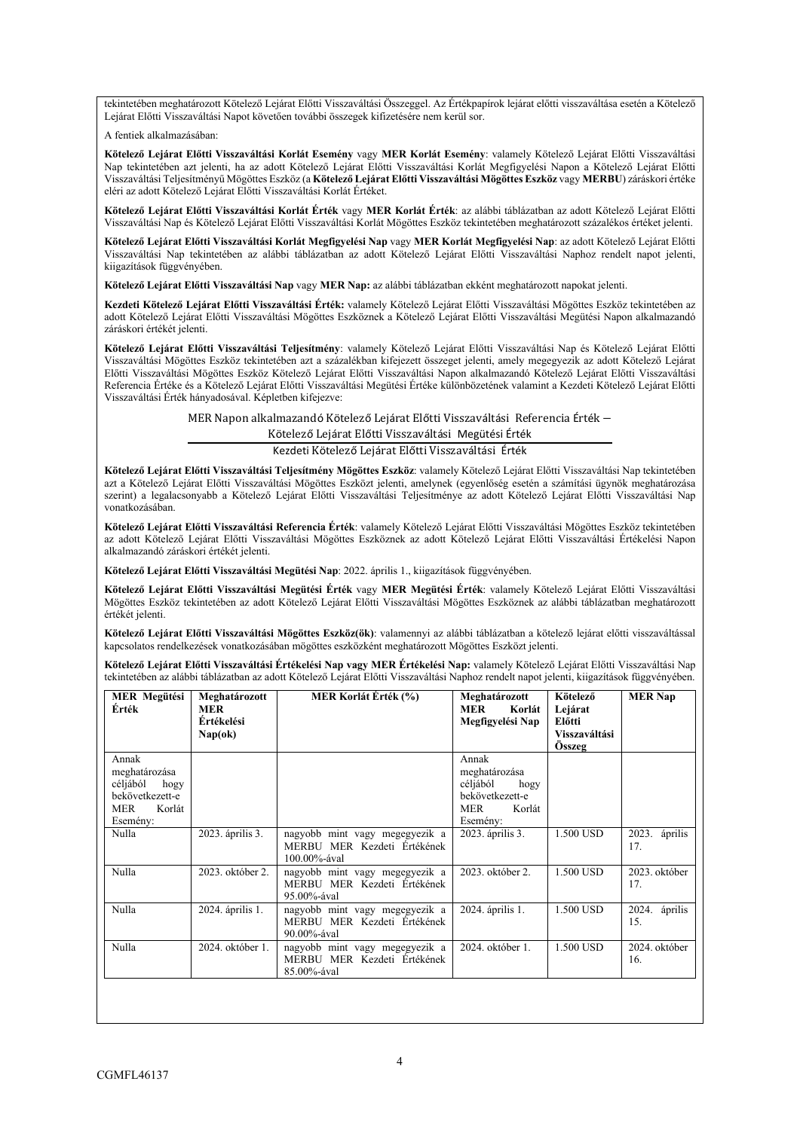tekintetében meghatározott Kötelező Lejárat Előtti Visszaváltási Összeggel. Az Értékpapírok lejárat előtti visszaváltása esetén a Kötelező Lejárat Előtti Visszaváltási Napot követően további összegek kifizetésére nem kerül sor.

A fentiek alkalmazásában:

**Kötelező Lejárat Előtti Visszaváltási Korlát Esemény** vagy **MER Korlát Esemény**: valamely Kötelező Lejárat Előtti Visszaváltási Nap tekintetében azt jelenti, ha az adott Kötelező Lejárat Előtti Visszaváltási Korlát Megfigyelési Napon a Kötelező Lejárat Előtti Visszaváltási Teljesítményű Mögöttes Eszköz (a **Kötelező Lejárat Előtti Visszaváltási Mögöttes Eszköz** vagy **MERBU**) záráskori értéke eléri az adott Kötelező Lejárat Előtti Visszaváltási Korlát Értéket.

**Kötelező Lejárat Előtti Visszaváltási Korlát Érték** vagy **MER Korlát Érték**: az alábbi táblázatban az adott Kötelező Lejárat Előtti Visszaváltási Nap és Kötelező Lejárat Előtti Visszaváltási Korlát Mögöttes Eszköz tekintetében meghatározott százalékos értéket jelenti.

**Kötelező Lejárat Előtti Visszaváltási Korlát Megfigyelési Nap** vagy **MER Korlát Megfigyelési Nap**: az adott Kötelező Lejárat Előtti Visszaváltási Nap tekintetében az alábbi táblázatban az adott Kötelező Lejárat Előtti Visszaváltási Naphoz rendelt napot jelenti, kiigazítások függvényében.

**Kötelező Lejárat Előtti Visszaváltási Nap** vagy **MER Nap:** az alábbi táblázatban ekként meghatározott napokat jelenti.

**Kezdeti Kötelező Lejárat Előtti Visszaváltási Érték:** valamely Kötelező Lejárat Előtti Visszaváltási Mögöttes Eszköz tekintetében az adott Kötelező Lejárat Előtti Visszaváltási Mögöttes Eszköznek a Kötelező Lejárat Előtti Visszaváltási Megütési Napon alkalmazandó záráskori értékét jelenti.

**Kötelező Lejárat Előtti Visszaváltási Teljesítmény**: valamely Kötelező Lejárat Előtti Visszaváltási Nap és Kötelező Lejárat Előtti Visszaváltási Mögöttes Eszköz tekintetében azt a százalékban kifejezett összeget jelenti, amely megegyezik az adott Kötelező Lejárat Előtti Visszaváltási Mögöttes Eszköz Kötelező Lejárat Előtti Visszaváltási Napon alkalmazandó Kötelező Lejárat Előtti Visszaváltási Referencia Értéke és a Kötelező Lejárat Előtti Visszaváltási Megütési Értéke különbözetének valamint a Kezdeti Kötelező Lejárat Előtti Visszaváltási Érték hányadosával. Képletben kifejezve:

MER Napon alkalmazandó Kötelező Lejárat Előtti Visszaváltási Referencia Érték −

Kötelező Lejárat Előtti Visszaváltási Megütési Érték

Kezdeti Kötelező Lejárat Előtti Visszaváltási Érték

**Kötelező Lejárat Előtti Visszaváltási Teljesítmény Mögöttes Eszköz**: valamely Kötelező Lejárat Előtti Visszaváltási Nap tekintetében azt a Kötelező Lejárat Előtti Visszaváltási Mögöttes Eszközt jelenti, amelynek (egyenlőség esetén a számítási ügynök meghatározása szerint) a legalacsonyabb a Kötelező Lejárat Előtti Visszaváltási Teljesítménye az adott Kötelező Lejárat Előtti Visszaváltási Nap vonatkozásában.

**Kötelező Lejárat Előtti Visszaváltási Referencia Érték**: valamely Kötelező Lejárat Előtti Visszaváltási Mögöttes Eszköz tekintetében az adott Kötelező Lejárat Előtti Visszaváltási Mögöttes Eszköznek az adott Kötelező Lejárat Előtti Visszaváltási Értékelési Napon alkalmazandó záráskori értékét jelenti.

**Kötelező Lejárat Előtti Visszaváltási Megütési Nap**: 2022. április 1., kiigazítások függvényében.

**Kötelező Lejárat Előtti Visszaváltási Megütési Érték** vagy **MER Megütési Érték**: valamely Kötelező Lejárat Előtti Visszaváltási Mögöttes Eszköz tekintetében az adott Kötelező Lejárat Előtti Visszaváltási Mögöttes Eszköznek az alábbi táblázatban meghatározott értékét jelenti.

**Kötelező Lejárat Előtti Visszaváltási Mögöttes Eszköz(ök)**: valamennyi az alábbi táblázatban a kötelező lejárat előtti visszaváltással kapcsolatos rendelkezések vonatkozásában mögöttes eszközként meghatározott Mögöttes Eszközt jelenti.

**Kötelező Lejárat Előtti Visszaváltási Értékelési Nap vagy MER Értékelési Nap:** valamely Kötelező Lejárat Előtti Visszaváltási Nap tekintetében az alábbi táblázatban az adott Kötelező Lejárat Előtti Visszaváltási Naphoz rendelt napot jelenti, kiigazítások függvényében.

| <b>MER Megütési</b><br>Érték                                                                      | Meghatározott<br><b>MER</b><br><b>Értékelési</b><br>Nap(ok) | MER Korlát Érték (%)                                                             | Meghatározott<br>Korlát<br>MER<br>Megfigyelési Nap                                                | Kötelező<br>Lejárat<br>Előtti<br>Visszaváltási<br>Osszeg | <b>MER Nap</b>       |
|---------------------------------------------------------------------------------------------------|-------------------------------------------------------------|----------------------------------------------------------------------------------|---------------------------------------------------------------------------------------------------|----------------------------------------------------------|----------------------|
| Annak<br>meghatározása<br>céljából<br>hogy<br>bekövetkezett-e<br><b>MER</b><br>Korlát<br>Esemény: |                                                             |                                                                                  | Annak<br>meghatározása<br>céljából<br>hogy<br>bekövetkezett-e<br><b>MER</b><br>Korlát<br>Esemény: |                                                          |                      |
| Nulla                                                                                             | 2023. április 3.                                            | nagyobb mint vagy megegyezik a<br>MERBU MER Kezdeti Értékének<br>100.00%-ával    | 2023. április 3.                                                                                  | 1.500 USD                                                | 2023. április<br>17. |
| Nulla                                                                                             | 2023. október 2.                                            | nagyobb mint vagy megegyezik a<br>MERBU MER Kezdeti Értékének<br>$95.00\%$ -ával | 2023. október 2.                                                                                  | 1.500 USD                                                | 2023. október<br>17. |
| Nulla                                                                                             | 2024. április 1.                                            | nagyobb mint vagy megegyezik a<br>MERBU MER Kezdeti Értékének<br>$90.00\%$ -ával | 2024. április 1.                                                                                  | 1.500 USD                                                | 2024. április<br>15. |
| Nulla                                                                                             | 2024. október 1.                                            | nagyobb mint vagy megegyezik a<br>MERBU MER Kezdeti Értékének<br>85.00%-ával     | 2024. október 1.                                                                                  | 1.500 USD                                                | 2024. október<br>16. |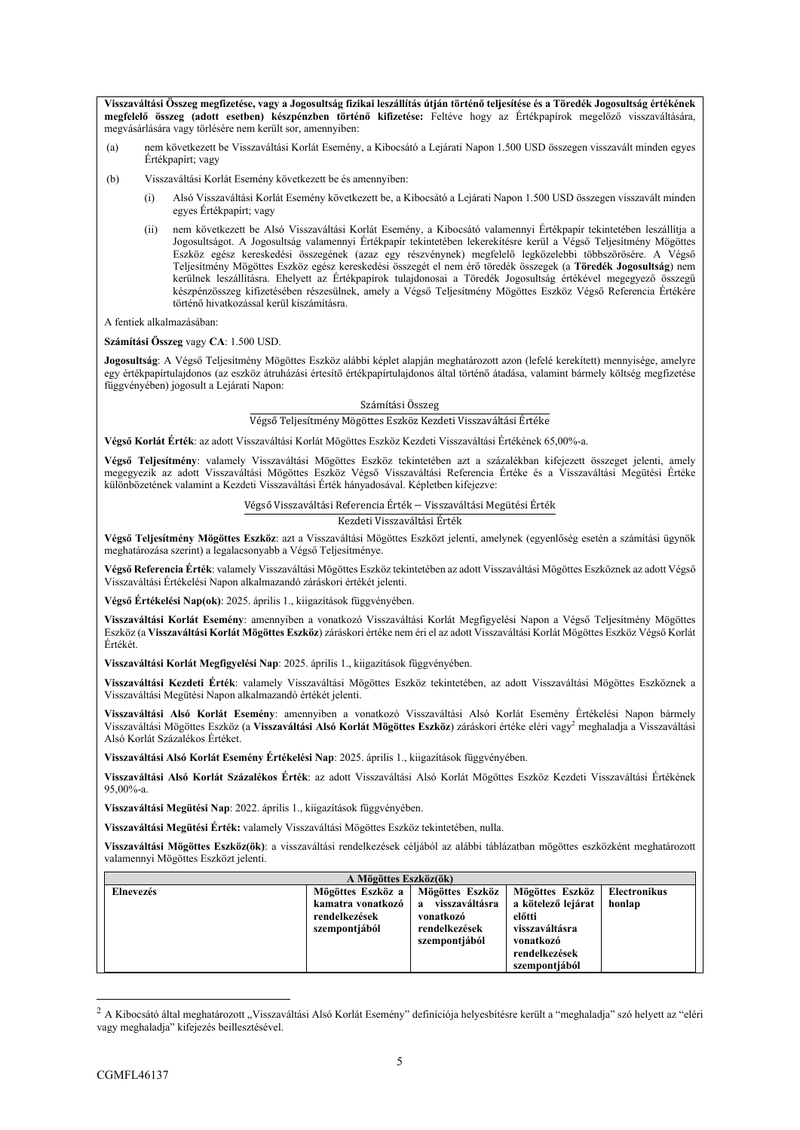**Visszaváltási Összeg megfizetése, vagy a Jogosultság fizikai leszállítás útján történő teljesítése és a Töredék Jogosultság értékének megfelelő összeg (adott esetben) készpénzben történő kifizetése:** Feltéve hogy az Értékpapírok megelőző visszaváltására, megvásárlására vagy törlésére nem került sor, amennyiben:

- (a) nem következett be Visszaváltási Korlát Esemény, a Kibocsátó a Lejárati Napon 1.500 USD összegen visszavált minden egyes Értékpapírt; vagy
- (b) Visszaváltási Korlát Esemény következett be és amennyiben:
	- (i) Alsó Visszaváltási Korlát Esemény következett be, a Kibocsátó a Lejárati Napon 1.500 USD összegen visszavált minden egyes Értékpapírt; vagy
	- (ii) nem következett be Alsó Visszaváltási Korlát Esemény, a Kibocsátó valamennyi Értékpapír tekintetében leszállítja a Jogosultságot. A Jogosultság valamennyi Értékpapír tekintetében lekerekítésre kerül a Végső Teljesítmény Mögöttes Eszköz egész kereskedési összegének (azaz egy részvénynek) megfelelő legközelebbi többszörösére. A Végső Teljesítmény Mögöttes Eszköz egész kereskedési összegét el nem érő töredék összegek (a **Töredék Jogosultság**) nem kerülnek leszállításra. Ehelyett az Értékpapírok tulajdonosai a Töredék Jogosultság értékével megegyező összegű készpénzösszeg kifizetésében részesülnek, amely a Végső Teljesítmény Mögöttes Eszköz Végső Referencia Értékére történő hivatkozással kerül kiszámításra.

A fentiek alkalmazásában:

**Számítási Összeg** vagy **CA**: 1.500 USD.

**Jogosultság**: A Végső Teljesítmény Mögöttes Eszköz alábbi képlet alapján meghatározott azon (lefelé kerekített) mennyisége, amelyre egy értékpapírtulajdonos (az eszköz átruházási értesítő értékpapírtulajdonos által történő átadása, valamint bármely költség megfizetése függvényében) jogosult a Lejárati Napon:

#### Számítási Összeg

#### Végső Teljesítmény Mögöttes Eszköz Kezdeti Visszaváltási Értéke

**Végső Korlát Érték**: az adott Visszaváltási Korlát Mögöttes Eszköz Kezdeti Visszaváltási Értékének 65,00%-a.

**Végső Teljesítmény**: valamely Visszaváltási Mögöttes Eszköz tekintetében azt a százalékban kifejezett összeget jelenti, amely megegyezik az adott Visszaváltási Mögöttes Eszköz Végső Visszaváltási Referencia Értéke és a Visszaváltási Megütési Értéke különbözetének valamint a Kezdeti Visszaváltási Érték hányadosával. Képletben kifejezve:

#### Végső Visszaváltási Referencia Érték − Visszaváltási Megütési Érték

Kezdeti Visszaváltási Érték

**Végső Teljesítmény Mögöttes Eszköz**: azt a Visszaváltási Mögöttes Eszközt jelenti, amelynek (egyenlőség esetén a számítási ügynök meghatározása szerint) a legalacsonyabb a Végső Teljesítménye.

**Végső Referencia Érték**: valamely Visszaváltási Mögöttes Eszköz tekintetében az adott Visszaváltási Mögöttes Eszköznek az adott Végső Visszaváltási Értékelési Napon alkalmazandó záráskori értékét jelenti.

**Végső Értékelési Nap(ok)**: 2025. április 1., kiigazítások függvényében.

**Visszaváltási Korlát Esemény**: amennyiben a vonatkozó Visszaváltási Korlát Megfigyelési Napon a Végső Teljesítmény Mögöttes Eszköz (a **Visszaváltási Korlát Mögöttes Eszköz**) záráskori értéke nem éri el az adott Visszaváltási Korlát Mögöttes Eszköz Végső Korlát Értékét.

**Visszaváltási Korlát Megfigyelési Nap**: 2025. április 1., kiigazítások függvényében.

**Visszaváltási Kezdeti Érték**: valamely Visszaváltási Mögöttes Eszköz tekintetében, az adott Visszaváltási Mögöttes Eszköznek a Visszaváltási Megütési Napon alkalmazandó értékét jelenti.

**Visszaváltási Alsó Korlát Esemény**: amennyiben a vonatkozó Visszaváltási Alsó Korlát Esemény Értékelési Napon bármely Visszaváltási Mögöttes Eszköz (a Visszaváltási Alsó Korlát Mögöttes Eszköz) záráskori értéke eléri vagy<sup>2</sup> meghaladja a Visszaváltási Alsó Korlát Százalékos Értéket.

**Visszaváltási Alsó Korlát Esemény Értékelési Nap**: 2025. április 1., kiigazítások függvényében.

**Visszaváltási Alsó Korlát Százalékos Érték**: az adott Visszaváltási Alsó Korlát Mögöttes Eszköz Kezdeti Visszaváltási Értékének 95,00%-a.

**Visszaváltási Megütési Nap**: 2022. április 1., kiigazítások függvényében.

**Visszaváltási Megütési Érték:** valamely Visszaváltási Mögöttes Eszköz tekintetében, nulla.

**Visszaváltási Mögöttes Eszköz(ök)**: a visszaváltási rendelkezések céljából az alábbi táblázatban mögöttes eszközként meghatározott valamennyi Mögöttes Eszközt jelenti.

| A Mögöttes Eszköz(ök) |                                                                          |                                                                                                  |                                                                                                                  |                        |  |  |  |
|-----------------------|--------------------------------------------------------------------------|--------------------------------------------------------------------------------------------------|------------------------------------------------------------------------------------------------------------------|------------------------|--|--|--|
| Elnevezés             | Mögöttes Eszköz a<br>kamatra vonatkozó<br>rendelkezések<br>szempontjából | Mögöttes Eszköz<br>visszaváltásra<br>$\mathbf{a}$<br>vonatkozó<br>rendelkezések<br>szempontjából | Mögöttes Eszköz<br>a kötelező lejárat<br>előtti<br>visszaváltásra<br>vonatkozó<br>rendelkezések<br>szempontjából | Electronikus<br>honlap |  |  |  |

<sup>&</sup>lt;sup>2</sup> A Kibocsátó által meghatározott "Visszaváltási Alsó Korlát Esemény" definíciója helyesbítésre került a "meghaladja" szó helyett az "eléri vagy meghaladja" kifejezés beillesztésével.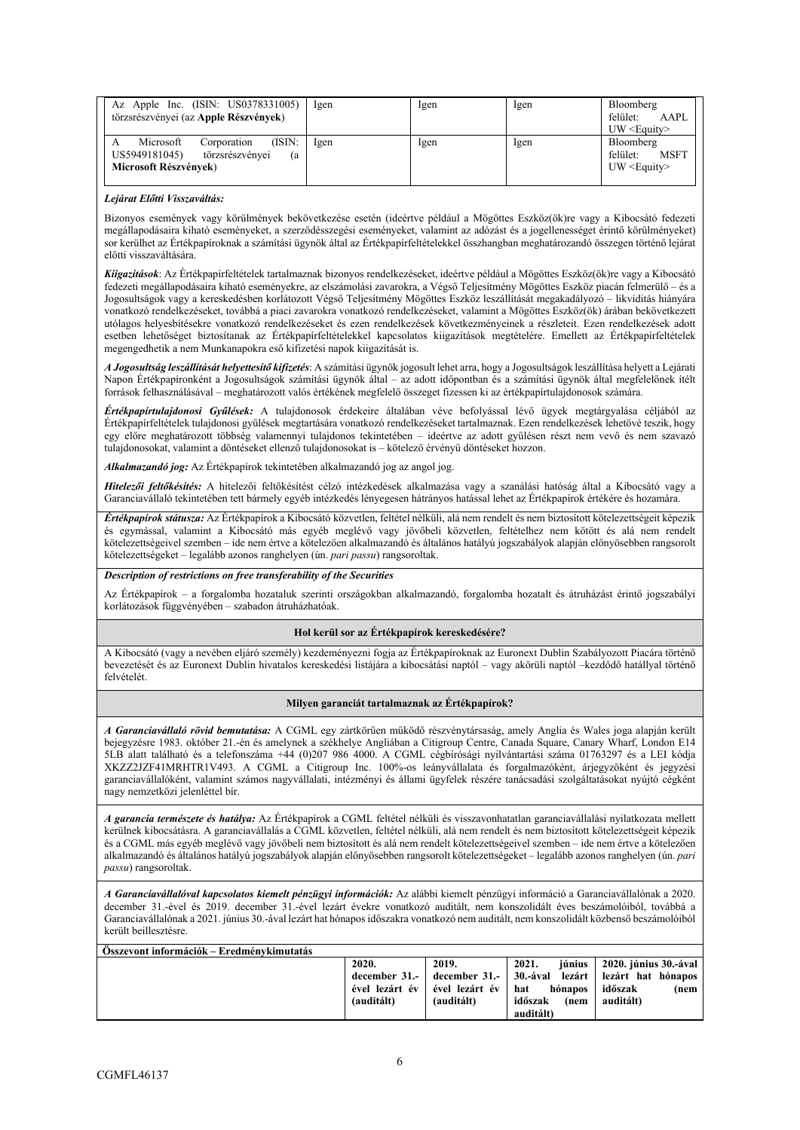| Az Apple Inc. (ISIN: US0378331005)<br>törzsrészvényei (az Apple Részvények)                           | Igen | lgen | Igen | Bloomberg<br>felület:<br>AAPI.<br>$UW \leq Equity$       |
|-------------------------------------------------------------------------------------------------------|------|------|------|----------------------------------------------------------|
| (ISIN:<br>Microsoft<br>Corporation<br>törzsrészvényei<br>US5949181045)<br>(a<br>Microsoft Részvények) | lgen | Igen | Igen | Bloomberg<br>felület:<br><b>MSFT</b><br>$UW \leq Equity$ |

#### *Lejárat Előtti Visszaváltás:*

Bizonyos események vagy körülmények bekövetkezése esetén (ideértve például a Mögöttes Eszköz(ök)re vagy a Kibocsátó fedezeti megállapodásaira kiható eseményeket, a szerződésszegési eseményeket, valamint az adózást és a jogellenességet érintő körülményeket) sor kerülhet az Értékpapíroknak a számítási ügynök által az Értékpapírfeltételekkel összhangban meghatározandó összegen történő lejárat előtti visszaváltására.

*Kiigazítások*: Az Értékpapírfeltételek tartalmaznak bizonyos rendelkezéseket, ideértve például a Mögöttes Eszköz(ök)re vagy a Kibocsátó fedezeti megállapodásaira kiható eseményekre, az elszámolási zavarokra, a Végső Teljesítmény Mögöttes Eszköz piacán felmerülő – és a Jogosultságok vagy a kereskedésben korlátozott Végső Teljesítmény Mögöttes Eszköz leszállítását megakadályozó – likviditás hiányára vonatkozó rendelkezéseket, továbbá a piaci zavarokra vonatkozó rendelkezéseket, valamint a Mögöttes Eszköz(ök) árában bekövetkezett utólagos helyesbítésekre vonatkozó rendelkezéseket és ezen rendelkezések következményeinek a részleteit. Ezen rendelkezések adott esetben lehetőséget biztosítanak az Értékpapírfeltételekkel kapcsolatos kiigazítások megtételére. Emellett az Értékpapírfeltételek megengedhetik a nem Munkanapokra eső kifizetési napok kiigazítását is.

*A Jogosultság leszállítását helyettesítő kifizetés*: A számítási ügynök jogosult lehet arra, hogy a Jogosultságok leszállítása helyett a Lejárati Napon Értékpapíronként a Jogosultságok számítási ügynök által – az adott időpontban és a számítási ügynök által megfelelőnek ítélt források felhasználásával – meghatározott valós értékének megfelelő összeget fizessen ki az értékpapírtulajdonosok számára.

*Értékpapírtulajdonosi Gyűlések:* A tulajdonosok érdekeire általában véve befolyással lévő ügyek megtárgyalása céljából az Értékpapírfeltételek tulajdonosi gyűlések megtartására vonatkozó rendelkezéseket tartalmaznak. Ezen rendelkezések lehetővé teszik, hogy egy előre meghatározott többség valamennyi tulajdonos tekintetében – ideértve az adott gyűlésen részt nem vevő és nem szavazó tulajdonosokat, valamint a döntéseket ellenző tulajdonosokat is – kötelező érvényű döntéseket hozzon.

*Alkalmazandó jog:* Az Értékpapírok tekintetében alkalmazandó jog az angol jog.

*Hitelezői feltőkésítés:* A hitelezői feltőkésítést célzó intézkedések alkalmazása vagy a szanálási hatóság által a Kibocsátó vagy a Garanciavállaló tekintetében tett bármely egyéb intézkedés lényegesen hátrányos hatással lehet az Értékpapírok értékére és hozamára.

*Értékpapírok státusza:* Az Értékpapírok a Kibocsátó közvetlen, feltétel nélküli, alá nem rendelt és nem biztosított kötelezettségeit képezik és egymással, valamint a Kibocsátó más egyéb meglévő vagy jövőbeli közvetlen, feltételhez nem kötött és alá nem rendelt kötelezettségeivel szemben – ide nem értve a kötelezően alkalmazandó és általános hatályú jogszabályok alapján előnyösebben rangsorolt kötelezettségeket – legalább azonos ranghelyen (ún. *pari passu*) rangsoroltak.

#### *Description of restrictions on free transferability of the Securities*

Az Értékpapírok – a forgalomba hozataluk szerinti országokban alkalmazandó, forgalomba hozatalt és átruházást érintő jogszabályi korlátozások függvényében – szabadon átruházhatóak.

#### **Hol kerül sor az Értékpapírok kereskedésére?**

A Kibocsátó (vagy a nevében eljáró személy) kezdeményezni fogja az Értékpapíroknak az Euronext Dublin Szabályozott Piacára történő bevezetését és az Euronext Dublin hivatalos kereskedési listájára a kibocsátási naptól – vagy akörüli naptól –kezdődő hatállyal történő felvételét.

#### **Milyen garanciát tartalmaznak az Értékpapírok?**

*A Garanciavállaló rövid bemutatása:* A CGML egy zártkörűen működő részvénytársaság, amely Anglia és Wales joga alapján került bejegyzésre 1983. október 21.-én és amelynek a székhelye Angliában a Citigroup Centre, Canada Square, Canary Wharf, London E14 5LB alatt található és a telefonszáma +44 (0)207 986 4000. A CGML cégbírósági nyilvántartási száma 01763297 és a LEI kódja XKZZ2JZF41MRHTR1V493. A CGML a Citigroup Inc. 100%-os leányvállalata és forgalmazóként, árjegyzőként és jegyzési garanciavállalóként, valamint számos nagyvállalati, intézményi és állami ügyfelek részére tanácsadási szolgáltatásokat nyújtó cégként nagy nemzetközi jelenléttel bír.

*A garancia természete és hatálya:* Az Értékpapírok a CGML feltétel nélküli és visszavonhatatlan garanciavállalási nyilatkozata mellett kerülnek kibocsátásra. A garanciavállalás a CGML közvetlen, feltétel nélküli, alá nem rendelt és nem biztosított kötelezettségeit képezik és a CGML más egyéb meglévő vagy jövőbeli nem biztosított és alá nem rendelt kötelezettségeivel szemben – ide nem értve a kötelezően alkalmazandó és általános hatályú jogszabályok alapján előnyösebben rangsorolt kötelezettségeket – legalább azonos ranghelyen (ún. *pari passu*) rangsoroltak.

*A Garanciavállalóval kapcsolatos kiemelt pénzügyi információk:* Az alábbi kiemelt pénzügyi információ a Garanciavállalónak a 2020. december 31.-ével és 2019. december 31.-ével lezárt évekre vonatkozó auditált, nem konszolidált éves beszámolóiból, továbbá a Garanciavállalónak a 2021. június 30.-ával lezárt hat hónapos időszakra vonatkozó nem auditált, nem konszolidált közbenső beszámolóiból került beillesztésre.

| Osszevont információk – Eredménykimutatás |            |                                 |                 |                                                                                        |
|-------------------------------------------|------------|---------------------------------|-----------------|----------------------------------------------------------------------------------------|
|                                           | 2020.      | 2019.                           | 2021.           | június   2020. június 30.-ával                                                         |
|                                           |            |                                 |                 | december 31.- $\vert$ december 31.- $\vert$ 30.-ával lezárt $\vert$ lezárt hat hónapos |
|                                           |            | ével lezárt év   ével lezárt év | hat<br>hónapos  | időszak<br>(nem                                                                        |
|                                           | (auditált) | (auditált)                      | időszak<br>(nem | auditált)                                                                              |
|                                           |            |                                 | auditált)       |                                                                                        |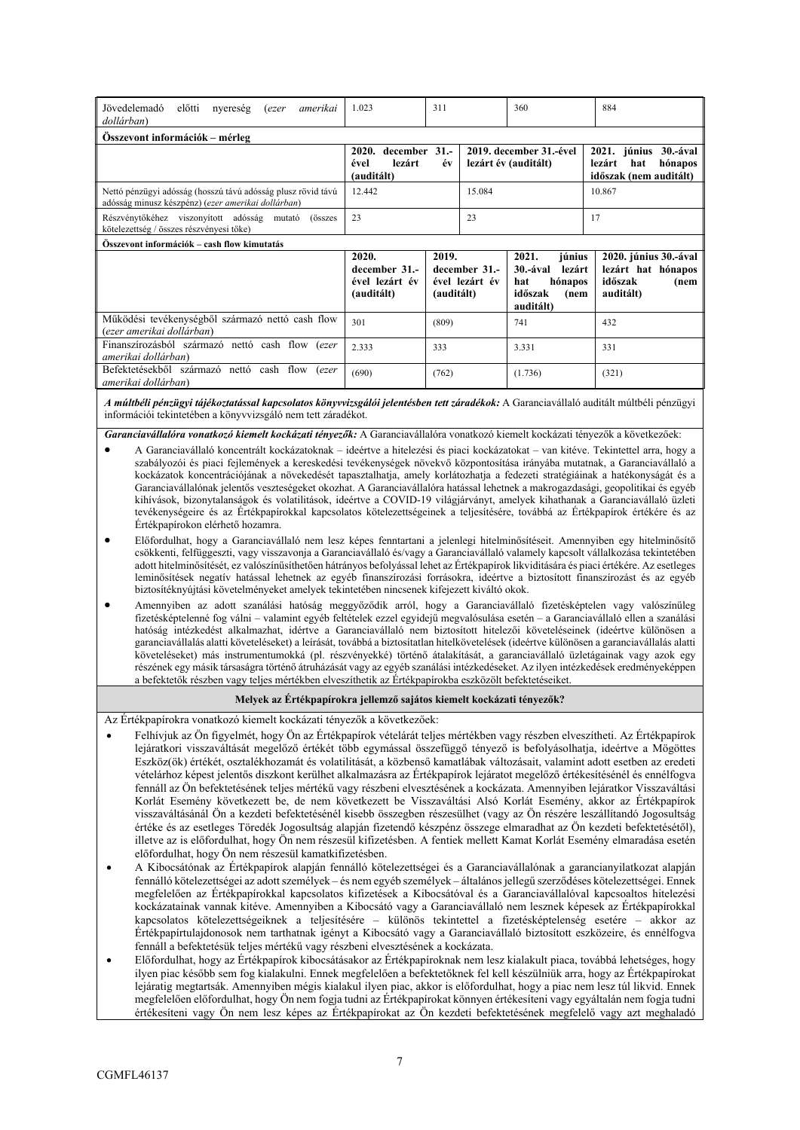| Jövedelemadó<br>előtti<br>nyereség<br>amerikai<br><i>(ezer</i><br>dollárban)                                       | 1.023                                                                                | 311                                                    |                         | 360                                                                                     | 884                                                                         |  |  |  |
|--------------------------------------------------------------------------------------------------------------------|--------------------------------------------------------------------------------------|--------------------------------------------------------|-------------------------|-----------------------------------------------------------------------------------------|-----------------------------------------------------------------------------|--|--|--|
| Osszevont információk – mérleg                                                                                     |                                                                                      |                                                        |                         |                                                                                         |                                                                             |  |  |  |
|                                                                                                                    | december 31.-<br>2020.<br>lezárt év (auditált)<br>lezárt<br>ével<br>év<br>(auditált) |                                                        | 2019. december 31.-ével | 2021. június<br>$30.-$ ával<br>lezárt<br>hónapos<br>hat<br>időszak (nem auditált)       |                                                                             |  |  |  |
| Nettó pénzügyi adósság (hosszú távú adósság plusz rövid távú<br>adósság minusz készpénz) (ezer amerikai dollárban) | 12.442                                                                               |                                                        | 15.084                  |                                                                                         | 10.867                                                                      |  |  |  |
| Részvénytőkéhez viszonyított adósság mutató<br>(összes<br>kötelezettség / összes részvényesi tőke)                 | 23<br>23                                                                             |                                                        |                         |                                                                                         | 17                                                                          |  |  |  |
| Összevont információk – cash flow kimutatás                                                                        |                                                                                      |                                                        |                         |                                                                                         |                                                                             |  |  |  |
|                                                                                                                    | 2020.<br>december 31.-<br>ével lezárt év<br>(auditált)                               | 2019.<br>december 31.-<br>ével lezárt év<br>(auditált) |                         | 2021.<br>június<br>30.-ával<br>lezárt<br>hónapos<br>hat<br>időszak<br>(nem<br>auditált) | 2020. június 30.-ával<br>lezárt hat hónapos<br>időszak<br>(nem<br>auditált) |  |  |  |
| Működési tevékenységből származó nettó cash flow<br>(ezer amerikai dollárban)                                      | 301                                                                                  | (809)                                                  |                         | 741                                                                                     | 432                                                                         |  |  |  |
| Finanszírozásból származó nettó cash flow (ezer<br>amerikai dollárban)                                             | 2.333                                                                                | 333                                                    |                         | 3.331                                                                                   | 331                                                                         |  |  |  |
| Befektetésekből származó nettó cash flow (ezer<br>amerikai dollárban)                                              | (690)                                                                                | (762)                                                  |                         | (1.736)                                                                                 | (321)                                                                       |  |  |  |

*A múltbéli pénzügyi tájékoztatással kapcsolatos könyvvizsgálói jelentésben tett záradékok:* A Garanciavállaló auditált múltbéli pénzügyi információi tekintetében a könyvvizsgáló nem tett záradékot.

*Garanciavállalóra vonatkozó kiemelt kockázati tényezők:* A Garanciavállalóra vonatkozó kiemelt kockázati tényezők a következőek:

- A Garanciavállaló koncentrált kockázatoknak ideértve a hitelezési és piaci kockázatokat van kitéve. Tekintettel arra, hogy a szabályozói és piaci fejlemények a kereskedési tevékenységek növekvő központosítása irányába mutatnak, a Garanciavállaló a kockázatok koncentrációjának a növekedését tapasztalhatja, amely korlátozhatja a fedezeti stratégiáinak a hatékonyságát és a Garanciavállalónak jelentős veszteségeket okozhat. A Garanciavállalóra hatással lehetnek a makrogazdasági, geopolitikai és egyéb kihívások, bizonytalanságok és volatilitások, ideértve a COVID-19 világjárványt, amelyek kihathanak a Garanciavállaló üzleti tevékenységeire és az Értékpapírokkal kapcsolatos kötelezettségeinek a teljesítésére, továbbá az Értékpapírok értékére és az Értékpapírokon elérhető hozamra.
- Előfordulhat, hogy a Garanciavállaló nem lesz képes fenntartani a jelenlegi hitelminősítéseit. Amennyiben egy hitelminősítő csökkenti, felfüggeszti, vagy visszavonja a Garanciavállaló és/vagy a Garanciavállaló valamely kapcsolt vállalkozása tekintetében adott hitelminősítését, ez valószínűsíthetően hátrányos befolyással lehet az Értékpapírok likviditására és piaci értékére. Az esetleges leminősítések negatív hatással lehetnek az egyéb finanszírozási forrásokra, ideértve a biztosított finanszírozást és az egyéb biztosítéknyújtási követelményeket amelyek tekintetében nincsenek kifejezett kiváltó okok.
- Amennyiben az adott szanálási hatóság meggyőződik arról, hogy a Garanciavállaló fizetésképtelen vagy valószínűleg fizetésképtelenné fog válni – valamint egyéb feltételek ezzel egyidejű megvalósulása esetén – a Garanciavállaló ellen a szanálási hatóság intézkedést alkalmazhat, idértve a Garanciavállaló nem biztosított hitelezői követeléseinek (ideértve különösen a garanciavállalás alatti követeléseket) a leírását, továbbá a biztosítatlan hitelkövetelések (ideértve különösen a garanciavállalás alatti követeléseket) más instrumentumokká (pl. részvényekké) történő átalakítását, a garanciavállaló üzletágainak vagy azok egy részének egy másik társaságra történő átruházását vagy az egyéb szanálási intézkedéseket. Az ilyen intézkedések eredményeképpen a befektetők részben vagy teljes mértékben elveszíthetik az Értékpapírokba eszközölt befektetéseiket.

#### **Melyek az Értékpapírokra jellemző sajátos kiemelt kockázati tényezők?**

Az Értékpapírokra vonatkozó kiemelt kockázati tényezők a következőek:

- Felhívjuk az Ön figyelmét, hogy Ön az Értékpapírok vételárát teljes mértékben vagy részben elveszítheti. Az Értékpapírok lejáratkori visszaváltását megelőző értékét több egymással összefüggő tényező is befolyásolhatja, ideértve a Mögöttes Eszköz(ök) értékét, osztalékhozamát és volatilitását, a közbenső kamatlábak változásait, valamint adott esetben az eredeti vételárhoz képest jelentős diszkont kerülhet alkalmazásra az Értékpapírok lejáratot megelőző értékesítésénél és ennélfogva fennáll az Ön befektetésének teljes mértékű vagy részbeni elvesztésének a kockázata. Amennyiben lejáratkor Visszaváltási Korlát Esemény következett be, de nem következett be Visszaváltási Alsó Korlát Esemény, akkor az Értékpapírok visszaváltásánál Ön a kezdeti befektetésénél kisebb összegben részesülhet (vagy az Ön részére leszállítandó Jogosultság értéke és az esetleges Töredék Jogosultság alapján fizetendő készpénz összege elmaradhat az Ön kezdeti befektetésétől), illetve az is előfordulhat, hogy Ön nem részesül kifizetésben. A fentiek mellett Kamat Korlát Esemény elmaradása esetén előfordulhat, hogy Ön nem részesül kamatkifizetésben.
- A Kibocsátónak az Értékpapírok alapján fennálló kötelezettségei és a Garanciavállalónak a garancianyilatkozat alapján fennálló kötelezettségei az adott személyek – és nem egyéb személyek – általános jellegű szerződéses kötelezettségei. Ennek megfelelően az Értékpapírokkal kapcsolatos kifizetések a Kibocsátóval és a Garanciavállalóval kapcsoaltos hitelezési kockázatainak vannak kitéve. Amennyiben a Kibocsátó vagy a Garanciavállaló nem lesznek képesek az Értékpapírokkal kapcsolatos kötelezettségeiknek a teljesítésére – különös tekintettel a fizetésképtelenség esetére – akkor az Értékpapírtulajdonosok nem tarthatnak igényt a Kibocsátó vagy a Garanciavállaló biztosított eszközeire, és ennélfogva fennáll a befektetésük teljes mértékű vagy részbeni elvesztésének a kockázata.
- Előfordulhat, hogy az Értékpapírok kibocsátásakor az Értékpapíroknak nem lesz kialakult piaca, továbbá lehetséges, hogy ilyen piac később sem fog kialakulni. Ennek megfelelően a befektetőknek fel kell készülniük arra, hogy az Értékpapírokat lejáratig megtartsák. Amennyiben mégis kialakul ilyen piac, akkor is előfordulhat, hogy a piac nem lesz túl likvid. Ennek megfelelően előfordulhat, hogy Ön nem fogja tudni az Értékpapírokat könnyen értékesíteni vagy egyáltalán nem fogja tudni értékesíteni vagy Ön nem lesz képes az Értékpapírokat az Ön kezdeti befektetésének megfelelő vagy azt meghaladó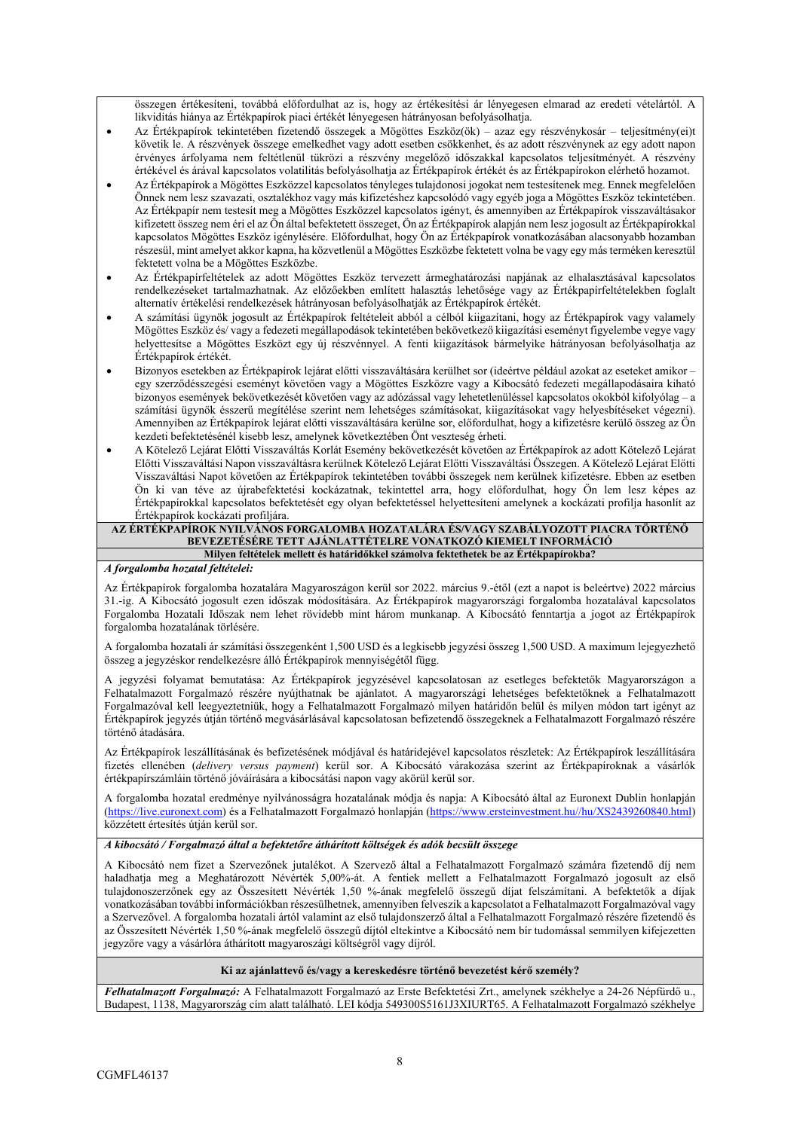összegen értékesíteni, továbbá előfordulhat az is, hogy az értékesítési ár lényegesen elmarad az eredeti vételártól. A likviditás hiánya az Értékpapírok piaci értékét lényegesen hátrányosan befolyásolhatja.

- Az Értékpapírok tekintetében fizetendő összegek a Mögöttes Eszköz(ök) azaz egy részvénykosár teljesítmény(ei)t követik le. A részvények összege emelkedhet vagy adott esetben csökkenhet, és az adott részvénynek az egy adott napon érvényes árfolyama nem feltétlenül tükrözi a részvény megelőző időszakkal kapcsolatos teljesítményét. A részvény értékével és árával kapcsolatos volatilitás befolyásolhatja az Értékpapírok értékét és az Értékpapírokon elérhető hozamot.
- Az Értékpapírok a Mögöttes Eszközzel kapcsolatos tényleges tulajdonosi jogokat nem testesítenek meg. Ennek megfelelően Önnek nem lesz szavazati, osztalékhoz vagy más kifizetéshez kapcsolódó vagy egyéb joga a Mögöttes Eszköz tekintetében. Az Értékpapír nem testesít meg a Mögöttes Eszközzel kapcsolatos igényt, és amennyiben az Értékpapírok visszaváltásakor kifizetett összeg nem éri el az Ön által befektetett összeget, Ön az Értékpapírok alapján nem lesz jogosult az Értékpapírokkal kapcsolatos Mögöttes Eszköz igénylésére. Előfordulhat, hogy Ön az Értékpapírok vonatkozásában alacsonyabb hozamban részesül, mint amelyet akkor kapna, ha közvetlenül a Mögöttes Eszközbe fektetett volna be vagy egy más terméken keresztül fektetett volna be a Mögöttes Eszközbe.
- Az Értékpapírfeltételek az adott Mögöttes Eszköz tervezett ármeghatározási napjának az elhalasztásával kapcsolatos rendelkezéseket tartalmazhatnak. Az előzőekben említett halasztás lehetősége vagy az Értékpapírfeltételekben foglalt alternatív értékelési rendelkezések hátrányosan befolyásolhatják az Értékpapírok értékét.
- A számítási ügynök jogosult az Értékpapírok feltételeit abból a célból kiigazítani, hogy az Értékpapírok vagy valamely Mögöttes Eszköz és/ vagy a fedezeti megállapodások tekintetében bekövetkező kiigazítási eseményt figyelembe vegye vagy helyettesítse a Mögöttes Eszközt egy új részvénnyel. A fenti kiigazítások bármelyike hátrányosan befolyásolhatja az Értékpapírok értékét.
- Bizonyos esetekben az Értékpapírok lejárat előtti visszaváltására kerülhet sor (ideértve például azokat az eseteket amikor egy szerződésszegési eseményt követően vagy a Mögöttes Eszközre vagy a Kibocsátó fedezeti megállapodásaira kiható bizonyos események bekövetkezését követően vagy az adózással vagy lehetetlenüléssel kapcsolatos okokból kifolyólag – a számítási ügynök ésszerű megítélése szerint nem lehetséges számításokat, kiigazításokat vagy helyesbítéseket végezni). Amennyiben az Értékpapírok lejárat előtti visszaváltására kerülne sor, előfordulhat, hogy a kifizetésre kerülő összeg az Ön kezdeti befektetésénél kisebb lesz, amelynek következtében Önt veszteség érheti.
- A Kötelező Lejárat Előtti Visszaváltás Korlát Esemény bekövetkezését követően az Értékpapírok az adott Kötelező Lejárat Előtti Visszaváltási Napon visszaváltásra kerülnek Kötelező Lejárat Előtti Visszaváltási Összegen. A Kötelező Lejárat Előtti Visszaváltási Napot követően az Értékpapírok tekintetében további összegek nem kerülnek kifizetésre. Ebben az esetben Ön ki van téve az újrabefektetési kockázatnak, tekintettel arra, hogy előfordulhat, hogy Ön lem lesz képes az Értékpapírokkal kapcsolatos befektetését egy olyan befektetéssel helyettesíteni amelynek a kockázati profilja hasonlít az Értékpapírok kockázati profiljára.

### **AZ ÉRTÉKPAPÍROK NYILVÁNOS FORGALOMBA HOZATALÁRA ÉS/VAGY SZABÁLYOZOTT PIACRA TÖRTÉNŐ BEVEZETÉSÉRE TETT AJÁNLATTÉTELRE VONATKOZÓ KIEMELT INFORMÁCIÓ Milyen feltételek mellett és határidőkkel számolva fektethetek be az Értékpapírokba?**

#### *A forgalomba hozatal feltételei:*

Az Értékpapírok forgalomba hozatalára Magyaroszágon kerül sor 2022. március 9.-étől (ezt a napot is beleértve) 2022 március 31.-ig. A Kibocsátó jogosult ezen időszak módosítására. Az Értékpapírok magyarországi forgalomba hozatalával kapcsolatos Forgalomba Hozatali Időszak nem lehet rövidebb mint három munkanap. A Kibocsátó fenntartja a jogot az Értékpapírok forgalomba hozatalának törlésére.

A forgalomba hozatali ár számítási összegenként 1,500 USD és a legkisebb jegyzési összeg 1,500 USD. A maximum lejegyezhető összeg a jegyzéskor rendelkezésre álló Értékpapírok mennyiségétől függ.

A jegyzési folyamat bemutatása: Az Értékpapírok jegyzésével kapcsolatosan az esetleges befektetők Magyarországon a Felhatalmazott Forgalmazó részére nyújthatnak be ajánlatot. A magyarországi lehetséges befektetőknek a Felhatalmazott Forgalmazóval kell leegyeztetniük, hogy a Felhatalmazott Forgalmazó milyen határidőn belül és milyen módon tart igényt az Értékpapírok jegyzés útján történő megvásárlásával kapcsolatosan befizetendő összegeknek a Felhatalmazott Forgalmazó részére történő átadására.

Az Értékpapírok leszállításának és befizetésének módjával és határidejével kapcsolatos részletek: Az Értékpapírok leszállítására fizetés ellenében (*delivery versus payment*) kerül sor. A Kibocsátó várakozása szerint az Értékpapíroknak a vásárlók értékpapírszámláin történő jóváírására a kibocsátási napon vagy akörül kerül sor.

A forgalomba hozatal eredménye nyilvánosságra hozatalának módja és napja: A Kibocsátó által az Euronext Dublin honlapján (https://live.euronext.com) és a Felhatalmazott Forgalmazó honlapján (https://www.ersteinvestment.hu//hu/XS2439260840.html) közzétett értesítés útján kerül sor.

## *A kibocsátó / Forgalmazó által a befektetőre áthárított költségek és adók becsült összege*

A Kibocsátó nem fizet a Szervezőnek jutalékot. A Szervező által a Felhatalmazott Forgalmazó számára fizetendő díj nem haladhatja meg a Meghatározott Névérték 5,00%-át. A fentiek mellett a Felhatalmazott Forgalmazó jogosult az első tulajdonoszerzőnek egy az Összesített Névérték 1,50 %-ának megfelelő összegű díjat felszámítani. A befektetők a díjak vonatkozásában további információkban részesülhetnek, amennyiben felveszik a kapcsolatot a Felhatalmazott Forgalmazóval vagy a Szervezővel. A forgalomba hozatali ártól valamint az első tulajdonszerző által a Felhatalmazott Forgalmazó részére fizetendő és az Összesített Névérték 1,50 %-ának megfelelő összegű díjtól eltekintve a Kibocsátó nem bír tudomással semmilyen kifejezetten jegyzőre vagy a vásárlóra áthárított magyaroszági költségről vagy díjról.

## **Ki az ajánlattevő és/vagy a kereskedésre történő bevezetést kérő személy?**

*Felhatalmazott Forgalmazó:* A Felhatalmazott Forgalmazó az Erste Befektetési Zrt., amelynek székhelye a 24-26 Népfürdő u., Budapest, 1138, Magyarország cím alatt található. LEI kódja 549300S5161J3XIURT65. A Felhatalmazott Forgalmazó székhelye